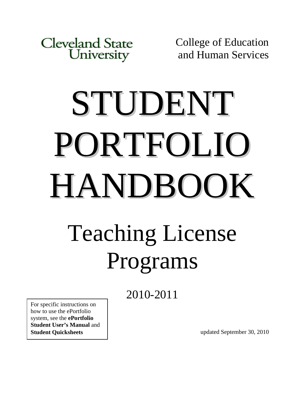**Cleveland State** University

College of Education and Human Services

# STUDENT PORTFOLIO HANDBOOK Teaching License Programs

2010-2011

For specific instructions on how to use the ePortfolio system, see the **ePortfolio Student User's Manual** and **Student Quicksheets**

updated September 30, 2010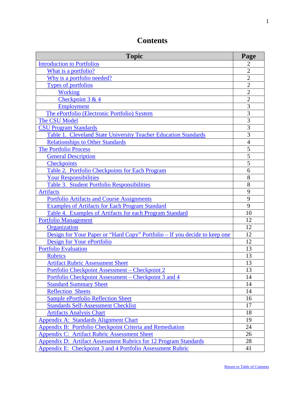| <b>Topic</b>                                                                      | Page           |
|-----------------------------------------------------------------------------------|----------------|
| <b>Introduction to Portfolios</b>                                                 | 2              |
| What is a portfolio?                                                              | $\overline{2}$ |
| Why is a portfolio needed?                                                        | $\overline{2}$ |
| <b>Types of portfolios</b>                                                        | $\overline{2}$ |
| <b>Working</b>                                                                    | $\overline{2}$ |
| Checkpoint 3 & 4                                                                  | $\overline{2}$ |
| <b>Employment</b>                                                                 | 3              |
| The ePortfolio (Electronic Portfolio) System                                      | 3              |
| The CSU Model                                                                     | $\overline{3}$ |
| <b>CSU Program Standards</b>                                                      | 3              |
| Table 1. Cleveland State University Teacher Education Standards                   | 3              |
| <b>Relationships to Other Standards</b>                                           | $\overline{4}$ |
| The Portfolio Process                                                             | 5              |
| <b>General Description</b>                                                        | $\overline{5}$ |
| <b>Checkpoints</b>                                                                | 5              |
| Table 2. Portfolio Checkpoints for Each Program                                   | 6              |
| <b>Your Responsibilities</b>                                                      | 8              |
| Table 3. Student Portfolio Responsibilities                                       | 8              |
| <b>Artifacts</b>                                                                  | 9              |
| <b>Portfolio Artifacts and Course Assignments</b>                                 | 9              |
| <b>Examples of Artifacts for Each Program Standard</b>                            | 9              |
| Table 4. Examples of Artifacts for each Program Standard                          | 10             |
| <b>Portfolio Management</b>                                                       | 12             |
| Organization                                                                      | 12             |
| <u>Design for Your Paper or "Hard Copy" Portfolio – If you decide to keep one</u> | 12             |
| Design for Your ePortfolio                                                        | 12             |
| <b>Portfolio Evaluation</b>                                                       | 13             |
| <b>Rubrics</b>                                                                    | 13             |
| <b>Artifact Rubric Assessment Sheet</b>                                           | 13             |
| <u> Portfolio Checkpoint Assessment – Checkpoint 2</u>                            | 13             |
| Portfolio Checkpoint Assessment – Checkpoint 3 and 4                              | 14             |
| <b>Standard Summary Sheet</b>                                                     | 14             |
| <b>Reflection Sheets</b>                                                          | 14             |
| <b>Sample ePortfolio Reflection Sheet</b>                                         | 16             |
| <b>Standards Self-Assessment Checklist</b>                                        | 17             |
| <b>Artifacts Analysis Chart</b>                                                   | 18             |
| <b>Appendix A: Standards Alignment Chart</b>                                      | 19             |
| Appendix B: Portfolio Checkpoint Criteria and Remediation                         | 24             |
| Appendix C: Artifact Rubric Assessment Sheet                                      | 26             |
| Appendix D: Artifact Assessment Rubrics for 12 Program Standards                  | 28             |
| Appendix E: Checkpoint 3 and 4 Portfolio Assessment Rubric                        | 41             |

# <span id="page-1-1"></span><span id="page-1-0"></span>**Contents**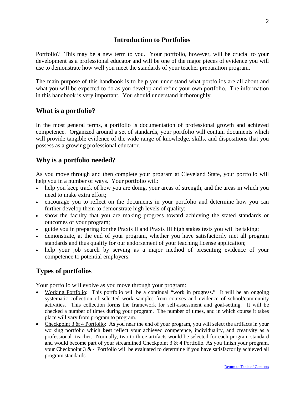# **Introduction to Portfolios**

<span id="page-2-0"></span>Portfolio? This may be a new term to you. Your portfolio, however, will be crucial to your development as a professional educator and will be one of the major pieces of evidence you will use to demonstrate how well you meet the standards of your teacher preparation program.

The main purpose of this handbook is to help you understand what portfolios are all about and what you will be expected to do as you develop and refine your own portfolio. The information in this handbook is very important. You should understand it thoroughly.

# <span id="page-2-1"></span>**What is a portfolio?**

In the most general terms, a portfolio is documentation of professional growth and achieved competence. Organized around a set of standards, your portfolio will contain documents which will provide tangible evidence of the wide range of knowledge, skills, and dispositions that you possess as a growing professional educator.

# <span id="page-2-2"></span>**Why is a portfolio needed?**

As you move through and then complete your program at Cleveland State, your portfolio will help you in a number of ways. Your portfolio will:

- help you keep track of how you are doing, your areas of strength, and the areas in which you need to make extra effort;
- encourage you to reflect on the documents in your portfolio and determine how you can further develop them to demonstrate high levels of quality;
- show the faculty that you are making progress toward achieving the stated standards or outcomes of your program;
- guide you in preparing for the Praxis II and Praxis III high stakes tests you will be taking;
- demonstrate, at the end of your program, whether you have satisfactorily met all program standards and thus qualify for our endorsement of your teaching license application;
- help your job search by serving as a major method of presenting evidence of your competence to potential employers.

# <span id="page-2-3"></span>**Types of portfolios**

Your portfolio will evolve as you move through your program:

- Working Portfolio: This portfolio will be a continual "work in progress." It will be an ongoing systematic collection of selected work samples from courses and evidence of school/community activities. This collection forms the framework for self-assessment and goal-setting. It will be checked a number of times during your program. The number of times, and in which course it takes place will vary from program to program.
- Checkpoint 3 & 4 Portfolio: As you near the end of your program, you will select the artifacts in your working portfolio which **best** reflect your achieved competence, individuality, and creativity as a professional teacher. Normally, two to three artifacts would be selected for each program standard and would become part of your streamlined Checkpoint  $3 \& 4$  Portfolio. As you finish your program, your Checkpoint 3 & 4 Portfolio will be evaluated to determine if you have satisfactorily achieved all program standards.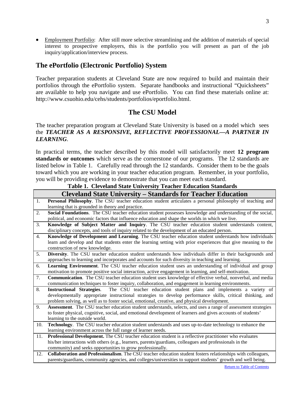• Employment Portfolio: After still more selective streamlining and the addition of materials of special interest to prospective employers, this is the portfolio you will present as part of the job inquiry/application/interview process.

# <span id="page-3-0"></span>**The ePortfolio (Electronic Portfolio) System**

Teacher preparation students at Cleveland State are now required to build and maintain their portfolios through the ePortfolio system. Separate handbooks and instructional "Quicksheets" are available to help you navigate and use ePortfolio. You can find these materials online at: http://www.csuohio.edu/cehs/students/portfolios/eportfolio.html.

# **The CSU Model**

# The teacher preparation program at Cleveland State University is based on a model which sees the *TEACHER AS A RESPONSIVE, REFLECTIVE PROFESSIONAL—A PARTNER IN LEARNING*.

In practical terms, the teacher described by this model will satisfactorily meet **12 program standards or outcomes** which serve as the cornerstone of our programs. The 12 standards are listed below in Table 1. Carefully read through the 12 standards. Consider them to be the goals toward which you are working in your teacher education program. Remember, in your portfolio, you will be providing evidence to demonstrate that you can meet each standard.

# **Table 1. Cleveland State University Teacher Education Standards**

<span id="page-3-1"></span>

|     | <b>Cleveland State University – Standards for Teacher Education</b>                                                   |
|-----|-----------------------------------------------------------------------------------------------------------------------|
| 1.  | Personal Philosophy. The CSU teacher education student articulates a personal philosophy of teaching and              |
|     | learning that is grounded in theory and practice.                                                                     |
| 2.  | Social Foundations. The CSU teacher education student possesses knowledge and understanding of the social,            |
|     | political, and economic factors that influence education and shape the worlds in which we live.                       |
| 3.  | Knowledge of Subject Matter and Inquiry. The CSU teacher education student understands content,                       |
|     | disciplinary concepts, and tools of inquiry related to the development of an educated person.                         |
| 4.  | Knowledge of Development and Learning. The CSU teacher education student understands how individuals                  |
|     | learn and develop and that students enter the learning setting with prior experiences that give meaning to the        |
|     | construction of new knowledge.                                                                                        |
| 5.  | Diversity. The CSU teacher education student understands how individuals differ in their backgrounds and              |
|     | approaches to learning and incorporates and accounts for such diversity in teaching and learning.                     |
| 6.  | Learning Environment. The CSU teacher education student uses an understanding of individual and group                 |
|     | motivation to promote positive social interaction, active engagement in learning, and self-motivation.                |
| 7.  | Communication. The CSU teacher education student uses knowledge of effective verbal, nonverbal, and media             |
|     | communication techniques to foster inquiry, collaboration, and engagement in learning environments.                   |
| 8.  | The CSU teacher education student plans and implements a variety of<br><b>Instructional Strategies.</b>               |
|     | developmentally appropriate instructional strategies to develop performance skills, critical thinking, and            |
|     | problem solving, as well as to foster social, emotional, creative, and physical development.                          |
| 9.  | <b>Assessment</b> . The CSU teacher education student understands, selects, and uses a range of assessment strategies |
|     | to foster physical, cognitive, social, and emotional development of learners and gives accounts of students'          |
|     | learning to the outside world.                                                                                        |
| 10. | Technology. The CSU teacher education student understands and uses up-to-date technology to enhance the               |
|     | learning environment across the full range of learner needs.                                                          |
| 11. | Professional Development. The CSU teacher education student is a reflective practitioner who evaluates                |
|     | his/her interactions with others (e.g., learners, parents/guardians, colleagues and professionals in the              |
|     | community) and seeks opportunities to grow professionally.                                                            |
| 12. | Collaboration and Professionalism. The CSU teacher education student fosters relationships with colleagues,           |

parents/guardians, community agencies, and colleges/universities to support students' growth and well being.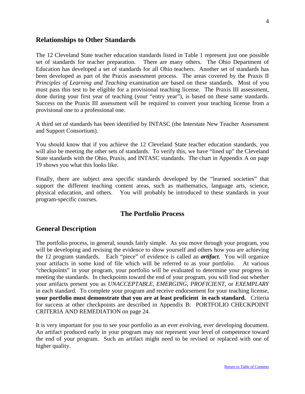# <span id="page-4-0"></span>**Relationships to Other Standards**

The 12 Cleveland State teacher education standards listed in Table 1 represent just one possible set of standards for teacher preparation. There are many others. The Ohio Department of Education has developed a set of standards for all Ohio teachers. Another set of standards has been developed as part of the Praxis assessment process. The areas covered by the Praxis II *Principles of Learning and Teaching* examination are based on these standards. Most of you must pass this test to be eligible for a provisional teaching license. The Praxis III assessment, done during your first year of teaching (your "entry year"), is based on these same standards. Success on the Praxis III assessment will be required to convert your teaching license from a provisional one to a professional one.

A third set of standards has been identified by INTASC (the Interstate New Teacher Assessment and Support Consortium).

You should know that if you achieve the 12 Cleveland State teacher education standards, you will also be meeting the other sets of standards. To verify this, we have "lined up" the Cleveland State standards with the Ohio, Praxis, and INTASC standards. The chart in Appendix A on page 19 shows you what this looks like.

Finally, there are subject area specific standards developed by the "learned societies" that support the different teaching content areas, such as mathematics, language arts, science, physical education, and others. You will probably be introduced to these standards in your program-specific courses.

# **The Portfolio Process**

# <span id="page-4-1"></span>**General Description**

The portfolio process, in general, sounds fairly simple. As you move through your program, you will be developing and revising the evidence to show yourself and others how you are achieving the 12 program standards. Each "piece" of evidence is called an *artifact*. You will organize your artifacts in some kind of file which will be referred to as your portfolio. At various "checkpoints" in your program, your portfolio will be evaluated to determine your progress in meeting the standards. In checkpoints toward the end of your program, you will find out whether your artifacts present you as *UNACCEPTABLE, EMERGING, PROFICIENT*, or *EXEMPLARY* in each standard. To complete your program and receive endorsement for your teaching license, **your portfolio must demonstrate that you are at least proficient in each standard.** Criteria for success at other checkpoints are described in Appendix B: PORTFOLIO CHECKPOINT CRITERIA AND REMEDIATION on page 24.

It is very important for you to see your portfolio as an ever evolving, ever developing document. An artifact produced early in your program may not represent your level of competence toward the end of your program. Such an artifact might need to be revised or replaced with one of higher quality.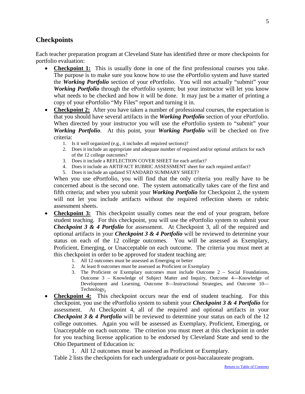# <span id="page-5-0"></span>**Checkpoints**

Each teacher preparation program at Cleveland State has identified three or more checkpoints for portfolio evaluation:

- **Checkpoint 1:** This is usually done in one of the first professional courses you take. The purpose is to make sure you know how to use the ePortfolio system and have started the *Working Portfolio* section of your ePortfolio. You will not actually "submit" your *Working Portfolio* through the ePortfolio system; but your instructor will let you know what needs to be checked and how it will be done. It may just be a matter of printing a copy of your ePortfolio "My Files" report and turning it in.
- **Checkpoint 2:** After you have taken a number of professional courses, the expectation is that you should have several artifacts in the *Working Portfolio* section of your ePortfolio. When directed by your instructor you will use the ePortfolio system to "submit" your *Working Portfolio*. At this point, your *Working Portfolio* will be checked on five criteria:
	- 1. Is it well organized (e.g., it includes all required sections)?
	- 2. Does it include an appropriate and adequate number of required and/or optional artifacts for each of the 12 college outcomes?
	- 3. Does it include a REFLECTION COVER SHEET for each artifact?
	- 4. Does it include an ARTIFACT RUBRIC ASSESSMENT sheet for each required artifact?
	- 5. Does it include an updated STANDARD SUMMARY SHEET?

When you use ePortfolio, you will find that the only criteria you really have to be concerned about is the second one. The system automatically takes care of the first and fifth criteria; and when you submit your *Working Portfolio* for Checkpoint 2, the system will not let you include artifacts without the required reflection sheets or rubric assessment sheets.

- **Checkpoint 3:** This checkpoint usually comes near the end of your program, before student teaching. For this checkpoint, you will use the ePortfolio system to submit your *Checkpoint 3 & 4 Portfolio* for assessment. At Checkpoint 3, all of the required and optional artifacts in your *Checkpoint 3 & 4 Portfolio* will be reviewed to determine your status on each of the 12 college outcomes. You will be assessed as Exemplary, Proficient, Emerging, or Unacceptable on each outcome. The criteria you must meet at this checkpoint in order to be approved for student teaching are:
	- 1. All 12 outcomes must be assessed as Emerging or better
	- 2. At least 8 outcomes must be assessed as Proficient or Exemplary
	- 3. The Proficient or Exemplary outcomes must include Outcome 2 Social Foundations, Outcome 3 – Knowledge of Subject Matter and Inquiry, Outcome 4—Knowledge of Development and Learning, Outcome 8—Instructional Strategies, and Outcome 10— Technology**.**
- **Checkpoint 4:** This checkpoint occurs near the end of student teaching. For this checkpoint, you use the ePortfolio system to submit your *Checkpoint 3 & 4 Portfolio* for assessment. At Checkpoint 4, all of the required and optional artifacts in your *Checkpoint 3 & 4 Portfolio* will be reviewed to determine your status on each of the 12 college outcomes. Again you will be assessed as Exemplary, Proficient, Emerging, or Unacceptable on each outcome. The criterion you must meet at this checkpoint in order for you teaching license application to be endorsed by Cleveland State and send to the Ohio Department of Education is:

1. All 12 outcomes must be assessed as Proficient or Exemplary.

Table 2 lists the checkpoints for each undergraduate or post-baccalaureate program.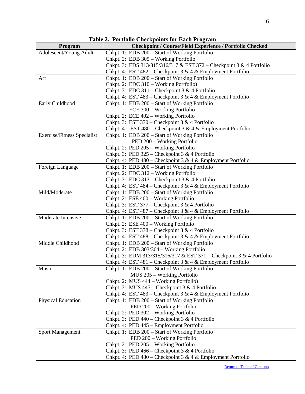<span id="page-6-0"></span>

|                                                                              | Table 2. Toftfolio Checkpolitis for Each Frogram                                                                                                                                                                                                                                                                                                                                                                                                                                                                                                                                                                                                                                                                                                                                                                                                                                                                                                                                                                                                                                                                                                                                                                                                                                                                                                                                                                                                                                                                                                                                                                                                                                                                                                                                 |
|------------------------------------------------------------------------------|----------------------------------------------------------------------------------------------------------------------------------------------------------------------------------------------------------------------------------------------------------------------------------------------------------------------------------------------------------------------------------------------------------------------------------------------------------------------------------------------------------------------------------------------------------------------------------------------------------------------------------------------------------------------------------------------------------------------------------------------------------------------------------------------------------------------------------------------------------------------------------------------------------------------------------------------------------------------------------------------------------------------------------------------------------------------------------------------------------------------------------------------------------------------------------------------------------------------------------------------------------------------------------------------------------------------------------------------------------------------------------------------------------------------------------------------------------------------------------------------------------------------------------------------------------------------------------------------------------------------------------------------------------------------------------------------------------------------------------------------------------------------------------|
| Program                                                                      | <b>Checkpoint / Course/Field Experience / Portfolio Checked</b>                                                                                                                                                                                                                                                                                                                                                                                                                                                                                                                                                                                                                                                                                                                                                                                                                                                                                                                                                                                                                                                                                                                                                                                                                                                                                                                                                                                                                                                                                                                                                                                                                                                                                                                  |
| Adolescent/Young Adult                                                       | Chkpt. 1: EDB 200 – Start of Working Portfolio                                                                                                                                                                                                                                                                                                                                                                                                                                                                                                                                                                                                                                                                                                                                                                                                                                                                                                                                                                                                                                                                                                                                                                                                                                                                                                                                                                                                                                                                                                                                                                                                                                                                                                                                   |
|                                                                              | Chkpt. 2: EDB 305 - Working Portfolio                                                                                                                                                                                                                                                                                                                                                                                                                                                                                                                                                                                                                                                                                                                                                                                                                                                                                                                                                                                                                                                                                                                                                                                                                                                                                                                                                                                                                                                                                                                                                                                                                                                                                                                                            |
|                                                                              | Chkpt. 3: EDS 313/315/316/317 & EST 372 – Checkpoint 3 & 4 Portfolio                                                                                                                                                                                                                                                                                                                                                                                                                                                                                                                                                                                                                                                                                                                                                                                                                                                                                                                                                                                                                                                                                                                                                                                                                                                                                                                                                                                                                                                                                                                                                                                                                                                                                                             |
|                                                                              | Chkpt. 4: EST 482 – Checkpoint 3 & 4 & Employment Portfolio                                                                                                                                                                                                                                                                                                                                                                                                                                                                                                                                                                                                                                                                                                                                                                                                                                                                                                                                                                                                                                                                                                                                                                                                                                                                                                                                                                                                                                                                                                                                                                                                                                                                                                                      |
| Art                                                                          | Chkpt. 1: EDB 200 - Start of Working Portfolio                                                                                                                                                                                                                                                                                                                                                                                                                                                                                                                                                                                                                                                                                                                                                                                                                                                                                                                                                                                                                                                                                                                                                                                                                                                                                                                                                                                                                                                                                                                                                                                                                                                                                                                                   |
|                                                                              | Chkpt. 2: EDC 310 - Working Portfolio)                                                                                                                                                                                                                                                                                                                                                                                                                                                                                                                                                                                                                                                                                                                                                                                                                                                                                                                                                                                                                                                                                                                                                                                                                                                                                                                                                                                                                                                                                                                                                                                                                                                                                                                                           |
|                                                                              | Chkpt. 3: EDC 311 – Checkpoint 3 & 4 Portfolio                                                                                                                                                                                                                                                                                                                                                                                                                                                                                                                                                                                                                                                                                                                                                                                                                                                                                                                                                                                                                                                                                                                                                                                                                                                                                                                                                                                                                                                                                                                                                                                                                                                                                                                                   |
|                                                                              | Chkpt. 4: EST 483 - Checkpoint 3 & 4 & Employment Portfolio                                                                                                                                                                                                                                                                                                                                                                                                                                                                                                                                                                                                                                                                                                                                                                                                                                                                                                                                                                                                                                                                                                                                                                                                                                                                                                                                                                                                                                                                                                                                                                                                                                                                                                                      |
| Early Childhood                                                              | Chkpt. 1: EDB 200 - Start of Working Portfolio                                                                                                                                                                                                                                                                                                                                                                                                                                                                                                                                                                                                                                                                                                                                                                                                                                                                                                                                                                                                                                                                                                                                                                                                                                                                                                                                                                                                                                                                                                                                                                                                                                                                                                                                   |
|                                                                              |                                                                                                                                                                                                                                                                                                                                                                                                                                                                                                                                                                                                                                                                                                                                                                                                                                                                                                                                                                                                                                                                                                                                                                                                                                                                                                                                                                                                                                                                                                                                                                                                                                                                                                                                                                                  |
|                                                                              |                                                                                                                                                                                                                                                                                                                                                                                                                                                                                                                                                                                                                                                                                                                                                                                                                                                                                                                                                                                                                                                                                                                                                                                                                                                                                                                                                                                                                                                                                                                                                                                                                                                                                                                                                                                  |
|                                                                              |                                                                                                                                                                                                                                                                                                                                                                                                                                                                                                                                                                                                                                                                                                                                                                                                                                                                                                                                                                                                                                                                                                                                                                                                                                                                                                                                                                                                                                                                                                                                                                                                                                                                                                                                                                                  |
|                                                                              |                                                                                                                                                                                                                                                                                                                                                                                                                                                                                                                                                                                                                                                                                                                                                                                                                                                                                                                                                                                                                                                                                                                                                                                                                                                                                                                                                                                                                                                                                                                                                                                                                                                                                                                                                                                  |
|                                                                              |                                                                                                                                                                                                                                                                                                                                                                                                                                                                                                                                                                                                                                                                                                                                                                                                                                                                                                                                                                                                                                                                                                                                                                                                                                                                                                                                                                                                                                                                                                                                                                                                                                                                                                                                                                                  |
|                                                                              |                                                                                                                                                                                                                                                                                                                                                                                                                                                                                                                                                                                                                                                                                                                                                                                                                                                                                                                                                                                                                                                                                                                                                                                                                                                                                                                                                                                                                                                                                                                                                                                                                                                                                                                                                                                  |
|                                                                              |                                                                                                                                                                                                                                                                                                                                                                                                                                                                                                                                                                                                                                                                                                                                                                                                                                                                                                                                                                                                                                                                                                                                                                                                                                                                                                                                                                                                                                                                                                                                                                                                                                                                                                                                                                                  |
|                                                                              | Chkpt. 3: PED 325 – Checkpoint 3 & 4 Portfolio                                                                                                                                                                                                                                                                                                                                                                                                                                                                                                                                                                                                                                                                                                                                                                                                                                                                                                                                                                                                                                                                                                                                                                                                                                                                                                                                                                                                                                                                                                                                                                                                                                                                                                                                   |
|                                                                              |                                                                                                                                                                                                                                                                                                                                                                                                                                                                                                                                                                                                                                                                                                                                                                                                                                                                                                                                                                                                                                                                                                                                                                                                                                                                                                                                                                                                                                                                                                                                                                                                                                                                                                                                                                                  |
| Foreign Language                                                             | Chkpt. 1: EDB 200 - Start of Working Portfolio                                                                                                                                                                                                                                                                                                                                                                                                                                                                                                                                                                                                                                                                                                                                                                                                                                                                                                                                                                                                                                                                                                                                                                                                                                                                                                                                                                                                                                                                                                                                                                                                                                                                                                                                   |
|                                                                              | Chkpt. 2: EDC 312 - Working Portfolio                                                                                                                                                                                                                                                                                                                                                                                                                                                                                                                                                                                                                                                                                                                                                                                                                                                                                                                                                                                                                                                                                                                                                                                                                                                                                                                                                                                                                                                                                                                                                                                                                                                                                                                                            |
|                                                                              | Chkpt. 3: EDC 313 – Checkpoint 3 & 4 Portfolio                                                                                                                                                                                                                                                                                                                                                                                                                                                                                                                                                                                                                                                                                                                                                                                                                                                                                                                                                                                                                                                                                                                                                                                                                                                                                                                                                                                                                                                                                                                                                                                                                                                                                                                                   |
|                                                                              |                                                                                                                                                                                                                                                                                                                                                                                                                                                                                                                                                                                                                                                                                                                                                                                                                                                                                                                                                                                                                                                                                                                                                                                                                                                                                                                                                                                                                                                                                                                                                                                                                                                                                                                                                                                  |
| Mild/Moderate                                                                |                                                                                                                                                                                                                                                                                                                                                                                                                                                                                                                                                                                                                                                                                                                                                                                                                                                                                                                                                                                                                                                                                                                                                                                                                                                                                                                                                                                                                                                                                                                                                                                                                                                                                                                                                                                  |
|                                                                              |                                                                                                                                                                                                                                                                                                                                                                                                                                                                                                                                                                                                                                                                                                                                                                                                                                                                                                                                                                                                                                                                                                                                                                                                                                                                                                                                                                                                                                                                                                                                                                                                                                                                                                                                                                                  |
|                                                                              | Chkpt. 3: EST 377 – Checkpoint 3 & 4 Portfolio                                                                                                                                                                                                                                                                                                                                                                                                                                                                                                                                                                                                                                                                                                                                                                                                                                                                                                                                                                                                                                                                                                                                                                                                                                                                                                                                                                                                                                                                                                                                                                                                                                                                                                                                   |
|                                                                              |                                                                                                                                                                                                                                                                                                                                                                                                                                                                                                                                                                                                                                                                                                                                                                                                                                                                                                                                                                                                                                                                                                                                                                                                                                                                                                                                                                                                                                                                                                                                                                                                                                                                                                                                                                                  |
| Moderate Intensive                                                           |                                                                                                                                                                                                                                                                                                                                                                                                                                                                                                                                                                                                                                                                                                                                                                                                                                                                                                                                                                                                                                                                                                                                                                                                                                                                                                                                                                                                                                                                                                                                                                                                                                                                                                                                                                                  |
|                                                                              |                                                                                                                                                                                                                                                                                                                                                                                                                                                                                                                                                                                                                                                                                                                                                                                                                                                                                                                                                                                                                                                                                                                                                                                                                                                                                                                                                                                                                                                                                                                                                                                                                                                                                                                                                                                  |
|                                                                              |                                                                                                                                                                                                                                                                                                                                                                                                                                                                                                                                                                                                                                                                                                                                                                                                                                                                                                                                                                                                                                                                                                                                                                                                                                                                                                                                                                                                                                                                                                                                                                                                                                                                                                                                                                                  |
|                                                                              |                                                                                                                                                                                                                                                                                                                                                                                                                                                                                                                                                                                                                                                                                                                                                                                                                                                                                                                                                                                                                                                                                                                                                                                                                                                                                                                                                                                                                                                                                                                                                                                                                                                                                                                                                                                  |
| Middle Childhood                                                             |                                                                                                                                                                                                                                                                                                                                                                                                                                                                                                                                                                                                                                                                                                                                                                                                                                                                                                                                                                                                                                                                                                                                                                                                                                                                                                                                                                                                                                                                                                                                                                                                                                                                                                                                                                                  |
|                                                                              |                                                                                                                                                                                                                                                                                                                                                                                                                                                                                                                                                                                                                                                                                                                                                                                                                                                                                                                                                                                                                                                                                                                                                                                                                                                                                                                                                                                                                                                                                                                                                                                                                                                                                                                                                                                  |
|                                                                              |                                                                                                                                                                                                                                                                                                                                                                                                                                                                                                                                                                                                                                                                                                                                                                                                                                                                                                                                                                                                                                                                                                                                                                                                                                                                                                                                                                                                                                                                                                                                                                                                                                                                                                                                                                                  |
|                                                                              |                                                                                                                                                                                                                                                                                                                                                                                                                                                                                                                                                                                                                                                                                                                                                                                                                                                                                                                                                                                                                                                                                                                                                                                                                                                                                                                                                                                                                                                                                                                                                                                                                                                                                                                                                                                  |
| Music                                                                        |                                                                                                                                                                                                                                                                                                                                                                                                                                                                                                                                                                                                                                                                                                                                                                                                                                                                                                                                                                                                                                                                                                                                                                                                                                                                                                                                                                                                                                                                                                                                                                                                                                                                                                                                                                                  |
|                                                                              |                                                                                                                                                                                                                                                                                                                                                                                                                                                                                                                                                                                                                                                                                                                                                                                                                                                                                                                                                                                                                                                                                                                                                                                                                                                                                                                                                                                                                                                                                                                                                                                                                                                                                                                                                                                  |
|                                                                              |                                                                                                                                                                                                                                                                                                                                                                                                                                                                                                                                                                                                                                                                                                                                                                                                                                                                                                                                                                                                                                                                                                                                                                                                                                                                                                                                                                                                                                                                                                                                                                                                                                                                                                                                                                                  |
|                                                                              |                                                                                                                                                                                                                                                                                                                                                                                                                                                                                                                                                                                                                                                                                                                                                                                                                                                                                                                                                                                                                                                                                                                                                                                                                                                                                                                                                                                                                                                                                                                                                                                                                                                                                                                                                                                  |
|                                                                              |                                                                                                                                                                                                                                                                                                                                                                                                                                                                                                                                                                                                                                                                                                                                                                                                                                                                                                                                                                                                                                                                                                                                                                                                                                                                                                                                                                                                                                                                                                                                                                                                                                                                                                                                                                                  |
|                                                                              |                                                                                                                                                                                                                                                                                                                                                                                                                                                                                                                                                                                                                                                                                                                                                                                                                                                                                                                                                                                                                                                                                                                                                                                                                                                                                                                                                                                                                                                                                                                                                                                                                                                                                                                                                                                  |
|                                                                              |                                                                                                                                                                                                                                                                                                                                                                                                                                                                                                                                                                                                                                                                                                                                                                                                                                                                                                                                                                                                                                                                                                                                                                                                                                                                                                                                                                                                                                                                                                                                                                                                                                                                                                                                                                                  |
|                                                                              |                                                                                                                                                                                                                                                                                                                                                                                                                                                                                                                                                                                                                                                                                                                                                                                                                                                                                                                                                                                                                                                                                                                                                                                                                                                                                                                                                                                                                                                                                                                                                                                                                                                                                                                                                                                  |
|                                                                              |                                                                                                                                                                                                                                                                                                                                                                                                                                                                                                                                                                                                                                                                                                                                                                                                                                                                                                                                                                                                                                                                                                                                                                                                                                                                                                                                                                                                                                                                                                                                                                                                                                                                                                                                                                                  |
|                                                                              |                                                                                                                                                                                                                                                                                                                                                                                                                                                                                                                                                                                                                                                                                                                                                                                                                                                                                                                                                                                                                                                                                                                                                                                                                                                                                                                                                                                                                                                                                                                                                                                                                                                                                                                                                                                  |
|                                                                              |                                                                                                                                                                                                                                                                                                                                                                                                                                                                                                                                                                                                                                                                                                                                                                                                                                                                                                                                                                                                                                                                                                                                                                                                                                                                                                                                                                                                                                                                                                                                                                                                                                                                                                                                                                                  |
|                                                                              |                                                                                                                                                                                                                                                                                                                                                                                                                                                                                                                                                                                                                                                                                                                                                                                                                                                                                                                                                                                                                                                                                                                                                                                                                                                                                                                                                                                                                                                                                                                                                                                                                                                                                                                                                                                  |
|                                                                              |                                                                                                                                                                                                                                                                                                                                                                                                                                                                                                                                                                                                                                                                                                                                                                                                                                                                                                                                                                                                                                                                                                                                                                                                                                                                                                                                                                                                                                                                                                                                                                                                                                                                                                                                                                                  |
|                                                                              |                                                                                                                                                                                                                                                                                                                                                                                                                                                                                                                                                                                                                                                                                                                                                                                                                                                                                                                                                                                                                                                                                                                                                                                                                                                                                                                                                                                                                                                                                                                                                                                                                                                                                                                                                                                  |
|                                                                              |                                                                                                                                                                                                                                                                                                                                                                                                                                                                                                                                                                                                                                                                                                                                                                                                                                                                                                                                                                                                                                                                                                                                                                                                                                                                                                                                                                                                                                                                                                                                                                                                                                                                                                                                                                                  |
| Exercise/Fitness Specialist<br>Physical Education<br><b>Sport Management</b> | ECE 300 - Working Portfolio<br>Chkpt. 2: ECE 402 - Working Portfolio<br>Chkpt. 3: EST $370$ – Checkpoint 3 & 4 Portfolio<br>Chkpt. 4: EST 480 – Checkpoint 3 & 4 & Employment Portfolio<br>Chkpt. 1: EDB 200 - Start of Working Portfolio<br>PED 200 - Working Portfolio<br>Chkpt. 2: PED 205 - Working Portfolio<br>Chkpt. 4: PED 480 - Checkpoint 3 & 4 & Employment Portfolio<br>Chkpt. 4: EST 484 - Checkpoint 3 & 4 & Employment Portfolio<br>Chkpt. 1: EDB 200 - Start of Working Portfolio<br>Chkpt. 2: ESE 400 - Working Portfolio<br>Chkpt. 4: EST 487 – Checkpoint 3 & 4 & Employment Portfolio<br>Chkpt. 1: EDB 200 - Start of Working Portfolio<br>Chkpt. 2: ESE 400 - Working Portfolio<br>Chkpt. 3: EST 378 – Checkpoint 3 & 4 Portfolio<br>Chkpt. 4: EST 488 – Checkpoint 3 & 4 & Employment Portfolio<br>Chkpt. 1: EDB 200 - Start of Working Portfolio<br>Chkpt. 2: EDB 303/304 - Working Portfolio<br>Chkpt. 3: EDM 313/315/316/317 & EST 371 – Checkpoint 3 & 4 Portfolio<br>Chkpt. 4: EST 481 – Checkpoint 3 & 4 & Employment Portfolio<br>Chkpt. 1: EDB 200 - Start of Working Portfolio<br>MUS 205 - Working Portfolio<br>Chkpt. 2: MUS 444 - Working Portfolio)<br>Chkpt. 3: MUS $445$ – Checkpoint 3 & 4 Portfolio<br>Chkpt. 4: EST 483 – Checkpoint 3 & 4 & Employment Portfolio<br>Chkpt. 1: EDB 200 – Start of Working Portfolio<br>PED 200 - Working Portfolio<br>Chkpt. 2: PED 302 - Working Portfolio<br>Chkpt. 3: PED $440$ – Checkpoint 3 & 4 Portfolio<br>Chkpt. 4: PED 445 - Employment Portfolio<br>Chkpt. 1: EDB 200 - Start of Working Portfolio<br>PED 200 - Working Portfolio<br>Chkpt. 2: PED 205 - Working Portfolio<br>Chkpt. 3: PED $466$ – Checkpoint 3 & 4 Portfolio<br>Chkpt. 4: PED 480 – Checkpoint 3 & 4 & Employment Portfolio |

**Table 2. Portfolio Checkpoints for Each Program**

[Return to Table of Contents](#page-1-0)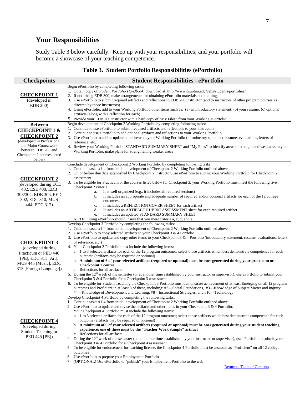# **Your Responsibilities**

<span id="page-7-0"></span>Study Table 3 below carefully. Keep up with your responsibilities; and your portfolio will become a showcase of your teaching competence.

| <b>Checkpoints</b>                                                                                                                                                                       | <b>Student Responsibilities - ePortfolio</b>                                                                                                                                                                                                                                                                                                                                                                                                                                                                                                                                                                                                                                                                                                                                                                                                                                                                                                                                                                                                                                                                                                                                                                                                                                                                                                                                                                                                                                    |  |  |  |  |
|------------------------------------------------------------------------------------------------------------------------------------------------------------------------------------------|---------------------------------------------------------------------------------------------------------------------------------------------------------------------------------------------------------------------------------------------------------------------------------------------------------------------------------------------------------------------------------------------------------------------------------------------------------------------------------------------------------------------------------------------------------------------------------------------------------------------------------------------------------------------------------------------------------------------------------------------------------------------------------------------------------------------------------------------------------------------------------------------------------------------------------------------------------------------------------------------------------------------------------------------------------------------------------------------------------------------------------------------------------------------------------------------------------------------------------------------------------------------------------------------------------------------------------------------------------------------------------------------------------------------------------------------------------------------------------|--|--|--|--|
| <b>CHECKPOINT 1</b><br>(developed in<br>EDB 200)                                                                                                                                         | Begin ePortfolio by completing following tasks:<br>1. Obtain copy of Student Portfolio Handbook: download at: http://www.csuohio.edu/cehs/students/portfolios/<br>2. If not taking EDB 300, make arrangements for obtaining ePortfolio materials and training.<br>3. Use ePortfolio to submit required artifacts and reflections to EDB 200 instructor (and to instructors of other program courses as<br>directed by those instructors)<br>4. Using ePortfolio, add to your Working Portfolio other items such as: (a) an introductory statement; (b) your resume; (c) optional<br>artifacts (along with a reflection for each)<br>5. Provide your EDB 200 instructor with a hard copy of "My Files" from your Working ePortfolio                                                                                                                                                                                                                                                                                                                                                                                                                                                                                                                                                                                                                                                                                                                                              |  |  |  |  |
| <b>Between</b><br><b>CHECKPOINT 1 &amp;</b><br><b>CHECKPOINT 2</b><br>(developed in Professional<br>and Major Coursework<br>between EDB 200 and<br>Checkpoint 2 courses listed<br>below) | Begin development of Checkpoint 2 Working Portfolio by completing following tasks:<br>1. Continue to use ePortfolio to submit required artifacts and reflections to your instructors<br>2. Continue to use ePortfolio to add optional artifacts and reflections to your Working Portfolio<br>3. Use ePortfolio to add or update other items to your Working Portfolio (introductory statement, resume, evaluations, letters of<br>reference, etc.)<br>4. Review your Working Portfolio STANDARD SUMMARY SHEET and "My Files" to identify areas of strength and weakness in your<br>Working Portfolio; make plans for strengthening weaker areas                                                                                                                                                                                                                                                                                                                                                                                                                                                                                                                                                                                                                                                                                                                                                                                                                                 |  |  |  |  |
| <b>CHECKPOINT 2</b><br>(developed during ECE<br>402, ESE 400, EDB<br>303/304, EDB 305, PED<br>302, EDC 310, MUS<br>444, EDC 312)                                                         | Conclude development of Checkpoint 2 Working Portfolio by completing following tasks:<br>1. Continue tasks #1-4 from initial development of Checkpoint 2 Working Portfolio outlined above<br>2. On or before due date established by Checkpoint 2 instructor, use ePortfolio to submit your Working Portfolio for Checkpoint 2<br>assessment.<br>3. To be eligible for Practicum or the courses listed below for Checkpoint 3, your Working Portfolio must meet the following five<br>Checkpoint 2 criteria:<br>It is well organized (e.g., it includes all required sections)<br>a.<br>It includes an appropriate and adequate number of required and/or optional artifacts for each of the 12 college<br>b.<br>outcomes<br>It includes a REFLECTION COVER SHEET for each artifact<br>c.<br>It includes an ARTIFACT RUBRIC ASSESSMENT sheet for each required artifact<br>d.<br>It includes an updated STANDARD SUMMARY SHEET<br>e.<br>NOTE: Using ePortfolio should insure that you meet criteria a, c, d, and e.                                                                                                                                                                                                                                                                                                                                                                                                                                                             |  |  |  |  |
| <b>CHECKPOINT 3</b><br>(developed during<br>Practicum or PED 440<br>[PE], EDC 311 [Art],<br>MUS 445 [Music], EDC<br>313 [Foreign Language])                                              | Develop Checkpoint 3 Portfolio by completing the following tasks:<br>1. Continue tasks #1-4 from initial development of Checkpoint 2 Working Portfolio outlined above<br>2. Use ePortfolio to copy selected artifacts to your Checkpoint 3 & 4 Portfolio.<br>3. Use ePortfolio to update and copy other items to your Checkpoint 3 & 4 Portfolio (introductory statement, resume, evaluations, letters<br>of reference, etc.)<br>4. Your Checkpoint 3 Portfolio must include the following items:<br>a. 1 to 3 selected artifacts for each of the 12 program outcomes; select those artifacts which best demonstrate competence for each<br>outcome (artifacts may be required or optional)<br>b. A minimum of 6 of your selected artifacts (required or optional) must be ones generated during your practicum or<br><b>Checkpoint 3 course</b><br>c. Reflections for all artifacts<br>5. During the 12 <sup>th</sup> week of the semester (or at another time established by your instructor or supervisor), use ePortfolio to submit your<br>Checkpoint 3 & 4 Portfolio for a Checkpoint 3 assessment<br>6. To be eligible for Student Teaching the Checkpoint 3 Portfolio must demonstrate achievement of at least Emerging on all 12 program<br>outcomes and Proficient in at least 8 of these, including: #2—Social Foundations, #3—Knowledge of Subject Matter and Inquiry,<br>#4—Knowledge of Development and Learning, #8—Instructional Strategies, and #10—Technology |  |  |  |  |
| <b>CHECKPOINT 4</b><br>(developed during<br>Student Teaching or<br>PED 445 [PE])                                                                                                         | Develop Checkpoint 4 Portfolio by completing the following tasks:<br>1. Continue tasks #1-4 from initial development of Checkpoint 2 Working Portfolio outlined above<br>2. Use ePortfolio to update and revise the artifacts and other items in your Checkpoint $3 & 4$ Portfolio.<br>3. Your Checkpoint 4 Portfolio must include the following items:<br>a. 1 to 3 selected artifacts for each of the 12 program outcomes; select those artifacts which best demonstrate competence for each<br>outcome (artifacts may be required or optional)<br>b. A minimum of 6 of your selected artifacts (required or optional) must be ones generated during your student teaching<br>experience; one of these must be the "Teacher Work Sample" artifact<br>c. Reflections for all artifacts<br>4. During the $12th$ week of the semester (or at another time established by your instructor or supervisor), use ePortfolio to submit your<br>Checkpoint 3 & 4 Portfolio for a Checkpoint 4 assessment<br>5. To be eligible for endorsement for teaching license, the Checkpoint 4 Portfolio must be assessed as "Proficient" on all 12 college<br>outcomes<br>6. Use ePortfolio to prepare your Employment Portfolio<br>7. (OPTIONAL) Use ePortfolio to "publish" your Employment Portfolio to the web                                                                                                                                                                              |  |  |  |  |

# **Table 3. Student Portfolio Responsibilities (ePortfolio)**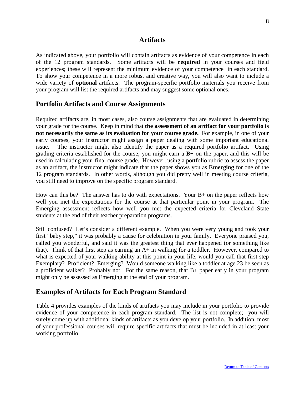# <span id="page-8-0"></span>**Artifacts**

As indicated above, your portfolio will contain artifacts as evidence of your competence in each of the 12 program standards. Some artifacts will be **required** in your courses and field experiences; these will represent the minimum evidence of your competence in each standard. To show your competence in a more robust and creative way, you will also want to include a wide variety of **optional** artifacts. The program-specific portfolio materials you receive from your program will list the required artifacts and may suggest some optional ones.

# **Portfolio Artifacts and Course Assignments**

Required artifacts are, in most cases, also course assignments that are evaluated in determining your grade for the course. Keep in mind that **the assessment of an artifact for your portfolio is not necessarily the same as its evaluation for your course grade.** For example, in one of your early courses, your instructor might assign a paper dealing with some important educational issue. The instructor might also identify the paper as a required portfolio artifact. Using grading criteria established for the course, you might earn a **B+** on the paper, and this will be used in calculating your final course grade. However, using a portfolio rubric to assess the paper as an artifact, the instructor might indicate that the paper shows you as **Emerging** for one of the 12 program standards. In other words, although you did pretty well in meeting course criteria, you still need to improve on the specific program standard.

How can this be? The answer has to do with expectations. Your B+ on the paper reflects how well you met the expectations for the course at that particular point in your program. The Emerging assessment reflects how well you met the expected criteria for Cleveland State students at the end of their teacher preparation programs.

Still confused? Let's consider a different example. When you were very young and took your first "baby step," it was probably a cause for celebration in your family. Everyone praised you, called you wonderful, and said it was the greatest thing that ever happened (or something like that). Think of that first step as earning an A+ in walking for a toddler. However, compared to what is expected of your walking ability at this point in your life, would you call that first step Exemplary? Proficient? Emerging? Would someone walking like a toddler at age 23 be seen as a proficient walker? Probably not. For the same reason, that B+ paper early in your program might only be assessed as Emerging at the end of your program.

# <span id="page-8-1"></span>**Examples of Artifacts for Each Program Standard**

Table 4 provides examples of the kinds of artifacts you may include in your portfolio to provide evidence of your competence in each program standard. The list is not complete; you will surely come up with additional kinds of artifacts as you develop your portfolio. In addition, most of your professional courses will require specific artifacts that must be included in at least your working portfolio.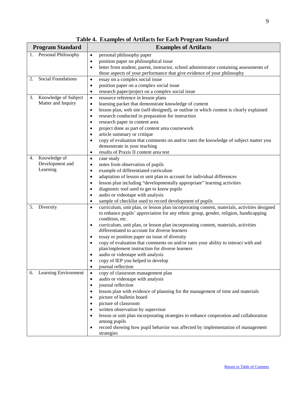<span id="page-9-0"></span>

| <b>Program Standard</b>         | <b>Examples of Artifacts</b>                                                                                                                                                    |
|---------------------------------|---------------------------------------------------------------------------------------------------------------------------------------------------------------------------------|
| 1. Personal Philosophy          | personal philosophy paper<br>$\bullet$                                                                                                                                          |
|                                 | position paper on philosophical issue<br>$\bullet$                                                                                                                              |
|                                 | letter from student, parent, instructor, school administrator containing assessments of<br>$\bullet$<br>those aspects of your performance that give evidence of your philosophy |
| <b>Social Foundations</b><br>2. | essay on a complex social issue                                                                                                                                                 |
|                                 | $\bullet$<br>position paper on a complex social issue<br>$\bullet$                                                                                                              |
|                                 | research paper/project on a complex social issue<br>$\bullet$                                                                                                                   |
| Knowledge of Subject<br>3.      | resource reference in lesson plans<br>$\bullet$                                                                                                                                 |
| Matter and Inquiry              | learning packet that demonstrate knowledge of content<br>$\bullet$                                                                                                              |
|                                 | lesson plan, web site (self-designed), or outline in which content is clearly explained<br>$\bullet$                                                                            |
|                                 | research conducted in preparation for instruction<br>$\bullet$                                                                                                                  |
|                                 | research paper in content area<br>٠                                                                                                                                             |
|                                 | project done as part of content area coursework                                                                                                                                 |
|                                 | article summary or critique                                                                                                                                                     |
|                                 | copy of evaluation that comments on and/or rates the knowledge of subject matter you<br>$\bullet$                                                                               |
|                                 | demonstrate in your teaching                                                                                                                                                    |
|                                 | results of Praxis II content area test<br>$\bullet$                                                                                                                             |
| Knowledge of<br>4.              | case study<br>$\bullet$                                                                                                                                                         |
| Development and                 | notes from observation of pupils<br>$\bullet$                                                                                                                                   |
| Learning                        | example of differentiated curriculum<br>$\bullet$                                                                                                                               |
|                                 | adaptation of lesson or unit plan to account for individual differences<br>٠                                                                                                    |
|                                 | lesson plan including "developmentally appropriate" learning activities                                                                                                         |
|                                 | diagnostic tool used to get to know pupils                                                                                                                                      |
|                                 | audio or videotape with analysis                                                                                                                                                |
|                                 | sample of checklist used to record development of pupils<br>٠                                                                                                                   |
| Diversity<br>5.                 | curriculum, unit plan, or lesson plan incorporating content, materials, activities designed<br>$\bullet$                                                                        |
|                                 | to enhance pupils' appreciation for any ethnic group, gender, religion, handicapping                                                                                            |
|                                 | condition, etc.                                                                                                                                                                 |
|                                 | curriculum, unit plan, or lesson plan incorporating content, materials, activities<br>$\bullet$                                                                                 |
|                                 | differentiated to account for diverse learners                                                                                                                                  |
|                                 | essay or position paper on issue of diversity<br>copy of evaluation that comments on and/or rates your ability to interact with and                                             |
|                                 | plan/implement instruction for diverse learners                                                                                                                                 |
|                                 | audio or videotape with analysis                                                                                                                                                |
|                                 | copy of IEP you helped to develop                                                                                                                                               |
|                                 | journal reflection                                                                                                                                                              |
| Learning Environment<br>6.      | copy of classroom management plan                                                                                                                                               |
|                                 | audio or videotape with analysis                                                                                                                                                |
|                                 | journal reflection                                                                                                                                                              |
|                                 | lesson plan with evidence of planning for the management of time and materials                                                                                                  |
|                                 | picture of bulletin board                                                                                                                                                       |
|                                 | picture of classroom                                                                                                                                                            |
|                                 | written observation by supervisor                                                                                                                                               |
|                                 | lesson or unit plan incorporating strategies to enhance cooperation and collaboration                                                                                           |
|                                 | among pupils                                                                                                                                                                    |
|                                 | record showing how pupil behavior was affected by implementation of management<br>$\bullet$                                                                                     |
|                                 | strategies                                                                                                                                                                      |

**Table 4. Examples of Artifacts for Each Program Standard**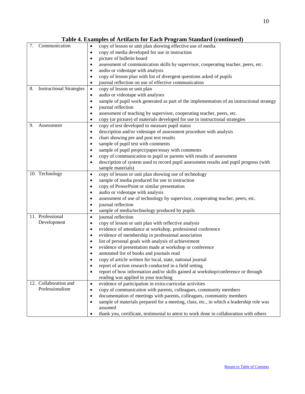|                                       | Table 4. Examples of Artifacts for Each Program Standard (continued)                                            |
|---------------------------------------|-----------------------------------------------------------------------------------------------------------------|
| Communication<br>7.                   | copy of lesson or unit plan showing effective use of media<br>$\bullet$                                         |
|                                       | copy of media developed for use in instruction<br>$\bullet$                                                     |
|                                       | picture of bulletin board<br>$\bullet$                                                                          |
|                                       | assessment of communication skills by supervisor, cooperating teacher, peers, etc.<br>٠                         |
|                                       | audio or videotape with analysis<br>٠                                                                           |
|                                       | copy of lesson plan with list of divergent questions asked of pupils<br>$\bullet$                               |
|                                       | journal reflection on use of effective communication<br>$\bullet$                                               |
| <b>Instructional Strategies</b><br>8. | copy of lesson or unit plan<br>$\bullet$                                                                        |
|                                       | audio or videotape with analyses                                                                                |
|                                       | sample of pupil work generated as part of the implementation of an instructional strategy<br>$\bullet$          |
|                                       | journal reflection<br>$\bullet$                                                                                 |
|                                       | assessment of teaching by supervisor, cooperating teacher, peers, etc.<br>$\bullet$                             |
|                                       | copy (or picture) of materials developed for use in instructional strategies<br>$\bullet$                       |
| 9.<br>Assessment                      | copy of test developed to measure pupil status<br>$\bullet$                                                     |
|                                       | description and/or videotape of assessment procedure with analysis<br>$\bullet$                                 |
|                                       | chart showing pre and post test results<br>$\bullet$                                                            |
|                                       | sample of pupil test with comments<br>$\bullet$                                                                 |
|                                       | sample of pupil project/paper/essay with comments<br>$\bullet$                                                  |
|                                       | copy of communication to pupil or parents with results of assessment<br>٠                                       |
|                                       | description of system used to record pupil assessment results and pupil progress (with<br>٠                     |
|                                       | sample materials)                                                                                               |
| 10. Technology                        | copy of lesson or unit plan showing use of technology<br>$\bullet$                                              |
|                                       | sample of media produced for use in instruction<br>$\bullet$                                                    |
|                                       | copy of PowerPoint or similar presentation<br>$\bullet$                                                         |
|                                       | audio or videotape with analysis<br>$\bullet$                                                                   |
|                                       | assessment of use of technology by supervisor, cooperating teacher, peers, etc.<br>$\bullet$                    |
|                                       | journal reflection<br>$\bullet$                                                                                 |
|                                       | sample of media/technology produced by pupils<br>٠                                                              |
| 11. Professional                      | journal reflection<br>$\bullet$                                                                                 |
| Development                           | copy of lesson or unit plan with reflective analysis<br>$\bullet$                                               |
|                                       | evidence of attendance at workshop, professional conference<br>$\bullet$                                        |
|                                       | evidence of membership in professional association<br>$\bullet$                                                 |
|                                       | list of personal goals with analysis of achievement<br>$\bullet$                                                |
|                                       | evidence of presentation made at workshop or conference<br>$\bullet$                                            |
|                                       | annotated list of books and journals read<br>$\bullet$                                                          |
|                                       | copy of article written for local, state, national journal<br>٠                                                 |
|                                       | report of action research conducted in a field setting<br>$\bullet$                                             |
|                                       | report of how information and/or skills gained at workshop/conference or through<br>$\bullet$                   |
| 12. Collaboration and                 | reading was applied in your teaching                                                                            |
| Professionalism                       | evidence of participation in extra-curricular activities<br>$\bullet$                                           |
|                                       | copy of communication with parents, colleagues, community members<br>$\bullet$                                  |
|                                       | documentation of meetings with parents, colleagues, community members<br>$\bullet$                              |
|                                       | sample of materials prepared for a meeting, class, etc., in which a leadership role was<br>$\bullet$<br>assumed |
|                                       | thank you, certificate, testimonial to attest to work done in collaboration with others<br>٠                    |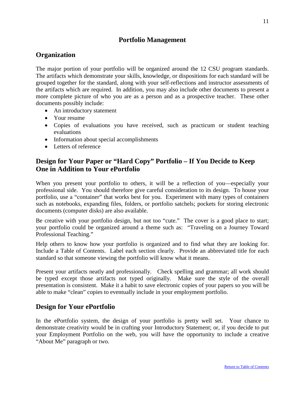# **Portfolio Management**

# <span id="page-11-0"></span>**Organization**

The major portion of your portfolio will be organized around the 12 CSU program standards. The artifacts which demonstrate your skills, knowledge, or dispositions for each standard will be grouped together for the standard, along with your self-reflections and instructor assessments of the artifacts which are required. In addition, you may also include other documents to present a more complete picture of who you are as a person and as a prospective teacher. These other documents possibly include:

- An introductory statement
- Your resume
- Copies of evaluations you have received, such as practicum or student teaching evaluations
- Information about special accomplishments
- Letters of reference

# **Design for Your Paper or "Hard Copy" Portfolio – If You Decide to Keep One in Addition to Your ePortfolio**

When you present your portfolio to others, it will be a reflection of you—especially your professional side. You should therefore give careful consideration to its design. To house your portfolio, use a "container" that works best for you. Experiment with many types of containers such as notebooks, expanding files, folders, or portfolio satchels; pockets for storing electronic documents (computer disks) are also available.

Be creative with your portfolio design, but not too "cute." The cover is a good place to start; your portfolio could be organized around a theme such as: "Traveling on a Journey Toward Professional Teaching."

Help others to know how your portfolio is organized and to find what they are looking for. Include a Table of Contents. Label each section clearly. Provide an abbreviated title for each standard so that someone viewing the portfolio will know what it means.

Present your artifacts neatly and professionally. Check spelling and grammar; all work should be typed except those artifacts not typed originally. Make sure the style of the overall presentation is consistent. Make it a habit to save electronic copies of your papers so you will be able to make "clean" copies to eventually include in your employment portfolio.

# <span id="page-11-1"></span>**Design for Your ePortfolio**

In the ePortfolio system, the design of your portfolio is pretty well set. Your chance to demonstrate creativity would be in crafting your Introductory Statement; or, if you decide to put your Employment Portfolio on the web, you will have the opportunity to include a creative "About Me" paragraph or two.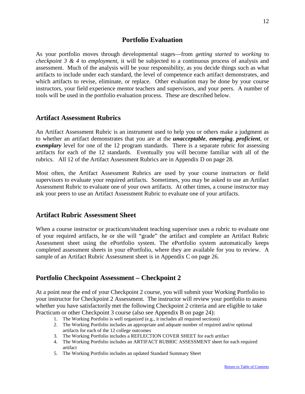# **Portfolio Evaluation**

<span id="page-12-0"></span>As your portfolio moves through developmental stages—from *getting started* to *working* to *checkpoint 3 & 4* to *employment*, it will be subjected to a continuous process of analysis and assessment. Much of the analysis will be your responsibility, as you decide things such as what artifacts to include under each standard, the level of competence each artifact demonstrates, and which artifacts to revise, eliminate, or replace. Other evaluation may be done by your course instructors, your field experience mentor teachers and supervisors, and your peers. A number of tools will be used in the portfolio evaluation process. These are described below.

# **Artifact Assessment Rubrics**

An Artifact Assessment Rubric is an instrument used to help you or others make a judgment as to whether an artifact demonstrates that you are at the *unacceptable*, *emerging*, *proficient*, or *exemplary* level for one of the 12 program standards. There is a separate rubric for assessing artifacts for each of the 12 standards. Eventually you will become familiar with all of the rubrics. All 12 of the Artifact Assessment Rubrics are in Appendix D on page 28.

Most often, the Artifact Assessment Rubrics are used by your course instructors or field supervisors to evaluate your required artifacts. Sometimes, you may be asked to use an Artifact Assessment Rubric to evaluate one of your own artifacts. At other times, a course instructor may ask your peers to use an Artifact Assessment Rubric to evaluate one of your artifacts.

# <span id="page-12-1"></span>**Artifact Rubric Assessment Sheet**

When a course instructor or practicum/student teaching supervisor uses a rubric to evaluate one of your required artifacts, he or she will "grade" the artifact and complete an Artifact Rubric Assessment sheet using the ePortfolio system. The ePortfolio system automatically keeps completed assessment sheets in your ePortfolio, where they are available for you to review. A sample of an Artifact Rubric Assessment sheet is in Appendix C on page 26.

# <span id="page-12-2"></span>**Portfolio Checkpoint Assessment – Checkpoint 2**

At a point near the end of your Checkpoint 2 course, you will submit your Working Portfolio to your instructor for Checkpoint 2 Assessment. The instructor will review your portfolio to assess whether you have satisfactorily met the following Checkpoint 2 criteria and are eligible to take Practicum or other Checkpoint 3 course (also see Appendix B on page 24):<br>1. The Working Portfolio is well organized (e.g., it includes all required sections)

- 
- 2. The Working Portfolio includes an appropriate and adquate number of required and/or optional artifacts for each of the 12 college outcomes
- 3. The Working Portfolio includes a REFLECTION COVER SHEET for each artifact
- 4. The Working Portfolio includes an ARTIFACT RUBRIC ASSESSMENT sheet for each required artifact
- 5. The Working Portfolio includes an updated Standard Summary Sheet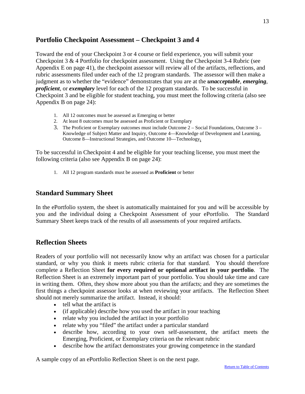# <span id="page-13-0"></span>**Portfolio Checkpoint Assessment – Checkpoint 3 and 4**

Toward the end of your Checkpoint 3 or 4 course or field experience, you will submit your Checkpoint 3 & 4 Portfolio for checkpoint assessment. Using the Checkpoint 3-4 Rubric (see Appendix E on page 41), the checkpoint assessor will review all of the artifacts, reflections, and rubric assessments filed under each of the 12 program standards. The assessor will then make a judgment as to whether the "evidence" demonstrates that you are at the *unacceptable*, *emerging*, *proficient*, or *exemplary* level for each of the 12 program standards. To be successful in Checkpoint 3 and be eligible for student teaching, you must meet the following criteria (also see Appendix B on page 24):

- 1. All 12 outcomes must be assessed as Emerging or better
- 2. At least 8 outcomes must be assessed as Proficient or Exemplary
- 3. The Proficient or Exemplary outcomes must include Outcome 2 Social Foundations, Outcome 3 Knowledge of Subject Matter and Inquiry, Outcome 4—Knowledge of Development and Learning, Outcome 8—Instructional Strategies, and Outcome 10—Technology**.**

To be successful in Checkpoint 4 and be eligible for your teaching license, you must meet the following criteria (also see Appendix B on page 24):

1. All 12 program standards must be assessed as **Proficient** or better

# **Standard Summary Sheet**

In the ePortfolio system, the sheet is automatically maintained for you and will be accessible by you and the individual doing a Checkpoint Assessment of your ePortfolio. The Standard Summary Sheet keeps track of the results of all assessments of your required artifacts.

# <span id="page-13-1"></span>**Reflection Sheets**

Readers of your portfolio will not necessarily know why an artifact was chosen for a particular standard, or why you think it meets rubric criteria for that standard. You should therefore complete a Reflection Sheet **for every required or optional artifact in your portfolio**. The Reflection Sheet is an extremely important part of your portfolio. You should take time and care in writing them. Often, they show more about you than the artifacts; and they are sometimes the first things a checkpoint assessor looks at when reviewing your artifacts. The Reflection Sheet should not merely summarize the artifact. Instead, it should:

- tell what the artifact is
- (if applicable) describe how you used the artifact in your teaching
- relate why you included the artifact in your portfolio
- relate why you "filed" the artifact under a particular standard
- describe how, according to your own self-assessment, the artifact meets the Emerging, Proficient, or Exemplary criteria on the relevant rubric
- describe how the artifact demonstrates your growing competence in the standard

A sample copy of an ePortfolio Reflection Sheet is on the next page.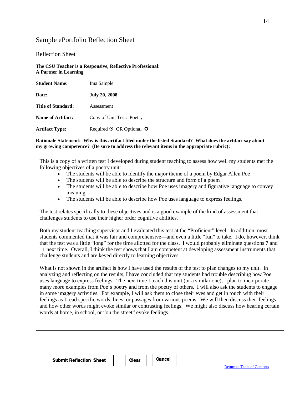# <span id="page-14-0"></span>Sample ePortfolio Reflection Sheet

### Reflection Sheet

**The CSU Teacher is a Responsive, Reflective Professional: A Partner in Learning**

| <b>Student Name:</b>     | Ima Sample                           |
|--------------------------|--------------------------------------|
| Date:                    | <b>July 20, 2008</b>                 |
| Title of Standard:       | Assessment                           |
| <b>Name of Artifact:</b> | Copy of Unit Test: Poetry            |
| <b>Artifact Type:</b>    | Required $\odot$ OR Optional $\odot$ |

### **Rationale Statement: Why is this artifact filed under the listed Standard? What does the artifact say about my growing competence? (Be sure to address the relevant items in the appropriate rubric):**

This is a copy of a written test I developed during student teaching to assess how well my students met the following objectives of a poetry unit:

- The students will be able to identify the major theme of a poem by Edgar Allen Poe
- The students will be able to describe the structure and form of a poem
- The students will be able to describe how Poe uses imagery and figurative language to convey meaning
- The students will be able to describe how Poe uses language to express feelings.

The test relates specifically to these objectives and is a good example of the kind of assessment that challenges students to use their higher order cognitive abilities.

Both my student teaching supervisor and I evaluated this test at the "Proficient" level. In addition, most students commented that it was fair and comprehensive—and even a little "fun" to take. I do, however, think that the test was a little "long" for the time allotted for the class. I would probably eliminate questions 7 and 11 next time. Overall, I think the test shows that I am competent at developing assessment instruments that challenge students and are keyed directly to learning objectives.

What is not shown in the artifact is how I have used the results of the test to plan changes to my unit. In analyzing and reflecting on the results, I have concluded that my students had trouble describing how Poe uses language to express feelings. The next time I teach this unit (or a similar one), I plan to incorporate many more examples from Poe's poetry and from the poetry of others. I will also ask the students to engage in some imagery activities. For example, I will ask them to close their eyes and get in touch with their feelings as I read specific words, lines, or passages from various poems. We will then discuss their feelings and how other words might evoke similar or contrasting feelings. We might also discuss how hearing certain words at home, in school, or "on the street" evoke feelings.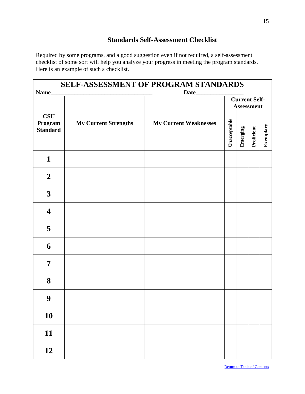# **Standards Self-Assessment Checklist**

<span id="page-15-0"></span>Required by some programs, and a good suggestion even if not required, a self-assessment checklist of some sort will help you analyze your progress in meeting the program standards. Here is an example of such a checklist.

| <b>SELF-ASSESSMENT OF PROGRAM STANDARDS</b><br>Name<br><b>Date</b> |                             |                              |                                           |          |            |           |  |
|--------------------------------------------------------------------|-----------------------------|------------------------------|-------------------------------------------|----------|------------|-----------|--|
|                                                                    |                             |                              | <b>Current Self-</b><br><b>Assessment</b> |          |            |           |  |
| $\bf CSU$<br>Program<br><b>Standard</b>                            | <b>My Current Strengths</b> | <b>My Current Weaknesses</b> | Unacceptable                              | Emerging | Proficient | Exemplary |  |
| $\mathbf{1}$                                                       |                             |                              |                                           |          |            |           |  |
| $\boldsymbol{2}$                                                   |                             |                              |                                           |          |            |           |  |
| $\mathbf{3}$                                                       |                             |                              |                                           |          |            |           |  |
| $\overline{\mathbf{4}}$                                            |                             |                              |                                           |          |            |           |  |
| 5                                                                  |                             |                              |                                           |          |            |           |  |
| 6                                                                  |                             |                              |                                           |          |            |           |  |
| 7                                                                  |                             |                              |                                           |          |            |           |  |
| 8                                                                  |                             |                              |                                           |          |            |           |  |
| $\boldsymbol{9}$                                                   |                             |                              |                                           |          |            |           |  |
| 10                                                                 |                             |                              |                                           |          |            |           |  |
| 11                                                                 |                             |                              |                                           |          |            |           |  |
| 12                                                                 |                             |                              |                                           |          |            |           |  |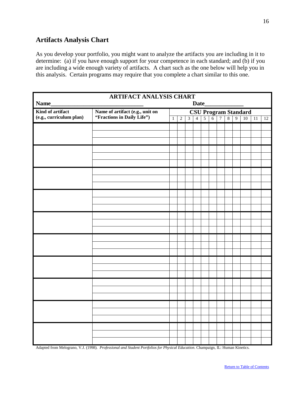# <span id="page-16-0"></span>**Artifacts Analysis Chart**

As you develop your portfolio, you might want to analyze the artifacts you are including in it to determine: (a) if you have enough support for your competence in each standard; and (b) if you are including a wide enough variety of artifacts. A chart such as the one below will help you in this analysis. Certain programs may require that you complete a chart similar to this one.

| <b>ARTIFACT ANALYSIS CHART</b><br>Name<br>Date |                                 |                                                                                                            |                |                |  |  |  |  |    |    |
|------------------------------------------------|---------------------------------|------------------------------------------------------------------------------------------------------------|----------------|----------------|--|--|--|--|----|----|
| Kind of artifact                               | Name of artifact (e.g., unit on | $\frac{\textbf{CSU Program Standard}}{\frac{3}{3} \mid 4 \mid 5 \mid 6 \mid 7 \mid 8 \mid 9 \mid 10 \mid}$ |                |                |  |  |  |  |    |    |
| (e.g., curriculum plan)                        | "Fractions in Daily Life")      | $\overline{1}$                                                                                             | $\overline{2}$ | $\overline{3}$ |  |  |  |  | 11 | 12 |
|                                                |                                 |                                                                                                            |                |                |  |  |  |  |    |    |
|                                                |                                 |                                                                                                            |                |                |  |  |  |  |    |    |
|                                                |                                 |                                                                                                            |                |                |  |  |  |  |    |    |
|                                                |                                 |                                                                                                            |                |                |  |  |  |  |    |    |
|                                                |                                 |                                                                                                            |                |                |  |  |  |  |    |    |
|                                                |                                 |                                                                                                            |                |                |  |  |  |  |    |    |
|                                                |                                 |                                                                                                            |                |                |  |  |  |  |    |    |
|                                                |                                 |                                                                                                            |                |                |  |  |  |  |    |    |
|                                                |                                 |                                                                                                            |                |                |  |  |  |  |    |    |
|                                                |                                 |                                                                                                            |                |                |  |  |  |  |    |    |
|                                                |                                 |                                                                                                            |                |                |  |  |  |  |    |    |
|                                                |                                 |                                                                                                            |                |                |  |  |  |  |    |    |
|                                                |                                 |                                                                                                            |                |                |  |  |  |  |    |    |
|                                                |                                 |                                                                                                            |                |                |  |  |  |  |    |    |
|                                                |                                 |                                                                                                            |                |                |  |  |  |  |    |    |
|                                                |                                 |                                                                                                            |                |                |  |  |  |  |    |    |
|                                                |                                 |                                                                                                            |                |                |  |  |  |  |    |    |
|                                                |                                 |                                                                                                            |                |                |  |  |  |  |    |    |
|                                                |                                 |                                                                                                            |                |                |  |  |  |  |    |    |
|                                                |                                 |                                                                                                            |                |                |  |  |  |  |    |    |
|                                                |                                 |                                                                                                            |                |                |  |  |  |  |    |    |
|                                                |                                 |                                                                                                            |                |                |  |  |  |  |    |    |
|                                                |                                 |                                                                                                            |                |                |  |  |  |  |    |    |
|                                                |                                 |                                                                                                            |                |                |  |  |  |  |    |    |
|                                                |                                 |                                                                                                            |                |                |  |  |  |  |    |    |
|                                                |                                 |                                                                                                            |                |                |  |  |  |  |    |    |
|                                                |                                 |                                                                                                            |                |                |  |  |  |  |    |    |
|                                                |                                 |                                                                                                            |                |                |  |  |  |  |    |    |

Adapted from Melograno, V.J. (1998). *Professional and Student Portfolios for Physical Education*. Champaign, IL: Human Kinetics.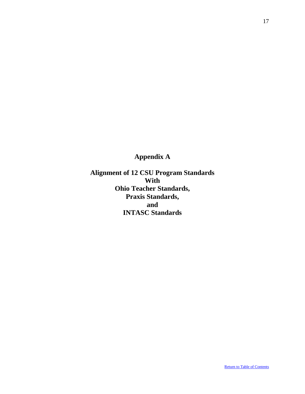<span id="page-17-0"></span>**Appendix A**

**Alignment of 12 CSU Program Standards With Ohio Teacher Standards, Praxis Standards, and INTASC Standards**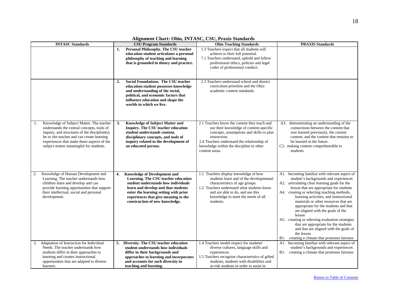| <b>INTASC Standards</b>                                                                                                                                                                                                                                                            | <b>CSU Program Standards</b>                                                                                                                                                                                                                                                      | <b>Ohio Teaching Standards</b>                                                                                                                                                                                                                                   | <b>PRAXIS Standards</b>                                                                                                                                                                                                                                                                                                                                                                                                                                                                                                                                                                                            |
|------------------------------------------------------------------------------------------------------------------------------------------------------------------------------------------------------------------------------------------------------------------------------------|-----------------------------------------------------------------------------------------------------------------------------------------------------------------------------------------------------------------------------------------------------------------------------------|------------------------------------------------------------------------------------------------------------------------------------------------------------------------------------------------------------------------------------------------------------------|--------------------------------------------------------------------------------------------------------------------------------------------------------------------------------------------------------------------------------------------------------------------------------------------------------------------------------------------------------------------------------------------------------------------------------------------------------------------------------------------------------------------------------------------------------------------------------------------------------------------|
|                                                                                                                                                                                                                                                                                    | Personal Philosophy. The CSU teacher<br>1.<br>education student articulates a personal<br>philosophy of teaching and learning<br>that is grounded in theory and practice.                                                                                                         | 1.3 Teachers expect that all students will<br>achieve to their full potential.<br>7.1 Teachers understand, uphold and follow<br>professional ethics, policies and legal<br>codes of professional conduct.                                                        |                                                                                                                                                                                                                                                                                                                                                                                                                                                                                                                                                                                                                    |
|                                                                                                                                                                                                                                                                                    | Social Foundations. The CSU teacher<br>2.<br>education student possesses knowledge<br>and understanding of the social,<br>political, and economic factors that<br>influence education and shape the<br>worlds in which we live.                                                   | 2.3 Teachers understand school and district<br>curriculum priorities and the Ohio<br>academic content standards.                                                                                                                                                 |                                                                                                                                                                                                                                                                                                                                                                                                                                                                                                                                                                                                                    |
| Knowledge of Subject Matter. The teacher<br>1.<br>understands the central concepts, tools of<br>inquiry, and structures of the discipline(s)<br>he or she teaches and can create learning<br>experiences that make these aspects of the<br>subject matter meaningful for students. | 3.<br><b>Knowledge of Subject Matter and</b><br><b>Inquiry. The CSU teacher education</b><br>student understands content,<br>disciplinary concepts, and tools of<br>inquiry related to the development of<br>an educated person.                                                  | 2.1 Teachers know the content they teach and<br>use their knowledge of content-specific<br>concepts, assumptions and skills to plan<br>instruction.<br>2.4 Teachers understand the relationship of<br>knowledge within the discipline to other<br>content areas. | A3. demonstrating an understanding of the<br>connections between the content that<br>was learned previously, the current<br>content, and the content that remains to<br>be learned in the future.<br>C2. making content comprehensible to<br>students                                                                                                                                                                                                                                                                                                                                                              |
| Knowledge of Human Development and<br>2.<br>Learning. The teacher understands how<br>children learn and develop and can<br>provide learning opportunities that support<br>their intellectual, social and personal<br>development.                                                  | <b>Knowledge of Development and</b><br>4.<br>Learning. The CSU teacher education<br>student understands how individuals<br>learn and develop and that students<br>enter the learning setting with prior<br>experiences that give meaning to the<br>construction of new knowledge. | 1.1 Teachers display knowledge of how<br>students learn and of the developmental<br>characteristics of age groups.<br>1.2 Teachers understand what students know<br>and are able to do, and use this<br>knowledge to meet the needs of all<br>students.          | A1. becoming familiar with relevant aspect of<br>student's backgrounds and experiences<br>A2. articulating clear learning goals for the<br>lesson that are appropriate for students<br>A4. creating or selecting teaching methods,<br>learning activities, and instructional<br>materials or other resources that are<br>appropriate for the students and that<br>are aligned with the goals of the<br>lesson<br>A5. creating or selecting evaluation strategies<br>that are appropriate for the students<br>and that are aligned with the goals of<br>the lesson<br>B1. creating a climate that promotes fairness |
| Adaptation of Instruction for Individual<br>3.<br>Needs. The teacher understands how<br>students differ in their approaches to<br>learning and creates instructional<br>opportunities that are adapted to diverse<br>learners.                                                     | Diversity. The CSU teacher education<br>5.<br>student understands how individuals<br>differ in their backgrounds and<br>approaches to learning and incorporates<br>and accounts for such diversity in<br>teaching and learning.                                                   | 1.4 Teachers model respect for students'<br>diverse cultures, language skills and<br>experiences.<br>1.5 Teachers recognize characteristics of gifted<br>students, students with disabilities and<br>at-risk students in order to assist in                      | A1. becoming familiar with relevant aspect of<br>student's backgrounds and experiences<br>B1. creating a climate that promotes fairness                                                                                                                                                                                                                                                                                                                                                                                                                                                                            |

**Alignment Chart: Ohio, INTASC, CSU, Praxis Standards**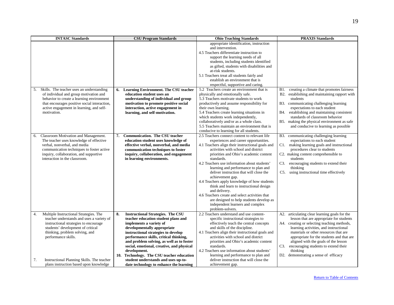| <b>INTASC Standards</b>                          | <b>CSU Program Standards</b>                   | <b>Ohio Teaching Standards</b>                   | <b>PRAXIS Standards</b>                          |
|--------------------------------------------------|------------------------------------------------|--------------------------------------------------|--------------------------------------------------|
|                                                  |                                                | appropriate identification, instruction          |                                                  |
|                                                  |                                                | and intervention.                                |                                                  |
|                                                  |                                                | 4.5 Teachers differentiate instruction to        |                                                  |
|                                                  |                                                | support the learning needs of all                |                                                  |
|                                                  |                                                | students, including students identified          |                                                  |
|                                                  |                                                | as gifted, students with disabilities and        |                                                  |
|                                                  |                                                | at-risk students.                                |                                                  |
|                                                  |                                                | 5.1 Teachers treat all students fairly and       |                                                  |
|                                                  |                                                | establish an environment that is                 |                                                  |
|                                                  |                                                | respectful, supportive and caring.               |                                                  |
| Skills. The teacher uses an understanding<br>5.  | 6. Learning Environment. The CSU teacher       | 5.2 Teachers create an environment that is       | B1. creating a climate that promotes fairness    |
| of individual and group motivation and           | education student uses an                      | physically and emotionally safe.                 | B2. establishing and maintaining rapport with    |
| behavior to create a learning environment        | understanding of individual and group          | 5.3 Teachers motivate students to work           | students                                         |
| that encourages positive social interaction,     | motivation to promote positive social          | productively and assume responsibility for       | B3. communicating challenging learning           |
| active engagement in learning, and self-         | interaction, active engagement in              | their own learning.                              | expectations to each student                     |
| motivation.                                      | learning, and self-motivation.                 | 5.4 Teachers create learning situations in       | establishing and maintaining consistent<br>B4.   |
|                                                  |                                                | which students work independently,               | standards of classroom behavior                  |
|                                                  |                                                | collaboratively and/or as a whole class.         | B5. making the physical environment as safe      |
|                                                  |                                                | 5.5 Teachers maintain an environment that is     | and conducive to learning as possible            |
|                                                  |                                                | conducive to learning for all students.          |                                                  |
| Classroom Motivation and Management.<br>6.       | <b>Communication. The CSU teacher</b><br>7.    | 2.5 Teachers connect content to relevant life    | communicating challenging learning<br><b>B3.</b> |
| The teacher uses knowledge of effective          | education student uses knowledge of            | experiences and career opportunities.            | expectations to each student                     |
| verbal, nonverbal, and media                     | effective verbal, nonverbal, and media         | 4.1 Teachers align their instructional goals and | making learning goals and instructional<br>C1.   |
| communication techniques to foster active        | communication techniques to foster             | activities with school and district              | procedures clear to students                     |
| inquiry, collaboration, and supportive           | inquiry, collaboration, and engagement         | priorities and Ohio's academic content           | C2. making content comprehensible to             |
| interaction in the classroom.                    | in learning environments.                      | standards.                                       | students                                         |
|                                                  |                                                | 4.2 Teachers use information about students'     | C3.<br>encouraging students to extend their      |
|                                                  |                                                | learning and performance to plan and             | thinking                                         |
|                                                  |                                                | deliver instruction that will close the          | using instructional time effectively<br>C5.      |
|                                                  |                                                | achievement gap.                                 |                                                  |
|                                                  |                                                | 4.4 Teachers apply knowledge of how students     |                                                  |
|                                                  |                                                | think and learn to instructional design          |                                                  |
|                                                  |                                                | and delivery.                                    |                                                  |
|                                                  |                                                | 4.6 Teachers create and select activities that   |                                                  |
|                                                  |                                                | are designed to help students develop as         |                                                  |
|                                                  |                                                | independent learners and complex                 |                                                  |
|                                                  |                                                | problem-solvers.                                 |                                                  |
| Multiple Instructional Strategies. The<br>4.     | <b>Instructional Strategies. The CSU</b><br>8. | 2.2 Teachers understand and use content-         | A2. articulating clear learning goals for the    |
| teacher understands and uses a variety of        | teacher education student plans and            | specific instructional strategies to             | lesson that are appropriate for students         |
| instructional strategies to encourage            | implements a variety of                        | effectively teach the central concepts           | A4. creating or selecting teaching methods,      |
| students' development of critical                | developmentally appropriate                    | and skills of the discipline.                    | learning activities, and instructional           |
| thinking, problem solving, and                   | instructional strategies to develop            | 4.1 Teachers align their instructional goals and | materials or other resources that are            |
| performance skills.                              | performance skills, critical thinking,         | activities with school and district              | appropriate for the students and that are        |
|                                                  | and problem solving, as well as to foster      | priorities and Ohio's academic content           | aligned with the goals of the lesson             |
|                                                  | social, emotional, creative, and physical      | standards.                                       | C3.<br>encouraging students to extend their      |
|                                                  | development.                                   | 4.2 Teachers use information about students'     | thinking                                         |
|                                                  | 10. Technology. The CSU teacher education      | learning and performance to plan and             | D2. demonstrating a sense of efficacy            |
| 7.<br>Instructional Planning Skills. The teacher | student understands and uses up-to-            | deliver instruction that will close the          |                                                  |
| plans instruction based upon knowledge           | date technology to enhance the learning        | achievement gap.                                 |                                                  |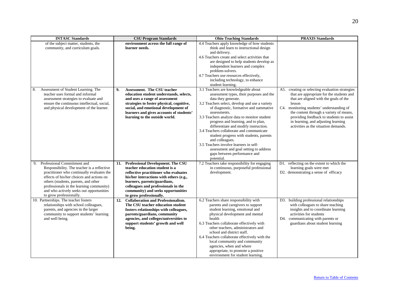| <b>INTASC Standards</b>                                                                                                                                                                                                                                                                                                                | <b>CSU Program Standards</b>                                                                                                                                                                                                                                                                                  | <b>Ohio Teaching Standards</b>                                                                                                                                                                                                                                                                                                                                                                                                                                                                                                                                                                  | <b>PRAXIS Standards</b>                                                                                                                                                                                                                                                                                                                                             |
|----------------------------------------------------------------------------------------------------------------------------------------------------------------------------------------------------------------------------------------------------------------------------------------------------------------------------------------|---------------------------------------------------------------------------------------------------------------------------------------------------------------------------------------------------------------------------------------------------------------------------------------------------------------|-------------------------------------------------------------------------------------------------------------------------------------------------------------------------------------------------------------------------------------------------------------------------------------------------------------------------------------------------------------------------------------------------------------------------------------------------------------------------------------------------------------------------------------------------------------------------------------------------|---------------------------------------------------------------------------------------------------------------------------------------------------------------------------------------------------------------------------------------------------------------------------------------------------------------------------------------------------------------------|
| of the subject matter, students, the<br>community, and curriculum goals.                                                                                                                                                                                                                                                               | environment across the full range of<br>learner needs.                                                                                                                                                                                                                                                        | 4.4 Teachers apply knowledge of how students<br>think and learn to instructional design<br>and delivery.<br>4.6 Teachers create and select activities that<br>are designed to help students develop as<br>independent learners and complex<br>problem-solvers.<br>4.7 Teachers use resources effectively,<br>including technology, to enhance<br>student learning.                                                                                                                                                                                                                              |                                                                                                                                                                                                                                                                                                                                                                     |
| Assessment of Student Learning. The<br>8.<br>teacher uses formal and informal<br>assessment strategies to evaluate and<br>ensure the continuous intellectual, social,<br>and physical development of the learner.                                                                                                                      | Assessment. The CSU teacher<br>9.<br>education student understands, selects,<br>and uses a range of assessment<br>strategies to foster physical, cognitive,<br>social, and emotional development of<br>learners and gives accounts of students'<br>learning to the outside world.                             | 3.1 Teachers are knowledgeable about<br>assessment types, their purposes and the<br>data they generate.<br>3.2 Teachers select, develop and use a variety<br>of diagnostic, formative and summative<br>assessments.<br>3.3 Teachers analyze data to monitor student<br>progress and learning, and to plan,<br>differentiate and modify instruction.<br>3.4 Teachers collaborate and communicate<br>student progress with students, parents<br>and colleagues.<br>3.5 Teachers involve learners in self-<br>assessment and goal setting to address<br>gaps between performance and<br>potential. | A5. creating or selecting evaluation strategies<br>that are appropriate for the students and<br>that are aligned with the goals of the<br>lesson<br>C4. monitoring students' understanding of<br>the content through a variety of means,<br>providing feedback to students to assist<br>in learning, and adjusting learning<br>activities as the situation demands. |
| Professional Commitment and<br>9.<br>Responsibility. The teacher is a reflective<br>practitioner who continually evaluates the<br>effects of his/her choices and actions on<br>others (students, parents, and other<br>professionals in the learning community)<br>and who actively seeks out opportunities<br>to grow professionally. | <b>Professional Development. The CSU</b><br>11.<br>teacher education student is a<br>reflective practitioner who evaluates<br>his/her interactions with others (e.g.,<br>learners, parents/guardians,<br>colleagues and professionals in the<br>community) and seeks opportunities<br>to grow professionally. | 7.2 Teachers take responsibility for engaging<br>in continuous, purposeful professional<br>development.                                                                                                                                                                                                                                                                                                                                                                                                                                                                                         | D1. reflecting on the extent to which the<br>learning goals were met<br>D2. demonstrating a sense of efficacy                                                                                                                                                                                                                                                       |
| 10. Partnerships. The teacher fosters<br>relationships with school colleagues,<br>parents, and agencies in the larger<br>community to support students' learning<br>and well being.                                                                                                                                                    | <b>Collaboration and Professionalism.</b><br>12.<br>The CSU teacher education student<br>fosters relationships with colleagues,<br>parents/guardians, community<br>agencies, and colleges/universities to<br>support students' growth and well<br>being.                                                      | 6.2 Teachers share responsibility with<br>parents and caregivers to support<br>student learning, emotional and<br>physical development and mental<br>health<br>6.3 Teachers collaborate effectively with<br>other teachers, administrators and<br>school and district staff.<br>6.4 Teachers collaborate effectively with the<br>local community and community<br>agencies, when and where<br>appropriate, to promote a positive<br>environment for student learning.                                                                                                                           | D3. building professional relationships<br>with colleagues to share teaching<br>insights and to coordinate learning<br>activities for students<br>communicating with parents or<br>D4.<br>guardians about student learning                                                                                                                                          |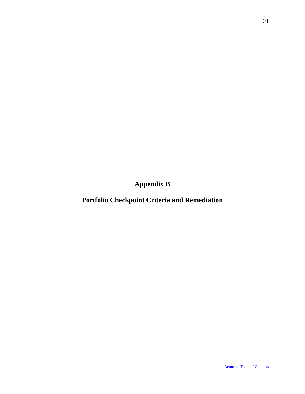<span id="page-21-0"></span>**Appendix B**

**Portfolio Checkpoint Criteria and Remediation**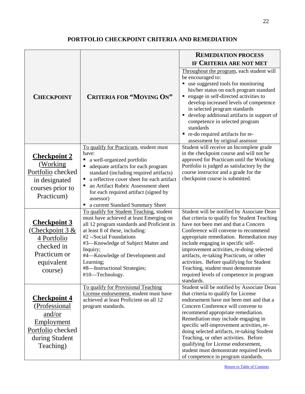# **PORTFOLIO CHECKPOINT CRITERIA AND REMEDIATION**

|                                                                                                                         |                                                                                                                                                                                                                                                                                                                                                      | <b>REMEDIATION PROCESS</b>                                                                                                                                                                                                                                                                                                                                                                                                                                                                          |  |  |
|-------------------------------------------------------------------------------------------------------------------------|------------------------------------------------------------------------------------------------------------------------------------------------------------------------------------------------------------------------------------------------------------------------------------------------------------------------------------------------------|-----------------------------------------------------------------------------------------------------------------------------------------------------------------------------------------------------------------------------------------------------------------------------------------------------------------------------------------------------------------------------------------------------------------------------------------------------------------------------------------------------|--|--|
|                                                                                                                         |                                                                                                                                                                                                                                                                                                                                                      | IF CRITERIA ARE NOT MET                                                                                                                                                                                                                                                                                                                                                                                                                                                                             |  |  |
| <b>CHECKPOINT</b>                                                                                                       | <b>CRITERIA FOR "MOVING ON"</b>                                                                                                                                                                                                                                                                                                                      | Throughout the program, each student will<br>be encouraged to:<br>use suggested tools for monitoring<br>his/her status on each program standard<br>engage in self-directed activities to<br>٠<br>develop increased levels of competence<br>in selected program standards<br>develop additional artifacts in support of<br>competence in selected program<br>standards<br>• re-do required artifacts for re-<br>assessment by original assessor                                                      |  |  |
|                                                                                                                         | To qualify for Practicum, student must                                                                                                                                                                                                                                                                                                               | Student will receive an Incomplete grade                                                                                                                                                                                                                                                                                                                                                                                                                                                            |  |  |
| <b>Checkpoint 2</b><br>(Working)<br>Portfolio checked<br>in designated                                                  | have:<br>a well-organized portfolio<br>Е<br>adequate artifacts for each program<br>standard (including required artifacts)<br>a reflective cover sheet for each artifact<br>an Artifact Rubric Assessment sheet                                                                                                                                      | in the checkpoint course and will not be<br>approved for Practicum until the Working<br>Portfolio is judged as satisfactory by the<br>course instructor and a grade for the<br>checkpoint course is submitted.                                                                                                                                                                                                                                                                                      |  |  |
| courses prior to<br>Practicum)                                                                                          | for each required artifact (signed by<br>assessor)<br>a current Standard Summary Sheet<br>Е                                                                                                                                                                                                                                                          |                                                                                                                                                                                                                                                                                                                                                                                                                                                                                                     |  |  |
| <b>Checkpoint 3</b><br>Checkpoint $3 &$<br>4 Portfolio<br>checked in<br>Practicum or<br>equivalent<br>course)           | To qualify for Student Teaching, student<br>must have achieved at least Emerging on<br>all 12 program standards and Proficient in<br>at least 8 of these, including:<br>#2 --Social Foundations<br>#3—Knowledge of Subject Matter and<br>Inquiry;<br>#4—Knowledge of Development and<br>Learning;<br>#8-Instructional Strategies;<br>#10-Technology. | Student will be notified by Associate Dean<br>that criteria to qualify for Student Teaching<br>have not been met and that a Concern<br>Conference will convene to recommend<br>appropriate remediation. Remediation may<br>include engaging in specific self-<br>improvement activities, re-doing selected<br>artifacts, re-taking Practicum, or other<br>activities. Before qualifying for Student<br>Teaching, student must demonstrate<br>required levels of competence in program<br>standards. |  |  |
| <b>Checkpoint 4</b><br>(Professional<br>and/or<br><b>Employment</b><br>Portfolio checked<br>during Student<br>Teaching) | To qualify for Provisional Teaching<br>License endorsement, student must have<br>achieved at least Proficient on all 12<br>program standards.                                                                                                                                                                                                        | Student will be notified by Associate Dean<br>that criteria to qualify for License<br>endorsement have not been met and that a<br>Concern Conference will convene to<br>recommend appropriate remediation.<br>Remediation may include engaging in<br>specific self-improvement activities, re-<br>doing selected artifacts, re-taking Student<br>Teaching, or other activities. Before<br>qualifying for License endorsement,                                                                       |  |  |
|                                                                                                                         |                                                                                                                                                                                                                                                                                                                                                      | student must demonstrate required levels<br>of competence in program standards.                                                                                                                                                                                                                                                                                                                                                                                                                     |  |  |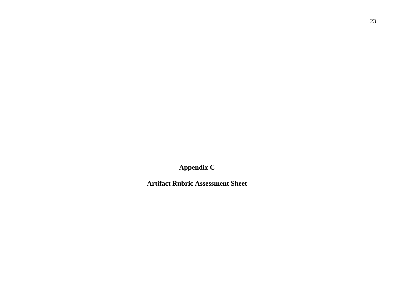<span id="page-23-0"></span>**Appendix C**

**Artifact Rubric Assessment Sheet**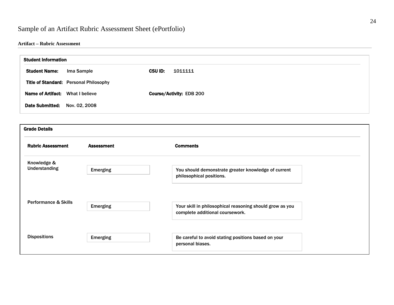# Sample of an Artifact Rubric Assessment Sheet (ePortfolio)

### **Artifact – Rubric Assessment**

| <b>Student Information</b> |                                        |                           |
|----------------------------|----------------------------------------|---------------------------|
| <b>Student Name:</b>       | Ima Sample                             | <b>CSU ID:</b><br>1011111 |
|                            | Title of Standard: Personal Philosophy |                           |
| <b>Name of Artifact:</b>   | What I believe                         | Course/Activity: EDB 200  |
| <b>Date Submitted:</b>     | Nov. 02, 2008                          |                           |

| <b>Grade Details</b>                |                   |                                                                                             |
|-------------------------------------|-------------------|---------------------------------------------------------------------------------------------|
| <b>Rubric Assessment</b>            | <b>Assessment</b> | <b>Comments</b>                                                                             |
| Knowledge &<br><b>Understanding</b> |                   | You should demonstrate greater knowledge of current                                         |
|                                     | <b>Emerging</b>   | philosophical positions.                                                                    |
|                                     |                   |                                                                                             |
| <b>Performance &amp; Skills</b>     | <b>Emerging</b>   | Your skill in philosophical reasoning should grow as you<br>complete additional coursework. |
|                                     |                   |                                                                                             |
| <b>Dispositions</b>                 | <b>Emerging</b>   | Be careful to avoid stating positions based on your<br>personal biases.                     |
|                                     |                   |                                                                                             |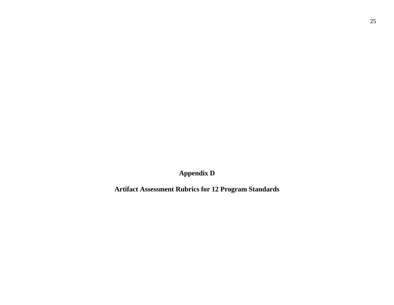**Appendix D**

<span id="page-25-0"></span>**Artifact Assessment Rubrics for 12 Program Standards**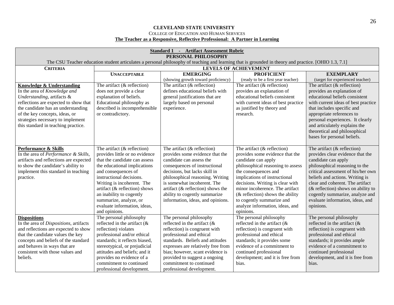### **CLEVELAND STATE UNIVERSITY** COLLEGE OF EDUCATION AND HUMAN SERVICES

# **The Teacher as a Responsive, Reflective Professional: A Partner in Learning**

| <b>Standard 1 - Artifact Assessment Rubric</b><br>PERSONAL PHILOSOPHY                                                                                                                                                                                                                |                                                                                                                                                                                                                                                                                                                                                            |                                                                                                                                                                                                                                                                                                                                                   |                                                                                                                                                                                                                                                                                                                                                                                  |                                                                                                                                                                                                                                                                                                                                                                      |  |  |
|--------------------------------------------------------------------------------------------------------------------------------------------------------------------------------------------------------------------------------------------------------------------------------------|------------------------------------------------------------------------------------------------------------------------------------------------------------------------------------------------------------------------------------------------------------------------------------------------------------------------------------------------------------|---------------------------------------------------------------------------------------------------------------------------------------------------------------------------------------------------------------------------------------------------------------------------------------------------------------------------------------------------|----------------------------------------------------------------------------------------------------------------------------------------------------------------------------------------------------------------------------------------------------------------------------------------------------------------------------------------------------------------------------------|----------------------------------------------------------------------------------------------------------------------------------------------------------------------------------------------------------------------------------------------------------------------------------------------------------------------------------------------------------------------|--|--|
|                                                                                                                                                                                                                                                                                      | The CSU Teacher education student articulates a personal philosophy of teaching and learning that is grounded in theory and practice. [OHIO 1.3, 7.1]                                                                                                                                                                                                      |                                                                                                                                                                                                                                                                                                                                                   |                                                                                                                                                                                                                                                                                                                                                                                  |                                                                                                                                                                                                                                                                                                                                                                      |  |  |
| <b>CRITERIA</b>                                                                                                                                                                                                                                                                      |                                                                                                                                                                                                                                                                                                                                                            |                                                                                                                                                                                                                                                                                                                                                   | <b>LEVELS OF ACHIEVEMENT</b>                                                                                                                                                                                                                                                                                                                                                     |                                                                                                                                                                                                                                                                                                                                                                      |  |  |
|                                                                                                                                                                                                                                                                                      | <b>UNACCEPTABLE</b>                                                                                                                                                                                                                                                                                                                                        | <b>EMERGING</b>                                                                                                                                                                                                                                                                                                                                   | <b>PROFICIENT</b>                                                                                                                                                                                                                                                                                                                                                                | <b>EXEMPLARY</b>                                                                                                                                                                                                                                                                                                                                                     |  |  |
|                                                                                                                                                                                                                                                                                      |                                                                                                                                                                                                                                                                                                                                                            | (showing growth toward proficiency)                                                                                                                                                                                                                                                                                                               | (ready to be a first year teacher)                                                                                                                                                                                                                                                                                                                                               | (target for experienced teacher)                                                                                                                                                                                                                                                                                                                                     |  |  |
| Knowledge & Understanding<br>In the area of Knowledge and<br>Understanding, artifacts &<br>reflections are expected to show that<br>the candidate has an understanding<br>of the key concepts, ideas, or<br>strategies necessary to implement<br>this standard in teaching practice. | The artifact $(\&$ reflection)<br>does not provide a clear<br>explanation of beliefs.<br>Educational philosophy as<br>described is incomprehensible<br>or contradictory.                                                                                                                                                                                   | The artifact $(\&$ reflection)<br>defines educational beliefs with<br>general justifications that are<br>largely based on personal<br>experience.                                                                                                                                                                                                 | The artifact $(\&$ reflection)<br>provides an explanation of<br>educational beliefs consistent<br>with current ideas of best practice<br>as justified by theory and<br>research.                                                                                                                                                                                                 | The artifact $(\&$ reflection)<br>provides an explanation of<br>educational beliefs consistent<br>with current ideas of best practice<br>that includes specific and<br>appropriate references to<br>personal experiences. It clearly<br>and articulately explains the<br>theoretical and philosophical<br>bases for personal beliefs.                                |  |  |
| Performance & Skills<br>In the area of Performance & Skills,<br>artifacts and reflections are expected<br>to show the candidate's ability to<br>implement this standard in teaching<br>practice.                                                                                     | The artifact $(\&$ reflection)<br>provides little or no evidence<br>that the candidate can assess<br>the educational implications<br>and consequences of<br>instructional decisions.<br>Writing is incoherent. The<br>artifact (& reflection) shows<br>an inability to cogently<br>summarize, analyze, or<br>evaluate information, ideas,<br>and opinions. | The artifact $(\&$ reflection)<br>provides some evidence that the<br>candidate can assess the<br>consequences of instructional<br>decisions, but lacks skill in<br>philosophical reasoning. Writing<br>is somewhat incoherent. The<br>artifact ( $\&$ reflection) shows the<br>ability to cogently summarize<br>information, ideas, and opinions. | The artifact $(\&$ reflection)<br>provides some evidence that the<br>candidate can apply<br>philosophical reasoning to assess<br>the consequences and<br>implications of instructional<br>decisions. Writing is clear with<br>minor incoherence. The artifact<br>$(x$ reflection) shows the ability<br>to cogently summarize and<br>analyze information, ideas, and<br>opinions. | The artifact $(\&$ reflection)<br>provides clear evidence that the<br>candidate can apply<br>philosophical reasoning to the<br>critical assessment of his/her own<br>beliefs and actions. Writing is<br>clear and coherent. The artifact<br>$(x$ reflection) shows on ability to<br>cogently summarize, analyze and<br>evaluate information, ideas, and<br>opinions. |  |  |
| <b>Dispositions</b><br>In the area of Dispositions, artifacts<br>and reflections are expected to show<br>that the candidate values the key<br>concepts and beliefs of the standard<br>and behaves in ways that are<br>consistent with those values and<br>beliefs.                   | The personal philosophy<br>reflected in the artifact $(\&$<br>reflection) violates<br>professional and/or ethical<br>standards; it reflects biased,<br>stereotypical, or prejudicial<br>attitudes and beliefs; and it<br>provides no evidence of a<br>commitment to continued<br>professional development.                                                 | The personal philosophy<br>reflected in the artifact $(x$<br>reflection) is congruent with<br>professional and ethical<br>standards. Beliefs and attitudes<br>expresses are relatively free from<br>bias; however, scant evidence is<br>provided to suggest a ongoing<br>commitment to continued<br>professional development.                     | The personal philosophy<br>reflected in the artifact $(\&$<br>reflection) is congruent with<br>professional and ethical<br>standards; it provides some<br>evidence of a commitment to<br>continued professional<br>development; and it is free from<br>bias.                                                                                                                     | The personal philosophy<br>reflected in the artifact $(x$<br>reflection) is congruent with<br>professional and ethical<br>standards; it provides ample<br>evidence of a commitment to<br>continued professional<br>development, and it is free from<br>bias.                                                                                                         |  |  |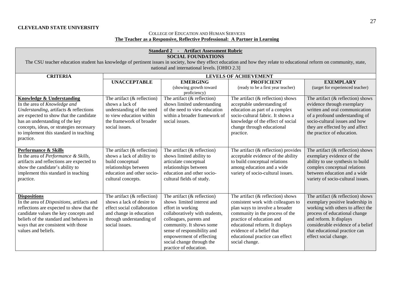COLLEGE OF EDUCATION AND HUMAN SERVICES **The Teacher as a Responsive, Reflective Professional: A Partner in Learning**

| <b>Standard 2 - Artifact Assessment Rubric</b>                                                                                                                                                                                                                                       |                                                                                                                                                                     |                                                                                                                                                                                                                                                                                              |                                                                                                                                                                                                                                                                                                   |                                                                                                                                                                                                                                                                          |  |
|--------------------------------------------------------------------------------------------------------------------------------------------------------------------------------------------------------------------------------------------------------------------------------------|---------------------------------------------------------------------------------------------------------------------------------------------------------------------|----------------------------------------------------------------------------------------------------------------------------------------------------------------------------------------------------------------------------------------------------------------------------------------------|---------------------------------------------------------------------------------------------------------------------------------------------------------------------------------------------------------------------------------------------------------------------------------------------------|--------------------------------------------------------------------------------------------------------------------------------------------------------------------------------------------------------------------------------------------------------------------------|--|
| The CSU teacher education student has knowledge of pertinent issues in society, how they effect education and how they relate to educational reform on community, state,                                                                                                             |                                                                                                                                                                     | <b>SOCIAL FOUNDATIONS</b>                                                                                                                                                                                                                                                                    |                                                                                                                                                                                                                                                                                                   |                                                                                                                                                                                                                                                                          |  |
|                                                                                                                                                                                                                                                                                      |                                                                                                                                                                     | national and international levels. [OHIO 2.3]                                                                                                                                                                                                                                                |                                                                                                                                                                                                                                                                                                   |                                                                                                                                                                                                                                                                          |  |
| <b>CRITERIA</b>                                                                                                                                                                                                                                                                      |                                                                                                                                                                     |                                                                                                                                                                                                                                                                                              | <b>LEVELS OF ACHIEVEMENT</b>                                                                                                                                                                                                                                                                      |                                                                                                                                                                                                                                                                          |  |
|                                                                                                                                                                                                                                                                                      | <b>UNACCEPTABLE</b>                                                                                                                                                 | <b>EMERGING</b>                                                                                                                                                                                                                                                                              | <b>PROFICIENT</b>                                                                                                                                                                                                                                                                                 | <b>EXEMPLARY</b>                                                                                                                                                                                                                                                         |  |
|                                                                                                                                                                                                                                                                                      |                                                                                                                                                                     | (showing growth toward<br>proficiency)                                                                                                                                                                                                                                                       | (ready to be a first year teacher)                                                                                                                                                                                                                                                                | (target for experienced teacher)                                                                                                                                                                                                                                         |  |
| Knowledge & Understanding<br>In the area of Knowledge and<br>Understanding, artifacts & reflections<br>are expected to show that the candidate<br>has an understanding of the key<br>concepts, ideas, or strategies necessary<br>to implement this standard in teaching<br>practice. | The artifact $(\&$ reflection)<br>shows a lack of<br>understanding of the need<br>to view education within<br>the framework of broader<br>social issues.            | The artifact $(\&$ reflection)<br>shows limited understanding<br>of the need to view education<br>within a broader framework of<br>social issues.                                                                                                                                            | The artifact $(\&$ reflection) shows<br>acceptable understanding of<br>education as part of a complex<br>socio-cultural fabric. It shows a<br>knowledge of the effect of social<br>change through educational<br>practice.                                                                        | The artifact $(\&$ reflection) shows<br>evidence through exemplary<br>written and oral communication<br>of a profound understanding of<br>socio-cultural issues and how<br>they are effected by and affect<br>the practice of education.                                 |  |
| <b>Performance &amp; Skills</b><br>In the area of Performance & Skills,<br>artifacts and reflections are expected to<br>show the candidate's ability to<br>implement this standard in teaching<br>practice.                                                                          | The artifact $(\&$ reflection)<br>shows a lack of ability to<br>build conceptual<br>relationships between<br>education and other socio-<br>cultural concepts.       | The artifact $(\&$ reflection)<br>shows limited ability to<br>articulate conceptual<br>relationships between<br>education and other socio-<br>cultural fields of study.                                                                                                                      | The artifact $(\&$ reflection) provides<br>acceptable evidence of the ability<br>to build conceptual relations<br>among education and a wide<br>variety of socio-cultural issues.                                                                                                                 | The artifact $(\&$ reflection) shows<br>exemplary evidence of the<br>ability to use synthesis to build<br>complex conceptual relations<br>between education and a wide<br>variety of socio-cultural issues.                                                              |  |
| <b>Dispositions</b><br>In the area of Dispositions, artifacts and<br>reflections are expected to show that the<br>candidate values the key concepts and<br>beliefs of the standard and behaves in<br>ways that are consistent with those<br>values and beliefs.                      | The artifact $(\&$ reflection)<br>shows a lack of desire to<br>effect social collaboration<br>and change in education<br>through understanding of<br>social issues. | The artifact $(\&$ reflection)<br>shows limited interest and<br>effort in working<br>collaboratively with students,<br>colleagues, parents and<br>community. It shows some<br>sense of responsibility and<br>empowerment of effecting<br>social change through the<br>practice of education. | The artifact $(\&$ reflection) shows<br>consistent work with colleagues to<br>plan ways to involve a broader<br>community in the process of the<br>practice of education and<br>educational reform. It displays<br>evidence of a belief that<br>educational practice can effect<br>social change. | The artifact $(\&$ reflection) shows<br>exemplary positive leadership in<br>working with others to affect the<br>process of educational change<br>and reform. It displays<br>considerable evidence of a belief<br>that educational practice can<br>effect social change. |  |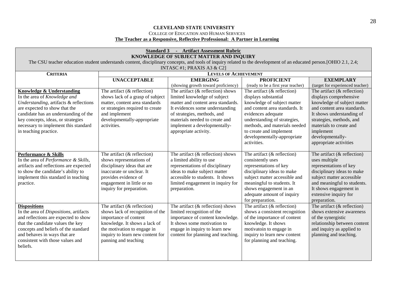### **CLEVELAND STATE UNIVERSITY** COLLEGE OF EDUCATION AND HUMAN SERVICES **The Teacher as a Responsive, Reflective Professional: A Partner in Learning**

| <b>Standard 3 - Artifact Assessment Rubric</b><br>KNOWLEDGE OF SUBJECT MATTER AND INQUIRY |                                  |                                                                                                                                                                      |                                    |                                  |  |
|-------------------------------------------------------------------------------------------|----------------------------------|----------------------------------------------------------------------------------------------------------------------------------------------------------------------|------------------------------------|----------------------------------|--|
|                                                                                           |                                  | The CSU teacher education student understands content, disciplinary concepts, and tools of inquiry related to the development of an educated person. [OHIO 2.1, 2.4; |                                    |                                  |  |
|                                                                                           |                                  | INTASC #1; PRAXIS A3 & C2]                                                                                                                                           |                                    |                                  |  |
| <b>CRITERIA</b>                                                                           |                                  | <b>LEVELS OF ACHIEVEMENT</b>                                                                                                                                         |                                    |                                  |  |
|                                                                                           | <b>UNACCEPTABLE</b>              | <b>EMERGING</b>                                                                                                                                                      | <b>PROFICIENT</b>                  | <b>EXEMPLARY</b>                 |  |
|                                                                                           |                                  | (showing growth toward proficiency)                                                                                                                                  | (ready to be a first year teacher) | (target for experienced teacher) |  |
| <b>Knowledge &amp; Understanding</b>                                                      | The artifact $(\&$ reflection)   | The artifact $(\&$ reflection) shows                                                                                                                                 | The artifact $(\&$ reflection)     | The artifact $(\&$ reflection)   |  |
| In the area of Knowledge and                                                              | shows lack of a grasp of subject | limited knowledge of subject                                                                                                                                         | displays substantial               | displays comprehensive           |  |
| Understanding, artifacts & reflections                                                    | matter, content area standards   | matter and content area standards.                                                                                                                                   | knowledge of subject matter        | knowledge of subject matter      |  |
| are expected to show that the                                                             | or strategies required to create | It evidences some understanding                                                                                                                                      | and content area standards. It     | and content area standards.      |  |
| candidate has an understanding of the                                                     | and implement                    | of strategies, methods, and                                                                                                                                          | evidences adequate                 | It shows understanding of        |  |
| key concepts, ideas, or strategies                                                        | developmentally-appropriate      | materials needed to create and                                                                                                                                       | understanding of strategies,       | strategies, methods, and         |  |
| necessary to implement this standard                                                      | activities.                      | implement a developmentally-                                                                                                                                         | methods, and materials needed      | materials to create and          |  |
| in teaching practice.                                                                     |                                  | appropriate activity.                                                                                                                                                | to create and implement            | implement                        |  |
|                                                                                           |                                  |                                                                                                                                                                      | developmentally-appropriate        | developmentally-                 |  |
|                                                                                           |                                  |                                                                                                                                                                      | activities.                        | appropriate activities           |  |
| <b>Performance &amp; Skills</b>                                                           | The artifact $(\&$ reflection)   | The artifact $(\&$ reflection) shows                                                                                                                                 | The artifact $(\&$ reflection)     | The artifact $(\&$ reflection)   |  |
| In the area of <i>Performance</i> & Skills,                                               | shows representations of         | a limited ability to use                                                                                                                                             | consistently uses                  | uses multiple                    |  |
| artifacts and reflections are expected                                                    | disciplinary ideas that are      | representations of disciplinary                                                                                                                                      | representations of key             | representations of key           |  |
| to show the candidate's ability to                                                        | inaccurate or unclear. It        | ideas to make subject matter                                                                                                                                         | disciplinary ideas to make         | disciplinary ideas to make       |  |
| implement this standard in teaching                                                       | provides evidence of             | accessible to students. It shows                                                                                                                                     | subject matter accessible and      | subject matter accessible        |  |
| practice.                                                                                 | engagement in little or no       | limited engagement in inquiry for                                                                                                                                    | meaningful to students. It         | and meaningful to students.      |  |
|                                                                                           | inquiry for preparation.         | preparation.                                                                                                                                                         | shows engagement in an             | It shows engagement in           |  |
|                                                                                           |                                  |                                                                                                                                                                      | adequate amount of inquiry         | extensive inquiry for            |  |
|                                                                                           |                                  |                                                                                                                                                                      | for preparation.                   | preparation.                     |  |
| <b>Dispositions</b>                                                                       | The artifact $(\&$ reflection)   | The artifact $(\&$ reflection) shows                                                                                                                                 | The artifact $(\&$ reflection)     | The artifact $(\&$ reflection)   |  |
| In the area of Dispositions, artifacts                                                    | shows lack of recognition of the | limited recognition of the                                                                                                                                           | shows a consistent recognition     | shows extensive awareness        |  |
| and reflections are expected to show                                                      | importance of content            | importance of content knowledge.                                                                                                                                     | of the importance of content       | of the synergistic               |  |
| that the candidate values the key                                                         | knowledge. It shows a lack of    | It shows some motivation to                                                                                                                                          | knowledge. It shows                | relationship between content     |  |
| concepts and beliefs of the standard                                                      | the motivation to engage in      | engage in inquiry to learn new                                                                                                                                       | motivatoin to engage in            | and inquiry as applied to        |  |
| and behaves in ways that are                                                              | inquiry to learn new content for | content for planning and teaching.                                                                                                                                   | inquiry to learn new content       | planning and teaching.           |  |
| consistent with those values and                                                          | panning and teaching             |                                                                                                                                                                      | for planning and teaching.         |                                  |  |
| beliefs.                                                                                  |                                  |                                                                                                                                                                      |                                    |                                  |  |
|                                                                                           |                                  |                                                                                                                                                                      |                                    |                                  |  |
|                                                                                           |                                  |                                                                                                                                                                      |                                    |                                  |  |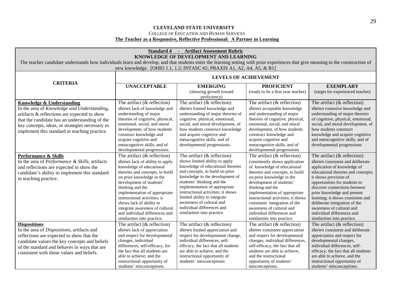### **CLEVELAND STATE UNIVERSITY** COLLEGE OF EDUCATION AND HUMAN SERVICES

### **The Teacher as a Responsive, Reflective Professional: A Partner in Learning**

| <b>Standard 4 - Artifact Assessment Rubric</b><br>KNOWLEDGE OF DEVELOPMENT AND LEARNING<br>The teacher candidate understands how individuals learn and develop, and that students enter the learning setting with prior experiences that give meaning to the construction of<br>new knowledge. [OHIO 1.1, 1.2; INTASC #2; PRAXIS A1, A2, A4, A5, & B1] |                                                                                                                                                                                                                                                                                                                                                                                                               |                                                                                                                                                                                                                                                                                                                                                                                                            |                                                                                                                                                                                                                                                                                                                                                                                                                   |                                                                                                                                                                                                                                                                                                                                                                                                                                 |  |
|--------------------------------------------------------------------------------------------------------------------------------------------------------------------------------------------------------------------------------------------------------------------------------------------------------------------------------------------------------|---------------------------------------------------------------------------------------------------------------------------------------------------------------------------------------------------------------------------------------------------------------------------------------------------------------------------------------------------------------------------------------------------------------|------------------------------------------------------------------------------------------------------------------------------------------------------------------------------------------------------------------------------------------------------------------------------------------------------------------------------------------------------------------------------------------------------------|-------------------------------------------------------------------------------------------------------------------------------------------------------------------------------------------------------------------------------------------------------------------------------------------------------------------------------------------------------------------------------------------------------------------|---------------------------------------------------------------------------------------------------------------------------------------------------------------------------------------------------------------------------------------------------------------------------------------------------------------------------------------------------------------------------------------------------------------------------------|--|
|                                                                                                                                                                                                                                                                                                                                                        |                                                                                                                                                                                                                                                                                                                                                                                                               |                                                                                                                                                                                                                                                                                                                                                                                                            | <b>LEVELS OF ACHIEVEMENT</b>                                                                                                                                                                                                                                                                                                                                                                                      |                                                                                                                                                                                                                                                                                                                                                                                                                                 |  |
| <b>CRITERIA</b>                                                                                                                                                                                                                                                                                                                                        | <b>UNACCEPTABLE</b>                                                                                                                                                                                                                                                                                                                                                                                           | <b>EMERGING</b><br>(showing growth toward<br>proficiency)                                                                                                                                                                                                                                                                                                                                                  | <b>PROFICIENT</b><br>(ready to be a first year teacher)                                                                                                                                                                                                                                                                                                                                                           | <b>EXEMPLARY</b><br>(target for experienced teacher)                                                                                                                                                                                                                                                                                                                                                                            |  |
| Knowledge & Understanding<br>In the area of Knowledge and Understanding,<br>artifacts & reflections are expected to show<br>that the candidate has an understanding of the<br>key concepts, ideas, or strategies necessary to<br>implement this standard in teaching practice.                                                                         | The artifact $(\&$ reflection)<br>shows lack of knowledge and<br>understanding of major<br>theories of cognitive, physical,<br>emotional, social, and moral<br>development, of how students<br>construct knowledge and<br>acquire cognitive and<br>metacognitive skills, and of<br>developmental progressions.                                                                                                | The artifact $(\&$ reflection)<br>shows limited knowledge and<br>understanding of major theories of<br>cognitive, physical, emotional,<br>social, and moral development, of<br>how students construct knowledge<br>and acquire cognitive and<br>metacognitive skills, and of<br>developmental progressions.                                                                                                | The artifact $(\&$ reflection)<br>shows acceptable knowledge<br>and understanding of major<br>theories of cognitive, physical,<br>emotional, social, and moral<br>development, of how students<br>construct knowledge and<br>acquire cognitive and<br>metacognitive skills, and of<br>developmental progressions                                                                                                  | The artifact $(\&$ reflection)<br>shows extensive knowledge and<br>understanding of major theories<br>of cognitive, physical, emotional,<br>social, and moral development, of<br>how students construct<br>knowledge and acquire cognitive<br>and metacognitive skills, and of<br>developmental progressions                                                                                                                    |  |
| <b>Performance &amp; Skills</b><br>In the area of Performance & Skills, artifacts<br>and reflections are expected to show the<br>candidate's ability to implement this standard<br>in teaching practice.                                                                                                                                               | The artifact $(\&$ reflection)<br>shows lack of ability to apply<br>knowledge of educational<br>theories and concepts, to build<br>on prior knowledge in the<br>development of students'<br>thinking and the<br>implementation of appropriate<br>instructional activities; it<br>shows lack of ability to<br>integrate awareness of cultural<br>and individual differences and<br>similarities into practice. | The artifact $(\&$ reflection)<br>shows limited ability to apply<br>knowledge of educational theories<br>and concepts, to build on prior<br>knowledge in the development of<br>students' thinking and the<br>implementation of appropriate<br>instructional activities; it shows<br>limited ability to integrate<br>awareness of cultural and<br>individual differences and<br>similarities into practice. | The artifact $(\&$ reflection)<br>consistently shows application<br>of knowledge of educational<br>theories and concepts, to build<br>on prior knowledge in the<br>development of students'<br>thinking and the<br>implementation of appropriate<br>instructional activities; it shows<br>consistent integration of the<br>awareness of cultural and<br>individual differences and<br>similarities into practice. | The artifact $(\&$ reflection)<br>shows consistent and deliberate<br>application of knowledge of<br>educational theories and concepts;<br>it shows provision of<br>opportunities for students to<br>discover connections between<br>prior knowledge and present<br>learning; it shows consistent and<br>deliberate integration of the<br>awareness of cultural and<br>individual differences and<br>similarities into practice. |  |
| <b>Dispositions</b><br>In the area of Dispositions, artifacts and<br>reflections are expected to show that the<br>candidate values the key concepts and beliefs<br>of the standard and behaves in ways that are<br>consistent with those values and beliefs.                                                                                           | The artifact $(\&$ reflection)<br>shows lack of appreciation<br>and respect for developmental<br>changes, individual<br>differences, self-efficacy, for<br>the fact that all students are<br>able to achieve: and the<br>instructional opportunity of<br>students' misconceptions.                                                                                                                            | The artifact $(\&$ reflection)<br>shows limited appreciation and<br>respect for developmental change,<br>individual differences, self-<br>efficacy, the fact that all students<br>are able to achieve, and the<br>instructional opportunity of<br>students' misconceptions                                                                                                                                 | The artifact $(\&$ reflection)<br>shows consistent appreciation<br>and respect for developmental<br>changes, individual differences,<br>self-efficacy, the fact that all<br>students are able to achieve,<br>and the instructional<br>opportunity of students'<br>misconceptions.                                                                                                                                 | The artifact $(\&$ reflection)<br>shows consistent and deliberate<br>appreciation and respect for<br>developmental changes,<br>individual differences, self-<br>efficacy, the fact that all students<br>are able to achieve, and the<br>instructional opportunity of<br>students' misconceptions.                                                                                                                               |  |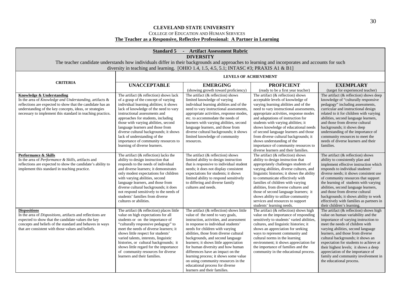### **CLEVELAND STATE UNIVERSITY** COLLEGE OF EDUCATION AND HUMAN SERVICES **The Teacher as a Responsive, Reflective Professional: A Partner in Learning**

| <b>Standard 5 - Artifact Assessment Rubric</b><br><b>DIVERSITY</b>                                                                                                                                                                                                          |                                                                                                                                                                                                                                                                                                                                                                                                                                                                             |                                                                                                                                                                                                                                                                                                                                                                                                                                                                                                                                                        |                                                                                                                                                                                                                                                                                                                                                                                                                                                                                                                                                                    |                                                                                                                                                                                                                                                                                                                                                                                                                                                                                 |  |
|-----------------------------------------------------------------------------------------------------------------------------------------------------------------------------------------------------------------------------------------------------------------------------|-----------------------------------------------------------------------------------------------------------------------------------------------------------------------------------------------------------------------------------------------------------------------------------------------------------------------------------------------------------------------------------------------------------------------------------------------------------------------------|--------------------------------------------------------------------------------------------------------------------------------------------------------------------------------------------------------------------------------------------------------------------------------------------------------------------------------------------------------------------------------------------------------------------------------------------------------------------------------------------------------------------------------------------------------|--------------------------------------------------------------------------------------------------------------------------------------------------------------------------------------------------------------------------------------------------------------------------------------------------------------------------------------------------------------------------------------------------------------------------------------------------------------------------------------------------------------------------------------------------------------------|---------------------------------------------------------------------------------------------------------------------------------------------------------------------------------------------------------------------------------------------------------------------------------------------------------------------------------------------------------------------------------------------------------------------------------------------------------------------------------|--|
|                                                                                                                                                                                                                                                                             | diversity in teaching and learning. [OHIO 1.4, 1.5, 4.5, 5.1; INTASC #3; PRAXIS A1 & B1]                                                                                                                                                                                                                                                                                                                                                                                    |                                                                                                                                                                                                                                                                                                                                                                                                                                                                                                                                                        | The teacher candidate understands how individuals differ in their backgrounds and approaches to learning and incorporates and accounts for such                                                                                                                                                                                                                                                                                                                                                                                                                    |                                                                                                                                                                                                                                                                                                                                                                                                                                                                                 |  |
|                                                                                                                                                                                                                                                                             | <b>LEVELS OF ACHIEVEMENT</b>                                                                                                                                                                                                                                                                                                                                                                                                                                                |                                                                                                                                                                                                                                                                                                                                                                                                                                                                                                                                                        |                                                                                                                                                                                                                                                                                                                                                                                                                                                                                                                                                                    |                                                                                                                                                                                                                                                                                                                                                                                                                                                                                 |  |
| <b>CRITERIA</b>                                                                                                                                                                                                                                                             | <b>UNACCEPTABLE</b>                                                                                                                                                                                                                                                                                                                                                                                                                                                         | <b>EMERGING</b>                                                                                                                                                                                                                                                                                                                                                                                                                                                                                                                                        | <b>PROFICIENT</b>                                                                                                                                                                                                                                                                                                                                                                                                                                                                                                                                                  | <b>EXEMPLARY</b>                                                                                                                                                                                                                                                                                                                                                                                                                                                                |  |
| Knowledge & Understanding<br>In the area of Knowledge and Understanding, artifacts &<br>reflections are expected to show that the candidate has an<br>understanding of the key concepts, ideas, or strategies<br>necessary to implement this standard in teaching practice. | The artifact $(\&$ reflection) shows lack<br>of a grasp of the concept of varying<br>individual learning abilities; it shows<br>lack of knowledge of the need to vary<br>instructional assessments and<br>approaches for students, including<br>those with varying abilities, second<br>language learners and those from<br>diverse cultural backgrounds; it shows<br>lack of understanding of the<br>importance of community resources to<br>learning of diverse learners. | (showing growth toward proficiency)<br>The artifact $(\&$ reflection) shows<br>limited knowledge of varying<br>individual learning abilities and of the<br>need to vary instructional assessments,<br>appropriate activities, response modes,<br>etc. to accommodate the needs of<br>learners with varying abilities, second<br>language learners, and those from<br>diverse cultural backgrounds; it shows<br>limited knowledge of community<br>resources.                                                                                            | (ready to be a first year teacher)<br>The artifact $(\&$ reflection) shows<br>acceptable levels of knowledge of<br>varying learning abilities and of the<br>need to vary instructional assessments,<br>appropriate activities, response modes<br>and adaptations of instruction for<br>students with varying abilities; it<br>shows knowledge of educational needs<br>of second language learners and those<br>from diverse cultural backgrounds; it<br>shows understanding of the<br>importance of community resources to<br>diverse learners and their families. | (target for experienced teacher)<br>The artifact $(k$ reflection) shows deep<br>knowledge of "culturally responsive<br>pedagogy" including assessments,<br>curricular and instructional design<br>related to it for children with varying<br>abilities, second language learners,<br>and those from diverse cultural<br>backgrounds; it shows deep<br>understanding of the importance of<br>community resources to meet the<br>needs of diverse learners and their<br>families. |  |
| Performance & Skills<br>In the area of Performance & Skills, artifacts and<br>reflections are expected to show the candidate's ability to<br>implement this standard in teaching practice.                                                                                  | The artifact $(\&$ reflection) lacks the<br>ability to design instruction that<br>responds to the needs of individual<br>and diverse learners; it demonstrates<br>only modest expectations for children<br>with varying abilities, second<br>language learners, and those from<br>diverse cultural backgrounds; it does<br>not respond sensitively to the needs of<br>students' families from diverse<br>cultures or abilities.                                             | The artifact (& reflection) shows<br>limited ability to design instruction<br>that is responsive to individual student<br>needs; it does not display consistent<br>expectations for students; it shows<br>limited ability to respond sensitively<br>to differing and diverse family<br>cultures and needs.                                                                                                                                                                                                                                             | The artifact $(\&$ reflection) shows<br>ability to design instruction that<br>appropriately challenges students of<br>varying abilities, diverse cultures, and<br>linguistic histories; it shows the ability<br>to communicate effectively with<br>families of children with varying<br>abilities, from diverse cultures and<br>those of second language learners; it<br>shows ability to utilize community<br>services and resources to support<br>students' learning needs.                                                                                      | The artifact (& reflection) shows<br>ability to consistently plan and<br>implement effective instruction which<br>responds to individual students'<br>diverse needs; it shows consistent use<br>of community resources that support<br>the learning of students with varying<br>abilities, second language learners,<br>and those from diverse cultural<br>backgrounds; it shows ability to work<br>effectively with families as partners in<br>their children's learning.      |  |
| <b>Dispositions</b><br>In the area of Dispositions, artifacts and reflections are<br>expected to show that the candidate values the key<br>concepts and beliefs of the standard and behaves in ways<br>that are consistent with those values and beliefs.                   | The artifact (& reflection) places little<br>value on high expectations for all<br>students or on the importance of<br>"culturally responsive pedagogy" to<br>meet the needs of diverse learners; it<br>shows little respect for students'<br>varied talents, interests, linguistic<br>histories, or cultural backgrounds; it<br>shows little regard for the importance<br>of community resources for diverse<br>learners and their families.                               | The artifact (& reflection) shows little<br>value of the need to vary goals,<br>instruction, activities, and assessment<br>in response to individual students'<br>needs for children with varying<br>abilities, those from diverse cultural<br>backgrounds, and second language<br>learners; it shows little appreciation<br>for human diversity and how human<br>differences have an impact on the<br>learning process; it shows some value<br>on using community resources in the<br>educational process for diverse<br>learners and their families. | The artifact $($ & reflection $)$ shows high<br>value on the importance of responding<br>sensitively to students' varied abilities,<br>cultures, and linguistic histories; it<br>shows an appreciation for seeking<br>ways to represent community and<br>cultural norms in the learning<br>environment; it shows appreciation for<br>the importance of families and the<br>community in the educational process.                                                                                                                                                   | The artifact $($ & reflection $)$ shows high<br>value on human variability and the<br>importance of varying instruction to<br>meet the needs of children with<br>varying abilities, second language<br>learners, and those from diverse<br>cultural backgrounds; it shows an<br>expectation for students to achieve at<br>their highest levels; it shows a deep<br>appreciation of the importance of<br>family and community involvement in<br>the educational process.         |  |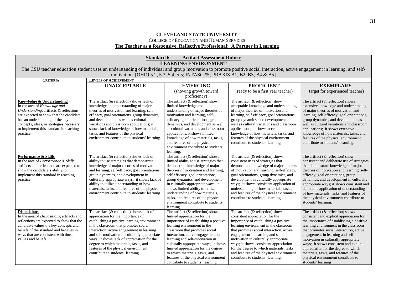### **CLEVELAND STATE UNIVERSITY** COLLEGE OF EDUCATION AND HUMAN SERVICES **The Teacher as a Responsive, Reflective Professional: A Partner in Learning**

|                                                                                                                                                                                                                                                                                      | <b>Standard 6 - Artifact Assessment Rubric</b>                                                                                                                                                                                                                                                                                                                                                                                                  |                                                                                                                                                                                                                                                                                                                                                                                                                                                       |                                                                                                                                                                                                                                                                                                                                                                                                                                                        |                                                                                                                                                                                                                                                                                                                                                                                                                                                                                    |  |
|--------------------------------------------------------------------------------------------------------------------------------------------------------------------------------------------------------------------------------------------------------------------------------------|-------------------------------------------------------------------------------------------------------------------------------------------------------------------------------------------------------------------------------------------------------------------------------------------------------------------------------------------------------------------------------------------------------------------------------------------------|-------------------------------------------------------------------------------------------------------------------------------------------------------------------------------------------------------------------------------------------------------------------------------------------------------------------------------------------------------------------------------------------------------------------------------------------------------|--------------------------------------------------------------------------------------------------------------------------------------------------------------------------------------------------------------------------------------------------------------------------------------------------------------------------------------------------------------------------------------------------------------------------------------------------------|------------------------------------------------------------------------------------------------------------------------------------------------------------------------------------------------------------------------------------------------------------------------------------------------------------------------------------------------------------------------------------------------------------------------------------------------------------------------------------|--|
|                                                                                                                                                                                                                                                                                      |                                                                                                                                                                                                                                                                                                                                                                                                                                                 | <b>LEARNING ENVIRONMENT</b>                                                                                                                                                                                                                                                                                                                                                                                                                           |                                                                                                                                                                                                                                                                                                                                                                                                                                                        |                                                                                                                                                                                                                                                                                                                                                                                                                                                                                    |  |
|                                                                                                                                                                                                                                                                                      | The CSU teacher education student uses an understanding of individual and group motivation to promote positive social interaction, active engagement in learning, and self-                                                                                                                                                                                                                                                                     |                                                                                                                                                                                                                                                                                                                                                                                                                                                       |                                                                                                                                                                                                                                                                                                                                                                                                                                                        |                                                                                                                                                                                                                                                                                                                                                                                                                                                                                    |  |
|                                                                                                                                                                                                                                                                                      |                                                                                                                                                                                                                                                                                                                                                                                                                                                 | motivation. [OHIO 5.2, 5.3, 5.4, 5.5; INTASC #5; PRAXIS B1, B2, B3, B4 & B5]                                                                                                                                                                                                                                                                                                                                                                          |                                                                                                                                                                                                                                                                                                                                                                                                                                                        |                                                                                                                                                                                                                                                                                                                                                                                                                                                                                    |  |
| <b>CRITERIA</b>                                                                                                                                                                                                                                                                      | <b>LEVELS OF ACHIEVEMENT</b>                                                                                                                                                                                                                                                                                                                                                                                                                    |                                                                                                                                                                                                                                                                                                                                                                                                                                                       |                                                                                                                                                                                                                                                                                                                                                                                                                                                        |                                                                                                                                                                                                                                                                                                                                                                                                                                                                                    |  |
|                                                                                                                                                                                                                                                                                      | <b>UNACCEPTABLE</b>                                                                                                                                                                                                                                                                                                                                                                                                                             | <b>EMERGING</b>                                                                                                                                                                                                                                                                                                                                                                                                                                       | <b>PROFICIENT</b>                                                                                                                                                                                                                                                                                                                                                                                                                                      | <b>EXEMPLARY</b>                                                                                                                                                                                                                                                                                                                                                                                                                                                                   |  |
|                                                                                                                                                                                                                                                                                      |                                                                                                                                                                                                                                                                                                                                                                                                                                                 | (showing growth toward<br>proficiency)                                                                                                                                                                                                                                                                                                                                                                                                                | (ready to be a first year teacher)                                                                                                                                                                                                                                                                                                                                                                                                                     | (target for experienced teacher)                                                                                                                                                                                                                                                                                                                                                                                                                                                   |  |
| Knowledge & Understanding<br>In the area of Knowledge and<br>Understanding, artifacts & reflections<br>are expected to show that the candidate<br>has an understanding of the key<br>concepts, ideas, or strategies necessary<br>to implement this standard in teaching<br>practice. | The artifact $(\&$ reflection) shows lack of<br>knowledge and understanding of major<br>theories of motivation and learning, self-<br>efficacy, goal orientations, group dynamics,<br>and development as well as cultural<br>variations and classroom applications; it<br>shows lack of knowledge of how materials,<br>tasks, and features of the physical<br>environment contribute to students' learning.                                     | The artifact $(\&$ reflection) show<br>limited knowledge and<br>understanding of major theories of<br>motivation and learning, self-<br>efficacy, goal orientations, group<br>dynamics, and development as well<br>as cultural variations and classroom<br>applications; it shows limited<br>knowledge of how materials, tasks,<br>and features of the physical<br>environment contribute to students'<br>learning.                                   | The artifact (& reflection) show<br>acceptable knowledge and understanding<br>of major theories of motivation and<br>learning, self-efficacy, goal orientations,<br>group dynamics, and development as<br>well as cultural variations and classroom<br>applications; it shows acceptable<br>knowledge of how materials, tasks, and<br>features of the physical environment<br>contribute to students' learning.                                        | The artifact $(\&$ reflection) shows<br>extensive knowledge and understanding<br>of major theories of motivation and<br>learning, self-efficacy, goal orientations,<br>group dynamics, and development as<br>well as cultural variations and classroom<br>applications; it shows extensive<br>knowledge of how materials, tasks, and<br>features of the physical environment<br>contribute to students' learning.                                                                  |  |
| Performance & Skills<br>In the area of Performance & Skills,<br>artifacts and reflections are expected to<br>show the candidate's ability to<br>implement this standard in teaching<br>practice.                                                                                     | The artifact $(\&$ reflection) shows lack of<br>ability to use strategies that demonstrate<br>knowledge of major theories of motivation<br>and learning, self-efficacy, goal orientations,<br>group dynamics, and development in<br>culturally appropriate ways; it shows lack of<br>ability to utilize understanding of how<br>materials, tasks, and features of the physical<br>environment contribute to students' learning.                 | The artifact (& reflection) shows<br>limited ability to use strategies that<br>demonstrate knowledge of major<br>theories of motivation and learning,<br>self-efficacy, goal orientations,<br>group dynamics, and development<br>in culturally appropriate ways; it<br>shows limited ability to utilize<br>understanding of how materials,<br>tasks, and features of the physical<br>environment contribute to students'<br>learning.                 | The artifact $(\&$ reflection) shows<br>consistent uses of strategies that<br>demonstrate knowledge of major theories<br>of motivation and learning, self-efficacy,<br>goal orientations, group dynamics, and<br>development in culturally appropriate<br>ways; it shows consistent application of<br>understanding of how materials, tasks,<br>and features of the physical environment<br>contribute to students' learning.                          | The artifact $(\&$ reflection) show<br>consistent and deliberate use of strategies<br>that demonstrate knowledge of major<br>theories of motivation and learning, self-<br>efficacy, goal orientations, group<br>dynamics, and development in culturally<br>appropriate ways; it shows consistent and<br>deliberate application of understanding<br>of how materials, tasks, and features of<br>the physical environment contribute to<br>students' learning.                      |  |
| <b>Dispositions</b><br>In the area of Dispositions, artifacts and<br>reflections are expected to show that the<br>candidate values the key concepts and<br>beliefs of the standard and behaves in<br>ways that are consistent with those<br>values and beliefs.                      | The artifact $(\&$ reflection) shows lack of<br>appreciation for the importance of<br>establishing a positive learning environment<br>in the classroom that promotes social<br>interaction, active engagement in learning<br>and self-motivation in culturally appropriate<br>ways; it shows lack of appreciation for the<br>degree to which materials, tasks, and<br>features of the physical environment<br>contribute to students' learning. | The artifact $(\&$ reflection) shows<br>limited appreciation for the<br>importance of establishing a positive<br>learning environment in the<br>classroom that promotes social<br>interaction, active engagement in<br>learning and self-motivation in<br>culturally appropriate ways; it shows<br>limited appreciation for the degree<br>to which materials, tasks, and<br>features of the physical environment<br>contribute to students' learning. | The artifact (& reflection) shows<br>consistent appreciation for the<br>importance of establishing a positive<br>learning environment in the classroom<br>that promotes social interaction, active<br>engagement in learning and self-<br>motivation in culturally appropriate<br>ways; it shows consistent appreciation<br>for the degree to which materials, tasks,<br>and features of the physical environment<br>contribute to students' learning. | The artifact (& reflection) shows<br>consistent and explicit appreciation for<br>the importance of establishing a positive<br>learning environment in the classroom<br>that promotes social interaction, active<br>engagement in learning and self-<br>motivation in culturally appropriate<br>ways; it shows consistent and explicit<br>appreciation for the degree to which<br>materials, tasks, and features of the<br>physical environment contribute to<br>students' learning |  |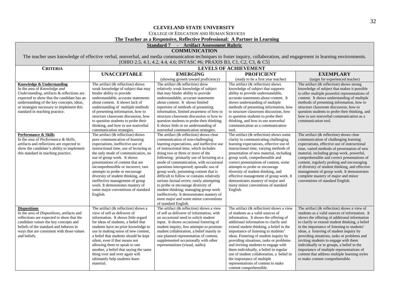### COLLEGE OF EDUCATION AND HUMAN SERVICES

### **The Teacher as a Responsive, Reflective Professional: A Partner in Learning**

### **Standard 7 - Artifact Assessment Rubric**

### **COMMUNICATION**

The teacher uses knowledge of effective verbal, nonverbal, and media communication techniques to foster inquiry, collaboration, and engagement in learning environments. [OHIO 2.5, 4.1, 4.2, 4.4, 4.6; INTASC #6; PRAXIS B3, C1, C2, C3, & C5]

| <b>CRITERIA</b>                                                                                                                                                                                                                                                                   |                                                                                                                                                                                                                                                                                                                                                                                                                                                                                                         |                                                                                                                                                                                                                                                                                                                                                                                                                                                                                                                                                                                                                                                                                 | <b>LEVELS OF ACHIEVEMENT</b>                                                                                                                                                                                                                                                                                                                                                                                                                                                                                                                                              |                                                                                                                                                                                                                                                                                                                                                                                                                                                                                                                                                                       |
|-----------------------------------------------------------------------------------------------------------------------------------------------------------------------------------------------------------------------------------------------------------------------------------|---------------------------------------------------------------------------------------------------------------------------------------------------------------------------------------------------------------------------------------------------------------------------------------------------------------------------------------------------------------------------------------------------------------------------------------------------------------------------------------------------------|---------------------------------------------------------------------------------------------------------------------------------------------------------------------------------------------------------------------------------------------------------------------------------------------------------------------------------------------------------------------------------------------------------------------------------------------------------------------------------------------------------------------------------------------------------------------------------------------------------------------------------------------------------------------------------|---------------------------------------------------------------------------------------------------------------------------------------------------------------------------------------------------------------------------------------------------------------------------------------------------------------------------------------------------------------------------------------------------------------------------------------------------------------------------------------------------------------------------------------------------------------------------|-----------------------------------------------------------------------------------------------------------------------------------------------------------------------------------------------------------------------------------------------------------------------------------------------------------------------------------------------------------------------------------------------------------------------------------------------------------------------------------------------------------------------------------------------------------------------|
|                                                                                                                                                                                                                                                                                   | <b>UNACCEPTABLE</b>                                                                                                                                                                                                                                                                                                                                                                                                                                                                                     | <b>EMERGING</b>                                                                                                                                                                                                                                                                                                                                                                                                                                                                                                                                                                                                                                                                 | <b>PROFICIENT</b>                                                                                                                                                                                                                                                                                                                                                                                                                                                                                                                                                         | <b>EXEMPLARY</b>                                                                                                                                                                                                                                                                                                                                                                                                                                                                                                                                                      |
|                                                                                                                                                                                                                                                                                   |                                                                                                                                                                                                                                                                                                                                                                                                                                                                                                         | (showing growth toward proficiency)                                                                                                                                                                                                                                                                                                                                                                                                                                                                                                                                                                                                                                             | (ready to be a first year teacher)                                                                                                                                                                                                                                                                                                                                                                                                                                                                                                                                        | (target for experienced teacher)                                                                                                                                                                                                                                                                                                                                                                                                                                                                                                                                      |
| Knowledge & Understanding<br>In the area of Knowledge and<br>Understanding, artifacts & reflections are<br>expected to show that the candidate has an<br>understanding of the key concepts, ideas,<br>or strategies necessary to implement this<br>standard in teaching practice. | The artifact $(\&$ reflection) shows<br>weak knowledge of subject that may<br>hinder ability to provide<br>understandable, accurate statements<br>about content. It shows lack of<br>understanding of multiple methods<br>of presenting information, how to<br>structure classroom discussion, how<br>to question students to probe their<br>thinking, and how to use nonverbal<br>communication strategies.                                                                                            | The artifact $(\&$ reflection) show<br>relatively weak knowledge of subject<br>that may hinder ability to provide<br>understandable, accurate statements<br>about content. It shows limited<br>repertoire of methods of presenting<br>information, limited awareness of how to<br>structure classroom discussion or how to<br>question students to probe their thinking.<br>It shows little or no understanding of<br>nonverbal communication strategies.                                                                                                                                                                                                                       | The artifact (& reflection) shows<br>knowledge of subject that supports<br>ability to provide understandable,<br>accurate statements about content. It<br>shows understanding of multiple<br>methods of presenting information, how<br>to structure classroom discussion, how<br>to question students to probe their<br>thinking, and how to use nonverbal<br>communication as a communication<br>tool.                                                                                                                                                                   | The artifact $(\&$ reflection) shows strong<br>knowledge of subject that makes it possible<br>to offer multiple powerful representations of<br>content. It shows understanding of multiple<br>methods of presenting information, how to<br>structure classroom discussion, how to<br>question students to probe their thinking, and<br>how to use nonverbal communication as a<br>communication tool.                                                                                                                                                                 |
| Performance & Skills<br>In the area of Performance & Skills,<br>artifacts and reflections are expected to<br>show the candidate's ability to implement<br>this standard in teaching practice.                                                                                     | The artifact $(\&$ reflection) shows<br>poor communication of learning<br>expectations, ineffective use of<br>instructional time, use of lecturing as<br>the only mode of communication, no<br>use of group work. It shows<br>presentations of content that are<br>incomprehensible or incorrect; rare<br>attempts to probe or encourage<br>diversity of student thinking, and<br>ineffective management of group<br>work. It demonstrates mastery of<br>some major conventions of standard<br>English. | The artifact $(\&$ reflection) shows clear<br>communication of non-challenging<br>learning expectations, and ineffective use<br>of instructional time, which includes<br>doing two or three or more of the<br>following: primarily use of lecturing as a<br>mode of communication, with occasional<br>questions interspersed; sporadic use of<br>group work; presenting content that is<br>difficult to follow or contains relatively<br>serious factual errors; rarely attempting<br>to probe or encourage diversity of<br>student thinking; managing group work<br>ineffectively. It demonstrates mastery of<br>most major and some minor conventions<br>of standard English. | The artifact $(\&$ reflection) shows some<br>clarity in communicating challenging<br>learning expectations, effective use of<br>instructional time, varying methods of<br>presentation of new material, including<br>group work, comprehensible and<br>correct presentations of content, some<br>attempts to probe or encourage<br>diversity of student thinking, and<br>effective management of group work. It<br>demonstrates mastery of major and<br>many minor conventions of standard<br>English.                                                                    | The artifact $(\&$ reflection) shows clear<br>communication of challenging learning<br>expectations, effective use of instructional<br>time, varied methods of presentation of new<br>material, including group work, powerful,<br>comprehensible and correct presentations of<br>content, regularly probing and encouraging<br>of diversity of student thinking, and effective<br>management of group work. It demonstrates<br>complete mastery of major and minor<br>conventions of standard English.                                                               |
| <b>Dispositions</b><br>In the area of Dispositions, artifacts and<br>reflections are expected to show that the<br>candidate values the key concepts and<br>beliefs of the standard and behaves in<br>ways that are consistent with those values<br>and beliefs.                   | The artifact $(\&$ reflection) shows a<br>view of self as deliverer of<br>information. It shows little regard<br>for ideas of students, a belief that<br>students have no prior knowledge to<br>use in making sense of new content,<br>a belief that students should be kept<br>silent, even if that means not<br>allowing them to speak to one<br>another, a belief that saying the same<br>thing over and over again will<br>ultimately help students learn<br>material.                              | The artifact (& reflection) shows a view<br>of self as deliverer of information, with<br>an occasional need to solicit student<br>input. It shows occasional fostering of<br>student inquiry, few attempts to promote<br>student collaboration, a belief mainly in<br>one planned representation of content,<br>supplemented occasionally with other<br>representations (visual, audio).                                                                                                                                                                                                                                                                                        | The artifact $(\&$ reflection) shows a view<br>of students as a valid sources of<br>information. It shows the offering of<br>additional information to clarify and<br>extend student thinking, a belief in the<br>importance of listening to students'<br>ideas. Fostering of student inquiry by<br>providing situations, tasks or problems<br>and inviting students to engage with<br>them individually, a belief in regular<br>use of student collaboration, a belief in<br>the importance of multiple<br>representations of content to make<br>content comprehensible. | The artifact $(\&$ reflection) shows a view of<br>students as a valid sources of information. It<br>shows the offering of additional information<br>to clarify or extend student thinking, a belief<br>in the importance of listening to students'<br>ideas, a fostering of student inquiry by<br>providing situations, tasks or problems and<br>inviting students to engage with them<br>individually or in groups, a belief in the<br>importance of multiple representations of<br>content that address multiple learning styles<br>to make content comprehensible. |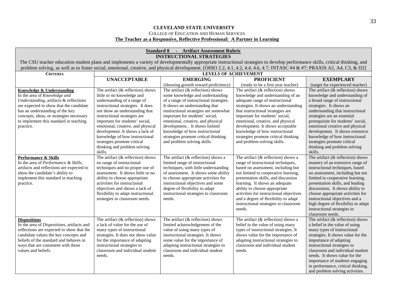### **CLEVELAND STATE UNIVERSITY** COLLEGE OF EDUCATION AND HUMAN SERVICES

# **The Teacher as a Responsive, Reflective Professional: A Partner in Learning**

|                                                     | <b>Standard 8 - Artifact Assessment Rubric</b>                                                                                                                                 |                                                                                                                                                                           |                                                                                 |                                                                       |  |  |  |
|-----------------------------------------------------|--------------------------------------------------------------------------------------------------------------------------------------------------------------------------------|---------------------------------------------------------------------------------------------------------------------------------------------------------------------------|---------------------------------------------------------------------------------|-----------------------------------------------------------------------|--|--|--|
|                                                     | <b>INSTRUCTIONAL STRATEGIES</b>                                                                                                                                                |                                                                                                                                                                           |                                                                                 |                                                                       |  |  |  |
|                                                     | The CSU teacher education student plans and implements a variety of developmentally appropriate instructional strategies to develop performance skills, critical thinking, and |                                                                                                                                                                           |                                                                                 |                                                                       |  |  |  |
|                                                     |                                                                                                                                                                                | problem solving, as well as to foster social, emotional, creative, and physical development. [OHIO 2.2, 4.1, 4.2, 4.4, 4.6, 4.7; INTASC #4 & #7; PRAXIS A2, A4, C3, & D2] |                                                                                 |                                                                       |  |  |  |
| <b>CRITERIA</b>                                     |                                                                                                                                                                                | <b>LEVELS OF ACHIEVEMENT</b>                                                                                                                                              |                                                                                 |                                                                       |  |  |  |
|                                                     | <b>UNACCEPTABLE</b>                                                                                                                                                            | <b>EMERGING</b>                                                                                                                                                           | <b>PROFICIENT</b>                                                               | <b>EXEMPLARY</b>                                                      |  |  |  |
|                                                     |                                                                                                                                                                                | (showing growth toward proficiency)                                                                                                                                       | (ready to be a first year teacher)                                              | (target for experienced teacher)                                      |  |  |  |
| <b>Knowledge &amp; Understanding</b>                | The artifact $(\&$ reflection) shows                                                                                                                                           | The artifact $(\&$ reflection) shows                                                                                                                                      | The artifact $(\&$ reflection) shows                                            | The artifact $(\&$ reflection) shows                                  |  |  |  |
| In the area of Knowledge and                        | little or no knowledge and                                                                                                                                                     | some knowledge and understanding                                                                                                                                          | knowledge and understanding of an                                               | knowledge and understanding of                                        |  |  |  |
| Understanding, artifacts & reflections              | understanding of a range of                                                                                                                                                    | of a range of instructional strategies.                                                                                                                                   | adequate range of instructional                                                 | a broad range of instructional                                        |  |  |  |
| are expected to show that the candidate             | instructional strategies. It does                                                                                                                                              | It shows an understanding that                                                                                                                                            | strategies. It shows an understanding                                           | strategies. It shows an                                               |  |  |  |
| has an understanding of the key                     | not show an understanding that                                                                                                                                                 | instructional strategies are somewhat                                                                                                                                     | that instructional strategies are                                               | understanding that instructional                                      |  |  |  |
| concepts, ideas, or strategies necessary            | instructional strategies are                                                                                                                                                   | important for students' social,                                                                                                                                           | important for students' social,                                                 | strategies are an essential                                           |  |  |  |
| to implement this standard in teaching<br>practice. | important for students' social,<br>emotional, creative, and physical                                                                                                           | emotional, creative, and physical<br>development It shows limited                                                                                                         | emotional, creative, and physical<br>development. It shows acceptable           | prerequisite for students' social,<br>emotional creative and physical |  |  |  |
|                                                     | development. It shows a lack of                                                                                                                                                | knowledge of how instructional                                                                                                                                            | knowledge of how instructional                                                  | development. It shows extensive                                       |  |  |  |
|                                                     | knowledge of how instructional                                                                                                                                                 | strategies promote critical thinking                                                                                                                                      | strategies promote critical thinking                                            | knowledge of how instructional                                        |  |  |  |
|                                                     | strategies promote critical                                                                                                                                                    | and problem solving skills.                                                                                                                                               | and problem solving skills.                                                     | strategies promote critical                                           |  |  |  |
|                                                     | thinking and problem solving                                                                                                                                                   |                                                                                                                                                                           |                                                                                 | thinking and problem solving                                          |  |  |  |
|                                                     | skills.                                                                                                                                                                        |                                                                                                                                                                           |                                                                                 | skills.                                                               |  |  |  |
| Performance & Skills                                | The artifact $(\&$ reflection) shows                                                                                                                                           | The artifact $(\&$ reflection) shows a                                                                                                                                    | The artifact $(\&$ reflection) shows a                                          | The artifact $(\&$ reflection) shows                                  |  |  |  |
| In the area of Performance & Skills,                | no range of instructional                                                                                                                                                      | limited range of instructional                                                                                                                                            | range of instructional techniques,                                              | mastery of an extensive range of                                      |  |  |  |
| artifacts and reflections are expected to           | techniques and no proper use of                                                                                                                                                | techniques, with little understanding                                                                                                                                     | based on assessment, including but                                              | instructional techniques, based                                       |  |  |  |
| show the candidate's ability to                     | assessment. It shows little or no                                                                                                                                              | of assessment. It shows some ability                                                                                                                                      | not limited to cooperative learning,                                            | on assessment, including but not                                      |  |  |  |
| implement this standard in teaching                 | ability to choose appropriate                                                                                                                                                  | to choose appropriate activities for                                                                                                                                      | presentation skills, and discussion                                             | limited to cooperative learning,                                      |  |  |  |
| practice.                                           | activities for instructional                                                                                                                                                   | instructional objectives and some                                                                                                                                         | learning. It shows an adequate                                                  | presentation skills, and leading                                      |  |  |  |
|                                                     | objectives and shows a lack of                                                                                                                                                 | degree of flexibility to adapt                                                                                                                                            | ability to choose appropriate                                                   | discussions. It shows ability to                                      |  |  |  |
|                                                     | flexibility to adapt instructional<br>strategies to classroom needs.                                                                                                           | instructional strategies to classroom<br>needs.                                                                                                                           | activities for instructional objectives<br>and a degree of flexibility to adapt | choose appropriate activities for<br>instructional objectives and a   |  |  |  |
|                                                     |                                                                                                                                                                                |                                                                                                                                                                           | instructional strategies to classroom                                           | high degree of flexibility to adapt                                   |  |  |  |
|                                                     |                                                                                                                                                                                |                                                                                                                                                                           | needs.                                                                          | instructional strategies to                                           |  |  |  |
|                                                     |                                                                                                                                                                                |                                                                                                                                                                           |                                                                                 | classroom needs.                                                      |  |  |  |
| <b>Dispositions</b>                                 | The artifact $(\&$ reflection) shows                                                                                                                                           | The artifact $(\&$ reflection) shows                                                                                                                                      | The artifact $(\&$ reflection) shows a                                          | The artifact $(\&$ reflection) shows                                  |  |  |  |
| In the area of Dispositions, artifacts and          | a lack of value for the use of                                                                                                                                                 | limited acknowledgement of the                                                                                                                                            | belief in the value of using many                                               | a belief in the value of using                                        |  |  |  |
| reflections are expected to show that the           | many types of instructional                                                                                                                                                    | value of using many types of                                                                                                                                              | types of instructional strategies. It                                           | many types of instructional                                           |  |  |  |
| candidate values the key concepts and               | strategies. It does not show value                                                                                                                                             | instructional strategies. It shows                                                                                                                                        | shows value for the importance of                                               | strategies. It shows value for the                                    |  |  |  |
| beliefs of the standard and behaves in              | for the importance of adapting                                                                                                                                                 | some value for the importance of                                                                                                                                          | adapting instructional strategies to                                            | importance of adapting                                                |  |  |  |
| ways that are consistent with those                 | instructional strategies to                                                                                                                                                    | adapting instructional strategies to                                                                                                                                      | classroom and individual student                                                | instructional strategies to                                           |  |  |  |
| values and beliefs.                                 | classroom and individual student                                                                                                                                               | classroom and individual student                                                                                                                                          | needs.                                                                          | classroom and individual student                                      |  |  |  |
|                                                     | needs.                                                                                                                                                                         | needs.                                                                                                                                                                    |                                                                                 | needs. It shows value for the                                         |  |  |  |
|                                                     |                                                                                                                                                                                |                                                                                                                                                                           |                                                                                 | importance of students engaging<br>in performance, critical thinking, |  |  |  |
|                                                     |                                                                                                                                                                                |                                                                                                                                                                           |                                                                                 |                                                                       |  |  |  |
|                                                     |                                                                                                                                                                                |                                                                                                                                                                           |                                                                                 | and problem solving activities.                                       |  |  |  |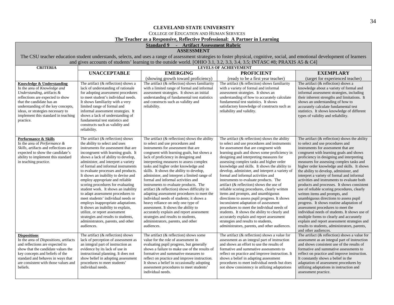### COLLEGE OF EDUCATION AND HUMAN SERVICES

### **The Teacher as a Responsive, Reflective Professional: A Partner in Learning**

### **Standard 9 - Artifact Assessment Rubric**

### **ASSESSMENT**

The CSU teacher education student understands, selects, and uses a range of assessment strategies to foster physical, cognitive, social, and emotional development of learners and gives accounts of students' learning to the outside world. [OHIO 3.1, 3.2, 3.3, 3.4, 3.5; INTASC #8; PRAXIS A5  $\&$  C4]

| <b>CRITERIA</b>                                                                                                                                                                                                                                                                         | $\frac{1}{2}$<br><b>LEVELS OF ACHIEVEMENT</b>                                                                                                                                                                                                                                                                                                                                                                                                                                                                                                                                                                                                                                                                                                           |                                                                                                                                                                                                                                                                                                                                                                                                                                                                                                                                                                                                                                                                                                                                                                                                                                              |                                                                                                                                                                                                                                                                                                                                                                                                                                                                                                                                                                                                                                                                                                                                                                                                                                                                                                                                         |                                                                                                                                                                                                                                                                                                                                                                                                                                                                                                                                                                                                                                                                                                                                                                                                                                                                                                                                         |
|-----------------------------------------------------------------------------------------------------------------------------------------------------------------------------------------------------------------------------------------------------------------------------------------|---------------------------------------------------------------------------------------------------------------------------------------------------------------------------------------------------------------------------------------------------------------------------------------------------------------------------------------------------------------------------------------------------------------------------------------------------------------------------------------------------------------------------------------------------------------------------------------------------------------------------------------------------------------------------------------------------------------------------------------------------------|----------------------------------------------------------------------------------------------------------------------------------------------------------------------------------------------------------------------------------------------------------------------------------------------------------------------------------------------------------------------------------------------------------------------------------------------------------------------------------------------------------------------------------------------------------------------------------------------------------------------------------------------------------------------------------------------------------------------------------------------------------------------------------------------------------------------------------------------|-----------------------------------------------------------------------------------------------------------------------------------------------------------------------------------------------------------------------------------------------------------------------------------------------------------------------------------------------------------------------------------------------------------------------------------------------------------------------------------------------------------------------------------------------------------------------------------------------------------------------------------------------------------------------------------------------------------------------------------------------------------------------------------------------------------------------------------------------------------------------------------------------------------------------------------------|-----------------------------------------------------------------------------------------------------------------------------------------------------------------------------------------------------------------------------------------------------------------------------------------------------------------------------------------------------------------------------------------------------------------------------------------------------------------------------------------------------------------------------------------------------------------------------------------------------------------------------------------------------------------------------------------------------------------------------------------------------------------------------------------------------------------------------------------------------------------------------------------------------------------------------------------|
|                                                                                                                                                                                                                                                                                         | <b>UNACCEPTABLE</b>                                                                                                                                                                                                                                                                                                                                                                                                                                                                                                                                                                                                                                                                                                                                     | <b>EMERGING</b>                                                                                                                                                                                                                                                                                                                                                                                                                                                                                                                                                                                                                                                                                                                                                                                                                              | <b>PROFICIENT</b>                                                                                                                                                                                                                                                                                                                                                                                                                                                                                                                                                                                                                                                                                                                                                                                                                                                                                                                       | <b>EXEMPLARY</b>                                                                                                                                                                                                                                                                                                                                                                                                                                                                                                                                                                                                                                                                                                                                                                                                                                                                                                                        |
|                                                                                                                                                                                                                                                                                         |                                                                                                                                                                                                                                                                                                                                                                                                                                                                                                                                                                                                                                                                                                                                                         | (showing growth toward proficiency)                                                                                                                                                                                                                                                                                                                                                                                                                                                                                                                                                                                                                                                                                                                                                                                                          | (ready to be a first year teacher)                                                                                                                                                                                                                                                                                                                                                                                                                                                                                                                                                                                                                                                                                                                                                                                                                                                                                                      | (target for experienced teacher)                                                                                                                                                                                                                                                                                                                                                                                                                                                                                                                                                                                                                                                                                                                                                                                                                                                                                                        |
| Knowledge & Understanding<br>In the area of Knowledge and<br>Understanding, artifacts &<br>reflections are expected to show<br>that the candidate has an<br>understanding of the key concepts,<br>ideas, or strategies necessary to<br>implement this standard in teaching<br>practice. | The artifact (& reflection) shows a<br>lack of understanding of rationale<br>for adopting assessment procedures<br>to meet student's individual needs.<br>It shows familiarity with a very<br>limited range of formal and<br>informal assessment strategies. It<br>shows a lack of understanding of<br>fundamental test statistics and<br>constructs such as validity and<br>reliability.                                                                                                                                                                                                                                                                                                                                                               | The artifact $($ & reflection $)$ shows familiarity<br>with a limited range of formal and informal<br>assessment strategies. It shows an initial<br>understanding of fundamental test statistics<br>and constructs such as validity and<br>reliability.                                                                                                                                                                                                                                                                                                                                                                                                                                                                                                                                                                                      | The artifact $(\&$ reflection) shows familiarity<br>with a variety of formal and informal<br>assessment strategies. It shows an<br>understanding of how to accurately calculate<br>fundamental test statistics. It shows<br>satisfactory knowledge of constructs such as<br>reliability and validity.                                                                                                                                                                                                                                                                                                                                                                                                                                                                                                                                                                                                                                   | The artifact (& reflection) shows a<br>knowledge about a variety of formal and<br>informal assessment strategies, including<br>their inherent strengths and limitations. It<br>shows an understanding of how to<br>accurately calculate fundamental test<br>statistics. It shows knowledge of different<br>types of validity and reliability.                                                                                                                                                                                                                                                                                                                                                                                                                                                                                                                                                                                           |
| Performance & Skills<br>In the area of Performance &<br>Skills, artifacts and reflections are<br>expected to show the candidate's<br>ability to implement this standard<br>in teaching practice.                                                                                        | The artifact $(\&$ reflection) shows<br>the ability to select and uses<br>instruments for assessment that are<br>incongruent with learning goals. It<br>shows a lack of ability to develop,<br>administer, and interpret a variety<br>of formal and informal instruments<br>to evaluate processes and products.<br>It shows an inability to devise and<br>employ appropriate and reliable<br>scoring procedures for evaluating<br>student work. It shows an inability<br>to adapt assessment procedures to<br>meet students' individual needs or<br>employs inappropriate adaptations.<br>It shows an inability to explain,<br>utilize, or report assessment<br>strategies and results to students,<br>administrators, parents, and other<br>audiences. | The artifact $(\&$ reflection) shows the ability<br>to select and use procedures and<br>instruments for assessment that are<br>congruent with learning goals, but shows a<br>lack of proficiency in designing and<br>interpreting measures to assess complex<br>tasks and higher order knowledge and<br>skills. It shows the ability to develop,<br>administer, and interpret a limited range of<br>formal and informal activities and<br>instruments to evaluate products. The<br>artifact (& reflection) shows difficulty in<br>adapting assessment procedures to meet the<br>individual needs of students; it shows a<br>heavy reliance on only one type of<br>assessment. It shows the ability to<br>accurately explain and report assessment<br>strategies and results to students,<br>administrators, parents, and other<br>audiences. | The artifact $(\&$ reflection) shows the ability<br>to select and use procedures and instruments<br>for assessment that are congruent with<br>learning goals and shows some proficiency in<br>designing and interpreting measures for<br>assessing complex tasks and higher order<br>knowledge and skills. It shows the ability to<br>develop, administer, and interpret a variety of<br>formal and informal activities and<br>instruments to evaluate products. The<br>artifact ( $\&$ reflection) shows the use of<br>reliable scoring procedures, clearly written<br>items and prompts, and unambiguous<br>directions to assess pupil progress. It shows<br>inconsistent adaptation of assessment<br>procedures to meet the individual needs of<br>students. It shows the ability to clearly and<br>accurately explain and report assessment<br>strategies and results to students,<br>administrators, parents, and other audiences. | The artifact $(\&$ reflection) shows the ability<br>to select and use procedures and<br>instruments for assessment that are<br>congruent with learning goals and shows<br>proficiency in designing and interpreting<br>measures for assessing complex tasks and<br>higher order knowledge and skills. It shows<br>the ability to develop, administer, and<br>interpret a variety of formal and informal<br>activities and instruments to evaluate both<br>products and processes. It shows consistent<br>use of reliable scoring procedures, clearly<br>written items and prompts, and<br>unambiguous directions to assess pupil<br>progress. It shows routine adaptation of<br>assessment procedures to meet the<br>individual needs of students. It shows use of<br>multiple forms to clearly and accurately<br>explain and report assessment strategies and<br>results to students, administrators, parents,<br>and other audiences. |
| <b>Dispositions</b><br>In the area of Dispositions, artifacts<br>and reflections are expected to<br>show that the candidate values the<br>key concepts and beliefs of the<br>standard and behaves in ways that<br>are consistent with those values and<br>beliefs.                      | The artifact $(\&$ reflection) shows<br>lack of perception of assessment as<br>an integral part of instruction as<br>evidence by its lack of use in<br>instructional planning. It does not<br>show belief in adopting assessment<br>procedures to meet students'<br>individual needs.                                                                                                                                                                                                                                                                                                                                                                                                                                                                   | The artifact $(\&$ reflection) shows some<br>value for the role of assessment in<br>evaluating pupil progress, but generally<br>shows a failure to make use of the results of<br>formative and summative measures to<br>reflect on practice and improve instruction.<br>It shows a belief in occasionally adopting<br>assessment procedures to meet students'<br>individual needs.                                                                                                                                                                                                                                                                                                                                                                                                                                                           | The artifact $(\&$ reflection) shows a value for<br>assessment as an integral part of instruction<br>and shows an effort to use the results of<br>formative and summative assessments to<br>reflect on practice and improve instruction. It<br>shows a belief in adapting assessment<br>procedures to meet individual needs but does<br>not show consistency in utilizing adaptations                                                                                                                                                                                                                                                                                                                                                                                                                                                                                                                                                   | The artifact $(\&$ reflection) shows a value for<br>assessment as an integral part of instruction<br>and shows consistent use of the results of<br>formative and summative assessments to<br>reflect on practice and improve instruction.<br>It constantly shows a belief in the<br>adaptation of assessment procedures by<br>utilizing adaptations in instruction and<br>assessment practice.                                                                                                                                                                                                                                                                                                                                                                                                                                                                                                                                          |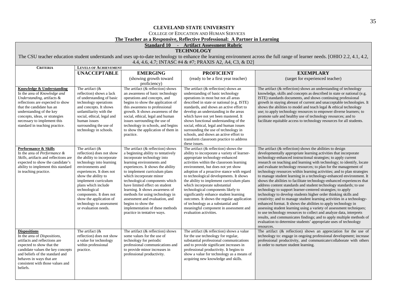COLLEGE OF EDUCATION AND HUMAN SERVICES

**The Teacher as a Responsive, Reflective Professional: A Partner in Learning**

**Standard 10 - Artifact Assessment Rubric**

# **TECHNOLOGY**

The CSU teacher education student understands and uses up-to-date technology to enhance the learning environment across the full range of learner needs. [OHIO 2.2, 4.1, 4.2, 4.4, 4.6, 4.7; INTASC #4 & #7; PRAXIS A2, A4, C3, & D2]

| <b>CRITERIA</b>                                                                                                                                                                                                                                                                         | <b>LEVELS OF ACHIEVEMENT</b>                                                                                                                                                                                                                                                                                                                               |                                                                                                                                                                                                                                                                                                                                                                                                                                                                                                             |                                                                                                                                                                                                                                                                                                                                                                                                                                                                                                                                                                                                                              |                                                                                                                                                                                                                                                                                                                                                                                                                                                                                                                                                                                                                                                                                                                                                                                                                                                                                                                                                                                                                                                                                                                                                                                                                                           |  |
|-----------------------------------------------------------------------------------------------------------------------------------------------------------------------------------------------------------------------------------------------------------------------------------------|------------------------------------------------------------------------------------------------------------------------------------------------------------------------------------------------------------------------------------------------------------------------------------------------------------------------------------------------------------|-------------------------------------------------------------------------------------------------------------------------------------------------------------------------------------------------------------------------------------------------------------------------------------------------------------------------------------------------------------------------------------------------------------------------------------------------------------------------------------------------------------|------------------------------------------------------------------------------------------------------------------------------------------------------------------------------------------------------------------------------------------------------------------------------------------------------------------------------------------------------------------------------------------------------------------------------------------------------------------------------------------------------------------------------------------------------------------------------------------------------------------------------|-------------------------------------------------------------------------------------------------------------------------------------------------------------------------------------------------------------------------------------------------------------------------------------------------------------------------------------------------------------------------------------------------------------------------------------------------------------------------------------------------------------------------------------------------------------------------------------------------------------------------------------------------------------------------------------------------------------------------------------------------------------------------------------------------------------------------------------------------------------------------------------------------------------------------------------------------------------------------------------------------------------------------------------------------------------------------------------------------------------------------------------------------------------------------------------------------------------------------------------------|--|
|                                                                                                                                                                                                                                                                                         | <b>UNACCEPTABLE</b>                                                                                                                                                                                                                                                                                                                                        | <b>EMERGING</b>                                                                                                                                                                                                                                                                                                                                                                                                                                                                                             | <b>PROFICIENT</b>                                                                                                                                                                                                                                                                                                                                                                                                                                                                                                                                                                                                            | <b>EXEMPLARY</b>                                                                                                                                                                                                                                                                                                                                                                                                                                                                                                                                                                                                                                                                                                                                                                                                                                                                                                                                                                                                                                                                                                                                                                                                                          |  |
|                                                                                                                                                                                                                                                                                         |                                                                                                                                                                                                                                                                                                                                                            | (showing growth toward                                                                                                                                                                                                                                                                                                                                                                                                                                                                                      | (ready to be a first year teacher)                                                                                                                                                                                                                                                                                                                                                                                                                                                                                                                                                                                           | (target for experienced teacher)                                                                                                                                                                                                                                                                                                                                                                                                                                                                                                                                                                                                                                                                                                                                                                                                                                                                                                                                                                                                                                                                                                                                                                                                          |  |
|                                                                                                                                                                                                                                                                                         |                                                                                                                                                                                                                                                                                                                                                            | proficiency)                                                                                                                                                                                                                                                                                                                                                                                                                                                                                                |                                                                                                                                                                                                                                                                                                                                                                                                                                                                                                                                                                                                                              |                                                                                                                                                                                                                                                                                                                                                                                                                                                                                                                                                                                                                                                                                                                                                                                                                                                                                                                                                                                                                                                                                                                                                                                                                                           |  |
| Knowledge & Understanding<br>In the area of Knowledge and<br>Understanding, artifacts &<br>reflections are expected to show<br>that the candidate has an<br>understanding of the key<br>concepts, ideas, or strategies<br>necessary to implement this<br>standard in teaching practice. | The artifact $(\&$<br>reflection) shows a lack<br>of understanding of basic<br>technology operations<br>and concepts. It shows<br>unfamiliarity with the<br>social, ethical, legal and<br>human issues<br>surrounding the use of<br>technology in schools.                                                                                                 | The artifact (& reflection) shows<br>an awareness of basic technology<br>operations and concepts, and<br>begins to show the application of<br>this awareness to professional<br>growth. It shows awareness of the<br>social, ethical, legal and human<br>issues surrounding the use of<br>technology in schools, and begins<br>to show the application of them in<br>practice.                                                                                                                              | The artifact $(\&$ reflection) shows an<br>understanding of basic technology<br>operations in most but not all areas<br>described in state or national (e.g. ISTE)<br>standards, and shows an active effort to<br>develop an understanding in the areas<br>which have not yet been mastered. It<br>shows functional understanding of the<br>social, ethical, legal and human issues<br>surrounding the use of technology in<br>schools, and shows an active effort to<br>transform classroom practice to address<br>these issues.                                                                                            | The artifact (& reflection) shows an understanding of technology<br>knowledge, skills and concepts as described in state or national (e.g.<br>ISTE) standards documents, and shows continuing professional<br>growth in staying abreast of current and unacceptable technologies. It<br>shows the abilities to model and teach legal & ethical technology<br>use; to apply technology resources to empower diverse learners; to<br>promote safe and healthy use of technology resources; and to<br>facilitate equitable access to technology resources for all students.                                                                                                                                                                                                                                                                                                                                                                                                                                                                                                                                                                                                                                                                  |  |
| Performance & Skills<br>In the area of Performance &<br>Skills, artifacts and reflections are<br>expected to show the candidate's<br>ability to implement this standard<br>in teaching practice.                                                                                        | The artifact $($ &<br>reflection) does not show<br>the ability to incorporate<br>technology into learning<br>environments and<br>experiences. It does not<br>show the ability to<br>implement curriculum<br>plans which include<br>technological<br>components. It does not<br>show the application of<br>technology to assessment<br>or evaluation needs. | The artifact $(\&$ reflection) shows<br>a beginning ability to tentatively<br>incorporate technology into<br>learning environments and<br>experiences. It shows the ability<br>to implement curriculum plans<br>which incorporate minor<br>technological components which<br>have limited effect on student<br>learning. It shows awareness of<br>methods for using technology in<br>assessment and evaluation, and<br>begins to show the<br>implementation of these methods<br>practice in tentative ways. | The artifact $(\&$ reflection) shows the<br>ability to incorporate a variety of learner-<br>appropriate technology-enhanced<br>activities within the classroom learning<br>environment, but does not yet show<br>adoption of a proactive stance with regard<br>to technological developments. It shows<br>the ability to implement curriculum plans<br>which incorporate substantial<br>technological components likely to<br>significantly enhance student learning<br>outcomes. It shows the regular application<br>of technology as a substantial and<br>meaningful component in assessment and<br>evaluation activities. | The artifact $(\&$ reflection) shows the abilities to design<br>developmentally appropriate learning activities that incorporate<br>technology-enhanced instructional strategies; to apply current<br>research on teaching and learning with technology; to identify, locate<br>and evaluate technology resources; to plan for the management of<br>technology resources within learning activities; and to plan strategies<br>to manage student learning in a technology-enhanced environment. It<br>shows the abilities to facilitate technology-enhanced experiences that<br>address content standards and student technology standards; to use<br>technology to support learner-centered strategies; to apply<br>technology to develop students higher order thinking skills and<br>creativity; and to manage student learning activities in a technology-<br>enhanced format. It shows the abilities to apply technology in<br>assessing student learning using a variety of assessment techniques;<br>to use technology resources to collect and analyze data, interprets<br>results, and communicates findings; and to apply multiple methods of<br>evaluation to determine students' appropriate uses of technology<br>resources. |  |
| Dispositions<br>In the area of Dispositions,<br>artifacts and reflections are<br>expected to show that the<br>candidate values the key concepts<br>and beliefs of the standard and<br>behaves in ways that are<br>consistent with those values and<br>beliefs.                          | The artifact $(x$<br>reflection) does not show<br>a value for technology<br>within professional<br>practice.                                                                                                                                                                                                                                               | The artifact $(\&$ reflection) shows<br>some values for the use of<br>technology for periodic<br>professional communications and<br>to provide minor increases in<br>professional productivity.                                                                                                                                                                                                                                                                                                             | The artifact $(\&$ reflection) shows a value<br>for the use technology for regular,<br>substantial professional communications<br>and to provide significant increases in<br>professional productivity. It begins to<br>show a value for technology as a means of<br>acquiring new knowledge and skills.                                                                                                                                                                                                                                                                                                                     | The artifact $($ & reflection $)$ shows an appreciation for the use of<br>technology to: engage in ongoing professional development; increase<br>professional productivity, and communicate/collaborate with others<br>in order to nurture student learning.                                                                                                                                                                                                                                                                                                                                                                                                                                                                                                                                                                                                                                                                                                                                                                                                                                                                                                                                                                              |  |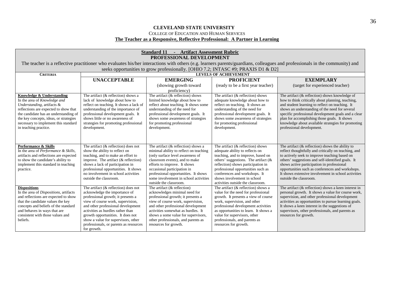### COLLEGE OF EDUCATION AND HUMAN SERVICES **The Teacher as a Responsive, Reflective Professional: A Partner in Learning**

| <b>Standard 11 - Artifact Assessment Rubric</b><br>PROFESSIONAL DEVELOPMENT    |                                                                               |                                                                                   |                                                                       |                                                                                                                                                                              |
|--------------------------------------------------------------------------------|-------------------------------------------------------------------------------|-----------------------------------------------------------------------------------|-----------------------------------------------------------------------|------------------------------------------------------------------------------------------------------------------------------------------------------------------------------|
|                                                                                |                                                                               |                                                                                   |                                                                       | The teacher is a reflective practitioner who evaluates his/her interactions with others (e.g. learners parents/guardians, colleagues and professionals in the community) and |
|                                                                                |                                                                               | seeks opportunities to grow professionally. [OHIO 7.2; INTASC #9; PRAXIS D1 & D2] |                                                                       |                                                                                                                                                                              |
| <b>CRITERIA</b>                                                                |                                                                               |                                                                                   | <b>LEVELS OF ACHIEVEMENT</b>                                          |                                                                                                                                                                              |
|                                                                                | <b>UNACCEPTABLE</b>                                                           | <b>EMERGING</b>                                                                   | <b>PROFICIENT</b>                                                     | <b>EXEMPLARY</b>                                                                                                                                                             |
|                                                                                |                                                                               | (showing growth toward                                                            | (ready to be a first year teacher)                                    | (target for experienced teacher)                                                                                                                                             |
|                                                                                |                                                                               | proficiency)                                                                      |                                                                       |                                                                                                                                                                              |
| Knowledge & Understanding                                                      | The artifact $(\&$ reflection) shows a                                        | The artifact $(\&$ reflection) shows                                              | The artifact $(\&$ reflection) shows                                  | The artifact $(\&$ reflection) shows knowledge of                                                                                                                            |
| In the area of Knowledge and                                                   | lack of knowledge about how to                                                | limited knowledge about how to                                                    | adequate knowledge about how to                                       | how to think critically about planning, teaching,                                                                                                                            |
| Understanding, artifacts &<br>reflections are expected to show that            | reflect on teaching. It shows a lack of<br>understanding of the importance of | reflect about teaching. It shows some<br>understanding of the need for            | reflect on teaching. It shows an<br>understanding of the need for     | and student learning to reflect on teaching. It<br>shows an understanding of the need for several                                                                            |
| the candidate has an understanding of                                          | professional development goals. It                                            | professional development goals. It                                                | professional development goals. It                                    | specific professional development goals and a clear                                                                                                                          |
| the key concepts, ideas, or strategies                                         | shows little or no awareness of                                               | shows some awareness of strategies                                                | shows some awareness of strategies                                    | plan for accomplishing those goals. It shows                                                                                                                                 |
| necessary to implement this standard                                           | strategies for promoting professional                                         | for promoting professional                                                        | for promoting professional                                            | knowledge about available strategies for promoting                                                                                                                           |
| in teaching practice.                                                          | development.                                                                  | development.                                                                      | development.                                                          | professional development.                                                                                                                                                    |
|                                                                                |                                                                               |                                                                                   |                                                                       |                                                                                                                                                                              |
|                                                                                |                                                                               |                                                                                   |                                                                       |                                                                                                                                                                              |
|                                                                                |                                                                               |                                                                                   |                                                                       |                                                                                                                                                                              |
| Performance & Skills                                                           | The artifact $(\&$ reflection) does not                                       | The artifact $(\&$ reflection) shows a                                            | The artifact $(\&$ reflection) shows                                  | The artifact $(\&$ reflection) shows the ability to                                                                                                                          |
| In the area of Performance & Skills,<br>artifacts and reflections are expected | show the ability to reflect on<br>teaching, and to make an effort to          | minimal ability to reflect on teaching<br>(only surface level awareness of        | adequate ability to reflects on<br>teaching, and to improve, based on | reflect thoughtfully and critically on teaching, and<br>to actively seek to improve teaching based on                                                                        |
| to show the candidate's ability to                                             | improve. The artifact $(\&$ reflection)                                       | classroom events), and to make                                                    | others' suggestions. The artifact $(\&$                               | others' suggestions and self-identified goals. It                                                                                                                            |
| implement this standard in teaching                                            | shows a lack of participation in                                              | efforts to improve. It shows                                                      | reflection) shows participation in                                    | shows active participation in professional                                                                                                                                   |
| practice.                                                                      | professional opportunities. It shows                                          | occasional participation in                                                       | professional opportunities such as                                    | opportunities such as conferences and workshops.                                                                                                                             |
|                                                                                | no involvement in school activities                                           | professional opportunities. It shows                                              | conferences and workshops. It                                         | It shows extensive involvement in school activities                                                                                                                          |
|                                                                                | outside the classroom.                                                        | some involvement in school activities                                             | shows involvement in school                                           | outside the classroom.                                                                                                                                                       |
|                                                                                |                                                                               | outside the classroom.                                                            | activities outside the classroom.                                     |                                                                                                                                                                              |
| <b>Dispositions</b>                                                            | The artifact $(\&$ reflection) does not                                       | The artifact $(\&$ reflection)                                                    | The artifact $(\&$ reflection) shows a                                | The artifact $(\&$ reflection) shows a keen interest in                                                                                                                      |
| In the area of <i>Dispositions</i> , artifacts                                 | acknowledge the importance of                                                 | acknowledges minimal need for                                                     | value for the need for professional                                   | personal growth. It shows a value for course work,                                                                                                                           |
| and reflections are expected to show<br>that the candidate values the key      | professional growth; it presents a<br>view of course work, supervision,       | professional growth; it presents a<br>view of course work, supervision,           | growth. It presents a view of course<br>work, supervision, and other  | supervision, and other professional development<br>activities as opportunities to pursue learning goals.                                                                     |
| concepts and beliefs of the standard                                           | and other professional development                                            | and other professional development                                                | professional development activities                                   | It shows a keen interest in the suggestions of                                                                                                                               |
| and behaves in ways that are                                                   | activities as hurdles rather than                                             | activities somewhat as hurdles. It                                                | as opportunities to learn. It shows a                                 | supervisors, other professionals, and parents as                                                                                                                             |
| consistent with those values and                                               | growth opportunities. It does not                                             | shows a some value for supervisors,                                               | value for supervisors, other                                          | resources for growth.                                                                                                                                                        |
| beliefs.                                                                       | show a value for supervisors, other                                           | other professionals, and parents as                                               | professionals, and parents as                                         |                                                                                                                                                                              |
|                                                                                | professionals, or parents as resources                                        | resources for growth.                                                             | resources for growth.                                                 |                                                                                                                                                                              |
|                                                                                | for growth.                                                                   |                                                                                   |                                                                       |                                                                                                                                                                              |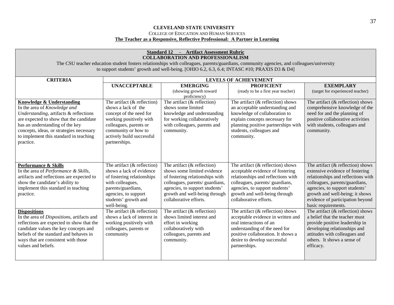### **CLEVELAND STATE UNIVERSITY** COLLEGE OF EDUCATION AND HUMAN SERVICES **The Teacher as a Responsive, Reflective Professional: A Partner in Learning**

| <b>Standard 12 - Artifact Assessment Rubric</b><br><b>COLLABORATION AND PROFESSIONALISM</b><br>The CSU teacher education student fosters relationships with colleagues, parents/guardians, community agencies, and colleagues/university                                                        |                                                                                                                                                                                                            |                                                                                                                                                                                                                                  |                                                                                                                                                                                                                                                |                                                                                                                                                                                                                                                                                 |  |  |
|-------------------------------------------------------------------------------------------------------------------------------------------------------------------------------------------------------------------------------------------------------------------------------------------------|------------------------------------------------------------------------------------------------------------------------------------------------------------------------------------------------------------|----------------------------------------------------------------------------------------------------------------------------------------------------------------------------------------------------------------------------------|------------------------------------------------------------------------------------------------------------------------------------------------------------------------------------------------------------------------------------------------|---------------------------------------------------------------------------------------------------------------------------------------------------------------------------------------------------------------------------------------------------------------------------------|--|--|
| to support students' growth and well-being. [OHIO 6.2, 6.3, 6.4; INTASC #10; PRAXIS D3 & D4]                                                                                                                                                                                                    |                                                                                                                                                                                                            |                                                                                                                                                                                                                                  |                                                                                                                                                                                                                                                |                                                                                                                                                                                                                                                                                 |  |  |
| <b>CRITERIA</b>                                                                                                                                                                                                                                                                                 | <b>LEVELS OF ACHIEVEMENT</b>                                                                                                                                                                               |                                                                                                                                                                                                                                  |                                                                                                                                                                                                                                                |                                                                                                                                                                                                                                                                                 |  |  |
|                                                                                                                                                                                                                                                                                                 | <b>UNACCEPTABLE</b>                                                                                                                                                                                        | <b>EMERGING</b><br>(showing growth toward<br>proficiency)                                                                                                                                                                        | <b>PROFICIENT</b><br>(ready to be a first year teacher)                                                                                                                                                                                        | <b>EXEMPLARY</b><br>(target for experienced teacher)                                                                                                                                                                                                                            |  |  |
| <b>Knowledge &amp; Understanding</b><br>In the area of Knowledge and<br>Understanding, artifacts & reflections<br>are expected to show that the candidate<br>has an understanding of the key<br>concepts, ideas, or strategies necessary<br>to implement this standard in teaching<br>practice. | The artifact $(\&$ reflection)<br>shows a lack of the<br>concept of the need for<br>working positively with<br>colleagues, parents or<br>community or how to<br>actively build successful<br>partnerships. | The artifact $(\&$ reflection)<br>shows some limited<br>knowledge and understanding<br>for working collaboratively<br>with colleagues, parents and<br>community.                                                                 | The artifact $(\&$ reflection) shows<br>an acceptable understanding and<br>knowledge of collaboration to<br>explain concepts necessary for<br>planning positive partnerships with<br>students, colleagues and<br>community.                    | The artifact $(\&$ reflection) shows<br>comprehensive knowledge of the<br>need for and the planning of<br>positive collaborative activities<br>with students, colleagues and<br>community.                                                                                      |  |  |
| Performance & Skills<br>In the area of Performance & Skills,<br>artifacts and reflections are expected to<br>show the candidate's ability to<br>implement this standard in teaching<br>practice.                                                                                                | The artifact $(\&$ reflection)<br>shows a lack of evidence<br>of fostering relationships<br>with colleagues,<br>parents/guardians,<br>agencies, to support<br>students' growth and<br>well-being.          | The artifact $(\&$ reflection)<br>shows some limited evidence<br>of fostering relationships with<br>colleagues, parents/ guardians,<br>agencies, to support students'<br>growth and well-being through<br>collaborative efforts. | The artifact $(\&$ reflection) shows<br>acceptable evidence of fostering<br>relationships and reflections with<br>colleagues, parents/ guardians,<br>agencies, to support students'<br>growth and well-being through<br>collaborative efforts. | The artifact $(\&$ reflection) shows<br>extensive evidence of fostering<br>relationships and reflections with<br>colleagues, parents/guardians,<br>agencies, to support students'<br>growth and well-being; it shows<br>evidence of participation beyond<br>basic requirements. |  |  |
| <b>Dispositions</b><br>In the area of Dispositions, artifacts and<br>reflections are expected to show that the<br>candidate values the key concepts and<br>beliefs of the standard and behaves in<br>ways that are consistent with those<br>values and beliefs.                                 | The artifact $(\&$ reflection)<br>shows a lack of interest in<br>working positively with<br>colleagues, parents or<br>community                                                                            | The artifact $(\&$ reflection)<br>shows limited interest and<br>effort in working<br>collaboratively with<br>colleagues, parents and<br>community.                                                                               | The artifact $(\&$ reflection) shows<br>acceptable evidence in written and<br>oral interactions of an<br>understanding of the need for<br>positive collaboration. It shows a<br>desire to develop successful<br>partnerships.                  | The artifact $(\&$ reflection) shows<br>a belief that the teacher must<br>provide positive leadership in<br>developing relationships and<br>attitudes with colleagues and<br>others. It shows a sense of<br>efficacy.                                                           |  |  |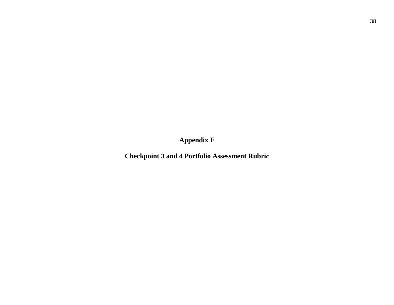<span id="page-38-0"></span>**Appendix E**

**Checkpoint 3 and 4 Portfolio Assessment Rubric**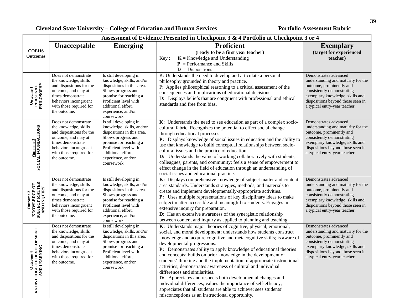| Assessment of Evidence Presented in Checkpoint 3 & 4 Portfolio at Checkpoint 3 or 4 |                                                                                                                                                                                           |                                                                                                                                                                                                                       |                                                                                                                                                                                                                                                                                                                                                                                                                                                                                                                                                                                                                                                                                                                                                                                                                                  |                                                                                                                                                                                                                                |
|-------------------------------------------------------------------------------------|-------------------------------------------------------------------------------------------------------------------------------------------------------------------------------------------|-----------------------------------------------------------------------------------------------------------------------------------------------------------------------------------------------------------------------|----------------------------------------------------------------------------------------------------------------------------------------------------------------------------------------------------------------------------------------------------------------------------------------------------------------------------------------------------------------------------------------------------------------------------------------------------------------------------------------------------------------------------------------------------------------------------------------------------------------------------------------------------------------------------------------------------------------------------------------------------------------------------------------------------------------------------------|--------------------------------------------------------------------------------------------------------------------------------------------------------------------------------------------------------------------------------|
| <b>COEHS</b><br><b>Outcomes</b>                                                     | Unacceptable                                                                                                                                                                              | <b>Emerging</b>                                                                                                                                                                                                       | <b>Proficient</b><br>(ready to be a first year teacher)<br>$K =$ Knowledge and Understanding<br>Key:                                                                                                                                                                                                                                                                                                                                                                                                                                                                                                                                                                                                                                                                                                                             | <b>Exemplary</b><br>(target for experienced<br>teacher)                                                                                                                                                                        |
|                                                                                     |                                                                                                                                                                                           |                                                                                                                                                                                                                       | $P =$ Performance and Skills<br>$\mathbf{D}$ = Dispositions                                                                                                                                                                                                                                                                                                                                                                                                                                                                                                                                                                                                                                                                                                                                                                      |                                                                                                                                                                                                                                |
| <b>Outcome 1</b><br>PERSONAL<br>PHILOSOPHY                                          | Does not demonstrate<br>the knowledge, skills<br>and dispositions for the<br>outcome, and may at<br>times demonstrate<br>behaviors incongruent<br>with those required for<br>the outcome. | Is still developing in<br>knowledge, skills, and/or<br>dispositions in this area.<br>Shows progress and<br>promise for reaching a<br>Proficient level with<br>additional effort,<br>experience, and/or<br>coursework. | K: Understands the need to develop and articulate a personal<br>philosophy grounded in theory and practice.<br>P: Applies philosophical reasoning to a critical assessment of the<br>consequences and implications of educational decisions.<br>D: Displays beliefs that are congruent with professional and ethical<br>standards and free from bias.                                                                                                                                                                                                                                                                                                                                                                                                                                                                            | Demonstrates advanced<br>understanding and maturity for the<br>outcome, prominently and<br>consistently demonstrating<br>exemplary knowledge, skills and<br>dispositions beyond those seen in<br>a typical entry-year teacher. |
| $\frac{\text{Outcome 2}}{\text{SOCAL FOUNDATION}}$                                  | Does not demonstrate<br>the knowledge, skills<br>and dispositions for the<br>outcome, and may at<br>times demonstrate<br>behaviors incongruent<br>with those required for<br>the outcome. | Is still developing in<br>knowledge, skills, and/or<br>dispositions in this area.<br>Shows progress and<br>promise for reaching a<br>Proficient level with<br>additional effort,<br>experience, and/or<br>coursework. | K: Understands the need to see education as part of a complex socio-<br>cultural fabric. Recognizes the potential to effect social change<br>through educational processes.<br>P: Displays knowledge of social issues in education and the ability to<br>use that knowledge to build conceptual relationships between socio-<br>cultural issues and the practice of education.<br>D: Understands the value of working collaboratively with students,<br>colleagues, parents, and community; feels a sense of empowerment to<br>effect change in the field of education through an understanding of<br>social issues and educational practice.                                                                                                                                                                                    | Demonstrates advanced<br>understanding and maturity for the<br>outcome, prominently and<br>consistently demonstrating<br>exemplary knowledge, skills and<br>dispositions beyond those seen in<br>a typical entry-year teacher. |
| <b>Outcome 3</b><br>KNOWLEDGE OF<br>SUBJECT MATTER<br>AND INQUIRY                   | Does not demonstrate<br>the knowledge, skills<br>and dispositions for the<br>outcome, and may at<br>times demonstrate<br>behaviors incongruent<br>with those required for<br>the outcome. | Is still developing in<br>knowledge, skills, and/or<br>dispositions in this area.<br>Shows progress and<br>promise for reaching a<br>Proficient level with<br>additional effort,<br>experience, and/or<br>coursework. | K: Displays comprehensive knowledge of subject matter and content<br>area standards. Understands strategies, methods, and materials to<br>create and implement developmentally-appropriate activities.<br>P: Uses multiple representations of key disciplinary ideas to make<br>subject matter accessible and meaningful to students. Engages in<br>extensive inquiry for preparation.<br>D: Has an extensive awareness of the synergistic relationship<br>between content and inquiry as applied to planning and teaching.                                                                                                                                                                                                                                                                                                      | Demonstrates advanced<br>understanding and maturity for the<br>outcome, prominently and<br>consistently demonstrating<br>exemplary knowledge, skills and<br>dispositions beyond those seen in<br>a typical entry-year teacher. |
| <b>Outcome 4</b><br>KNOWLEDGE OF DEVELOPMENT<br>AND LEARNING                        | Does not demonstrate<br>the knowledge, skills<br>and dispositions for the<br>outcome, and may at<br>times demonstrate<br>behaviors incongruent<br>with those required for<br>the outcome. | Is still developing in<br>knowledge, skills, and/or<br>dispositions in this area.<br>Shows progress and<br>promise for reaching a<br>Proficient level with<br>additional effort,<br>experience, and/or<br>coursework. | K: Understands major theories of cognitive, physical, emotional,<br>social, and moral development; understands how students construct<br>knowledge and acquire cognitive and metacognitive skills; is aware of<br>developmental progressions.<br>P: Demonstrates ability to apply knowledge of educational theories<br>and concepts; builds on prior knowledge in the development of<br>students' thinking and the implementation of appropriate instructional<br>activities; demonstrates awareness of cultural and individual<br>differences and similarities.<br><b>D:</b> Appreciates and respects both developmental changes and<br>individual differences; values the importance of self-efficacy;<br>appreciates that all students are able to achieve; sees students'<br>misconceptions as an instructional opportunity. | Demonstrates advanced<br>understanding and maturity for the<br>outcome, prominently and<br>consistently demonstrating<br>exemplary knowledge, skills and<br>dispositions beyond those seen in<br>a typical entry-year teacher. |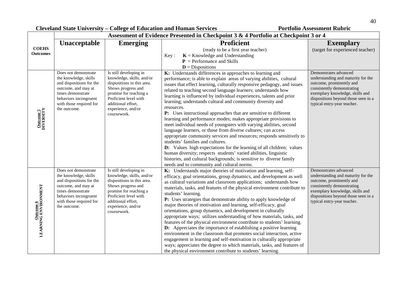|                                          | Assessment of Evidence Presented in Checkpoint 3 & 4 Portfolio at Checkpoint 3 or 4                                                                                                       |                                                                                                                                                                                                                       |                                                                                                                                                                                                                                                                                                                                                                                                                                                                                                                                                                                                                                                                                                                                                                                                                                                                                                                                                                                                                                                                                                    |                                                                                                                                                                                                                                |  |
|------------------------------------------|-------------------------------------------------------------------------------------------------------------------------------------------------------------------------------------------|-----------------------------------------------------------------------------------------------------------------------------------------------------------------------------------------------------------------------|----------------------------------------------------------------------------------------------------------------------------------------------------------------------------------------------------------------------------------------------------------------------------------------------------------------------------------------------------------------------------------------------------------------------------------------------------------------------------------------------------------------------------------------------------------------------------------------------------------------------------------------------------------------------------------------------------------------------------------------------------------------------------------------------------------------------------------------------------------------------------------------------------------------------------------------------------------------------------------------------------------------------------------------------------------------------------------------------------|--------------------------------------------------------------------------------------------------------------------------------------------------------------------------------------------------------------------------------|--|
|                                          | Unacceptable                                                                                                                                                                              | <b>Emerging</b>                                                                                                                                                                                                       | <b>Proficient</b>                                                                                                                                                                                                                                                                                                                                                                                                                                                                                                                                                                                                                                                                                                                                                                                                                                                                                                                                                                                                                                                                                  | <b>Exemplary</b>                                                                                                                                                                                                               |  |
| <b>COEHS</b><br><b>Outcomes</b>          |                                                                                                                                                                                           |                                                                                                                                                                                                                       | (ready to be a first year teacher)<br>$K =$ Knowledge and Understanding<br>Key:                                                                                                                                                                                                                                                                                                                                                                                                                                                                                                                                                                                                                                                                                                                                                                                                                                                                                                                                                                                                                    | (target for experienced teacher)                                                                                                                                                                                               |  |
|                                          |                                                                                                                                                                                           |                                                                                                                                                                                                                       | $P =$ Performance and Skills                                                                                                                                                                                                                                                                                                                                                                                                                                                                                                                                                                                                                                                                                                                                                                                                                                                                                                                                                                                                                                                                       |                                                                                                                                                                                                                                |  |
|                                          |                                                                                                                                                                                           |                                                                                                                                                                                                                       | $D = Dispositions$                                                                                                                                                                                                                                                                                                                                                                                                                                                                                                                                                                                                                                                                                                                                                                                                                                                                                                                                                                                                                                                                                 |                                                                                                                                                                                                                                |  |
| Outcome 5<br>DIVERSITY                   | Does not demonstrate<br>the knowledge, skills<br>and dispositions for the<br>outcome, and may at<br>times demonstrate<br>behaviors incongruent<br>with those required for<br>the outcome. | Is still developing in<br>knowledge, skills, and/or<br>dispositions in this area.<br>Shows progress and<br>promise for reaching a<br>Proficient level with<br>additional effort,<br>experience, and/or<br>coursework. | K: Understands differences in approaches to learning and<br>performance; is able to explain areas of varying abilities, cultural<br>issues that effect learning, culturally responsive pedagogy, and issues<br>related to teaching second language learners; understands how<br>learning is influenced by individual experiences, talents and prior<br>learning; understands cultural and community diversity and<br>resources.<br>P: Uses instructional approaches that are sensitive to different<br>learning and performance modes; makes appropriate provisions to<br>meet individual needs of youngsters with varying abilities, second<br>language learners, or those from diverse cultures; can access<br>appropriate community services and resources; responds sensitively to<br>students' families and cultures.<br><b>D:</b> Values high expectations for the learning of all children; values<br>human diversity; respects students' varied abilities, linguistic<br>histories, and cultural backgrounds; is sensitive to diverse family<br>needs and to community and cultural norms. | Demonstrates advanced<br>understanding and maturity for the<br>outcome, prominently and<br>consistently demonstrating<br>exemplary knowledge, skills and<br>dispositions beyond those seen in a<br>typical entry-year teacher. |  |
| <b>Outcome 6</b><br>LEARNING ENVIRONMENT | Does not demonstrate<br>the knowledge, skills<br>and dispositions for the<br>outcome, and may at<br>times demonstrate<br>behaviors incongruent<br>with those required for<br>the outcome. | Is still developing in<br>knowledge, skills, and/or<br>dispositions in this area.<br>Shows progress and<br>promise for reaching a<br>Proficient level with<br>additional effort,<br>experience, and/or<br>coursework. | K: Understands major theories of motivation and learning, self-<br>efficacy, goal orientations, group dynamics, and development as well<br>as cultural variations and classroom applications; understands how<br>materials, tasks, and features of the physical environment contribute to<br>students' learning.<br>P: Uses strategies that demonstrate ability to apply knowledge of<br>major theories of motivation and learning, self-efficacy, goal<br>orientations, group dynamics, and development in culturally<br>appropriate ways; utilizes understanding of how materials, tasks, and<br>features of the physical environment contribute to students' learning.<br><b>D:</b> Appreciates the importance of establishing a positive learning<br>environment in the classroom that promotes social interaction, active<br>engagement in learning and self-motivation in culturally appropriate<br>ways; appreciates the degree to which materials, tasks, and features of<br>the physical environment contribute to students' learning.                                                    | Demonstrates advanced<br>understanding and maturity for the<br>outcome, prominently and<br>consistently demonstrating<br>exemplary knowledge, skills and<br>dispositions beyond those seen in a<br>typical entry-year teacher. |  |

┑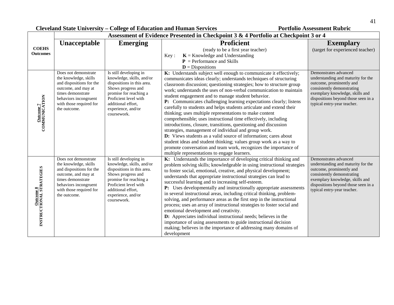|                                                 |                                                                                                                                                                                           |                                                                                                                                                                                                                       | Assessment of Evidence Presented in Checkpoint 3 & 4 Portfolio at Checkpoint 3 or 4                                                                                                                                                                                                                                                                                                                                                                                                                                                                                                                                                                                                                                                                                                                                                                                                                                                                                                                          |                                                                                                                                                                                                                                |
|-------------------------------------------------|-------------------------------------------------------------------------------------------------------------------------------------------------------------------------------------------|-----------------------------------------------------------------------------------------------------------------------------------------------------------------------------------------------------------------------|--------------------------------------------------------------------------------------------------------------------------------------------------------------------------------------------------------------------------------------------------------------------------------------------------------------------------------------------------------------------------------------------------------------------------------------------------------------------------------------------------------------------------------------------------------------------------------------------------------------------------------------------------------------------------------------------------------------------------------------------------------------------------------------------------------------------------------------------------------------------------------------------------------------------------------------------------------------------------------------------------------------|--------------------------------------------------------------------------------------------------------------------------------------------------------------------------------------------------------------------------------|
|                                                 | <b>Unacceptable</b>                                                                                                                                                                       | <b>Emerging</b>                                                                                                                                                                                                       | <b>Proficient</b>                                                                                                                                                                                                                                                                                                                                                                                                                                                                                                                                                                                                                                                                                                                                                                                                                                                                                                                                                                                            | <b>Exemplary</b>                                                                                                                                                                                                               |
| <b>COEHS</b><br><b>Outcomes</b>                 |                                                                                                                                                                                           |                                                                                                                                                                                                                       | (ready to be a first year teacher)<br>$K =$ Knowledge and Understanding<br>Key:<br>$P =$ Performance and Skills<br>$D = Dispositions$                                                                                                                                                                                                                                                                                                                                                                                                                                                                                                                                                                                                                                                                                                                                                                                                                                                                        | (target for experienced teacher)                                                                                                                                                                                               |
| $\frac{\text{Outcome 7}}{\text{COMMUNICATION}}$ | Does not demonstrate<br>the knowledge, skills<br>and dispositions for the<br>outcome, and may at<br>times demonstrate<br>behaviors incongruent<br>with those required for<br>the outcome. | Is still developing in<br>knowledge, skills, and/or<br>dispositions in this area.<br>Shows progress and<br>promise for reaching a<br>Proficient level with<br>additional effort,<br>experience, and/or<br>coursework. | K: Understands subject well enough to communicate it effectively;<br>communicates ideas clearly; understands techniques of structuring<br>classroom discussion; questioning strategies; how to structure group<br>work; understands the uses of non-verbal communication to maintain<br>student engagement and to manage student behavior.<br>P: Communicates challenging learning expectations clearly; listens<br>carefully to students and helps students articulate and extend their<br>thinking; uses multiple representations to make content<br>comprehensible; uses instructional time effectively, including<br>introductions, closure, transitions, questioning and discussion<br>strategies, management of individual and group work.<br>D: Views students as a valid source of information; cares about<br>student ideas and student thinking; values group work as a way to<br>promote conversation and team work, recognizes the importance of<br>multiple representations to engage learners. | Demonstrates advanced<br>understanding and maturity for the<br>outcome, prominently and<br>consistently demonstrating<br>exemplary knowledge, skills and<br>dispositions beyond those seen in a<br>typical entry-year teacher. |
| <b>Outcome 8</b><br>INSTRUCTIONAL STRATEGIES    | Does not demonstrate<br>the knowledge, skills<br>and dispositions for the<br>outcome, and may at<br>times demonstrate<br>behaviors incongruent<br>with those required for<br>the outcome. | Is still developing in<br>knowledge, skills, and/or<br>dispositions in this area.<br>Shows progress and<br>promise for reaching a<br>Proficient level with<br>additional effort,<br>experience, and/or<br>coursework. | K: Understands the importance of developing critical thinking and<br>problem solving skills; knowledgeable in using instructional strategies<br>to foster social, emotional, creative, and physical development;<br>understands that appropriate instructional strategies can lead to<br>successful learning and to increasing self-esteem.<br>P: Uses developmentally and instructionally appropriate assessments<br>in several instructional areas, including critical thinking, problem-<br>solving, and performance areas as the first step in the instructional<br>process; uses an array of instructional strategies to foster social and<br>emotional development and creativity.<br>D: Appreciates individual instructional needs; believes in the<br>importance of using assessments to guide instructional decision<br>making; believes in the importance of addressing many domains of<br>development                                                                                             | Demonstrates advanced<br>understanding and maturity for the<br>outcome, prominently and<br>consistently demonstrating<br>exemplary knowledge, skills and<br>dispositions beyond those seen in a<br>typical entry-year teacher. |

ᄀ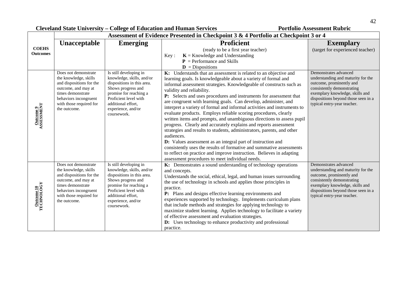42

 $\overline{\phantom{0}}$ 

|                                 |                                                                                                                                                                                           | Assessment of Evidence Presented in Checkpoint 3 & 4 Portfolio at Checkpoint 3 or 4                                                                                                                                   |                                                                                                                                                                                                                                                                                                                                                                                                                                                                                                                                                                                                                                                                                                                                                                                                                                                                                                                                                                                                                                       |                                                                                                                                                                                                                                |
|---------------------------------|-------------------------------------------------------------------------------------------------------------------------------------------------------------------------------------------|-----------------------------------------------------------------------------------------------------------------------------------------------------------------------------------------------------------------------|---------------------------------------------------------------------------------------------------------------------------------------------------------------------------------------------------------------------------------------------------------------------------------------------------------------------------------------------------------------------------------------------------------------------------------------------------------------------------------------------------------------------------------------------------------------------------------------------------------------------------------------------------------------------------------------------------------------------------------------------------------------------------------------------------------------------------------------------------------------------------------------------------------------------------------------------------------------------------------------------------------------------------------------|--------------------------------------------------------------------------------------------------------------------------------------------------------------------------------------------------------------------------------|
|                                 | <b>Unacceptable</b><br><b>Emerging</b>                                                                                                                                                    |                                                                                                                                                                                                                       | <b>Proficient</b>                                                                                                                                                                                                                                                                                                                                                                                                                                                                                                                                                                                                                                                                                                                                                                                                                                                                                                                                                                                                                     | <b>Exemplary</b>                                                                                                                                                                                                               |
| <b>COEHS</b><br><b>Outcomes</b> |                                                                                                                                                                                           |                                                                                                                                                                                                                       | (ready to be a first year teacher)<br>$K =$ Knowledge and Understanding<br>Key:<br>$P =$ Performance and Skills<br>$\mathbf{D}$ = Dispositions                                                                                                                                                                                                                                                                                                                                                                                                                                                                                                                                                                                                                                                                                                                                                                                                                                                                                        | (target for experienced teacher)                                                                                                                                                                                               |
| <b>Outcome 9</b><br>ASSESSMENT  | Does not demonstrate<br>the knowledge, skills<br>and dispositions for the<br>outcome, and may at<br>times demonstrate<br>behaviors incongruent<br>with those required for<br>the outcome. | Is still developing in<br>knowledge, skills, and/or<br>dispositions in this area.<br>Shows progress and<br>promise for reaching a<br>Proficient level with<br>additional effort,<br>experience, and/or<br>coursework. | K: Understands that an assessment is related to an objective and<br>learning goals. Is knowledgeable about a variety of formal and<br>informal assessment strategies. Knowledgeable of constructs such as<br>validity and reliability.<br>P: Selects and uses procedures and instruments for assessment that<br>are congruent with learning goals. Can develop, administer, and<br>interpret a variety of formal and informal activities and instruments to<br>evaluate products. Employs reliable scoring procedures, clearly<br>written items and prompts, and unambiguous directions to assess pupil<br>progress. Clearly and accurately explains and reports assessment<br>strategies and results to students, administrators, parents, and other<br>audiences.<br>D: Values assessment as an integral part of instruction and<br>consistently uses the results of formative and summative assessments<br>to reflect on practice and improve instruction. Believes in adapting<br>assessment procedures to meet individual needs. | Demonstrates advanced<br>understanding and maturity for the<br>outcome, prominently and<br>consistently demonstrating<br>exemplary knowledge, skills and<br>dispositions beyond those seen in a<br>typical entry-year teacher. |
| <b>Outcome 10</b><br>TECHNOLOGY | Does not demonstrate<br>the knowledge, skills<br>and dispositions for the<br>outcome, and may at<br>times demonstrate<br>behaviors incongruent<br>with those required for<br>the outcome. | Is still developing in<br>knowledge, skills, and/or<br>dispositions in this area.<br>Shows progress and<br>promise for reaching a<br>Proficient level with<br>additional effort,<br>experience, and/or<br>coursework. | K: Demonstrates a sound understanding of technology operations<br>and concepts.<br>Understands the social, ethical, legal, and human issues surrounding<br>the use of technology in schools and applies those principles in<br>practice.<br>P: Plans and designs effective learning environments and<br>experiences supported by technology. Implements curriculum plans<br>that include methods and strategies for applying technology to<br>maximize student learning. Applies technology to facilitate a variety<br>of effective assessment and evaluation strategies.<br>D: Uses technology to enhance productivity and professional<br>practice.                                                                                                                                                                                                                                                                                                                                                                                 | Demonstrates advanced<br>understanding and maturity for the<br>outcome, prominently and<br>consistently demonstrating<br>exemplary knowledge, skills and<br>dispositions beyond those seen in a<br>typical entry-year teacher. |